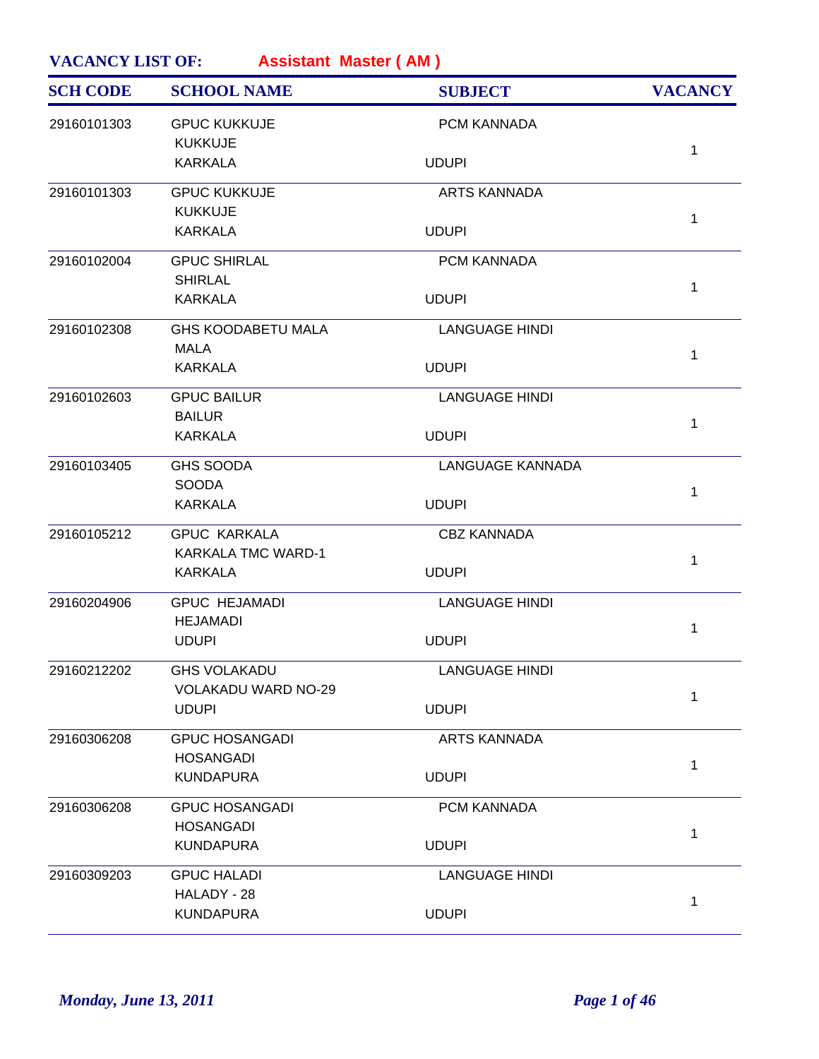| <b>SCH CODE</b> | <b>SCHOOL NAME</b>                      | <b>SUBJECT</b>          | <b>VACANCY</b> |
|-----------------|-----------------------------------------|-------------------------|----------------|
| 29160101303     | <b>GPUC KUKKUJE</b>                     | PCM KANNADA             |                |
|                 | <b>KUKKUJE</b><br><b>KARKALA</b>        | <b>UDUPI</b>            | $\mathbf{1}$   |
| 29160101303     | <b>GPUC KUKKUJE</b>                     | <b>ARTS KANNADA</b>     |                |
|                 | <b>KUKKUJE</b><br><b>KARKALA</b>        | <b>UDUPI</b>            | $\mathbf{1}$   |
| 29160102004     | <b>GPUC SHIRLAL</b>                     | PCM KANNADA             |                |
|                 | <b>SHIRLAL</b>                          |                         | $\mathbf{1}$   |
|                 | <b>KARKALA</b>                          | <b>UDUPI</b>            |                |
| 29160102308     | <b>GHS KOODABETU MALA</b><br>MALA       | <b>LANGUAGE HINDI</b>   |                |
|                 | <b>KARKALA</b>                          | <b>UDUPI</b>            | $\mathbf{1}$   |
| 29160102603     | <b>GPUC BAILUR</b>                      | <b>LANGUAGE HINDI</b>   |                |
|                 | <b>BAILUR</b><br><b>KARKALA</b>         | <b>UDUPI</b>            | $\mathbf 1$    |
| 29160103405     | <b>GHS SOODA</b>                        | <b>LANGUAGE KANNADA</b> |                |
|                 | <b>SOODA</b><br><b>KARKALA</b>          | <b>UDUPI</b>            | $\mathbf{1}$   |
| 29160105212     | <b>GPUC KARKALA</b>                     | <b>CBZ KANNADA</b>      |                |
|                 | <b>KARKALA TMC WARD-1</b>               |                         | $\mathbf{1}$   |
|                 | <b>KARKALA</b>                          | <b>UDUPI</b>            |                |
| 29160204906     | <b>GPUC HEJAMADI</b><br><b>HEJAMADI</b> | <b>LANGUAGE HINDI</b>   |                |
|                 | <b>UDUPI</b>                            | <b>UDUPI</b>            | 1              |
| 29160212202     | <b>GHS VOLAKADU</b>                     | <b>LANGUAGE HINDI</b>   |                |
|                 | VOLAKADU WARD NO-29                     |                         | $\mathbf{1}$   |
|                 | <b>UDUPI</b>                            | <b>UDUPI</b>            |                |
| 29160306208     | <b>GPUC HOSANGADI</b>                   | <b>ARTS KANNADA</b>     |                |
|                 | <b>HOSANGADI</b>                        |                         | $\mathbf{1}$   |
|                 | <b>KUNDAPURA</b>                        | <b>UDUPI</b>            |                |
| 29160306208     | <b>GPUC HOSANGADI</b>                   | PCM KANNADA             |                |
|                 | <b>HOSANGADI</b><br><b>KUNDAPURA</b>    | <b>UDUPI</b>            | $\mathbf{1}$   |
| 29160309203     | <b>GPUC HALADI</b>                      | <b>LANGUAGE HINDI</b>   |                |
|                 | HALADY - 28                             |                         |                |
|                 | <b>KUNDAPURA</b>                        | <b>UDUPI</b>            | 1              |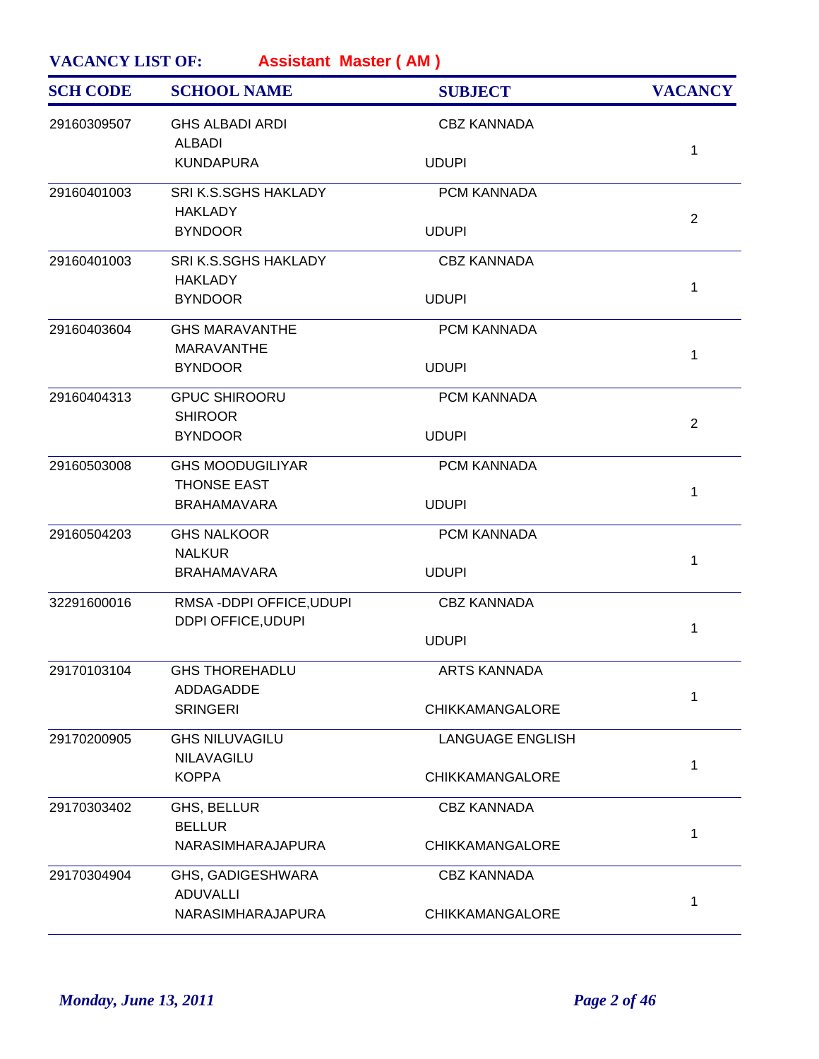| <b>SCH CODE</b> | <b>SCHOOL NAME</b>                       | <b>SUBJECT</b>          | <b>VACANCY</b> |
|-----------------|------------------------------------------|-------------------------|----------------|
| 29160309507     | <b>GHS ALBADI ARDI</b><br><b>ALBADI</b>  | <b>CBZ KANNADA</b>      |                |
|                 | <b>KUNDAPURA</b>                         | <b>UDUPI</b>            | 1              |
| 29160401003     | SRI K.S.SGHS HAKLADY                     | PCM KANNADA             |                |
|                 | <b>HAKLADY</b><br><b>BYNDOOR</b>         | <b>UDUPI</b>            | $\overline{2}$ |
| 29160401003     | SRI K.S.SGHS HAKLADY<br><b>HAKLADY</b>   | <b>CBZ KANNADA</b>      |                |
|                 | <b>BYNDOOR</b>                           | <b>UDUPI</b>            | 1              |
| 29160403604     | <b>GHS MARAVANTHE</b>                    | PCM KANNADA             |                |
|                 | <b>MARAVANTHE</b><br><b>BYNDOOR</b>      | <b>UDUPI</b>            | 1              |
| 29160404313     | <b>GPUC SHIROORU</b>                     | PCM KANNADA             |                |
|                 | <b>SHIROOR</b><br><b>BYNDOOR</b>         | <b>UDUPI</b>            | $\overline{2}$ |
| 29160503008     | <b>GHS MOODUGILIYAR</b>                  | PCM KANNADA             |                |
|                 | <b>THONSE EAST</b><br><b>BRAHAMAVARA</b> | <b>UDUPI</b>            | 1              |
| 29160504203     | <b>GHS NALKOOR</b>                       | PCM KANNADA             |                |
|                 | <b>NALKUR</b><br><b>BRAHAMAVARA</b>      | <b>UDUPI</b>            | 1              |
| 32291600016     | RMSA-DDPI OFFICE, UDUPI                  | <b>CBZ KANNADA</b>      |                |
|                 | DDPI OFFICE, UDUPI                       | <b>UDUPI</b>            | 1              |
| 29170103104     | <b>GHS THOREHADLU</b>                    | ARTS KANNADA            |                |
|                 | ADDAGADDE<br><b>SRINGERI</b>             | <b>CHIKKAMANGALORE</b>  | 1              |
| 29170200905     | <b>GHS NILUVAGILU</b>                    | <b>LANGUAGE ENGLISH</b> |                |
|                 | NILAVAGILU<br><b>KOPPA</b>               | <b>CHIKKAMANGALORE</b>  | 1              |
| 29170303402     | GHS, BELLUR                              | <b>CBZ KANNADA</b>      |                |
|                 | <b>BELLUR</b><br>NARASIMHARAJAPURA       | <b>CHIKKAMANGALORE</b>  | 1              |
| 29170304904     | GHS, GADIGESHWARA                        | <b>CBZ KANNADA</b>      |                |
|                 | <b>ADUVALLI</b><br>NARASIMHARAJAPURA     | <b>CHIKKAMANGALORE</b>  | 1              |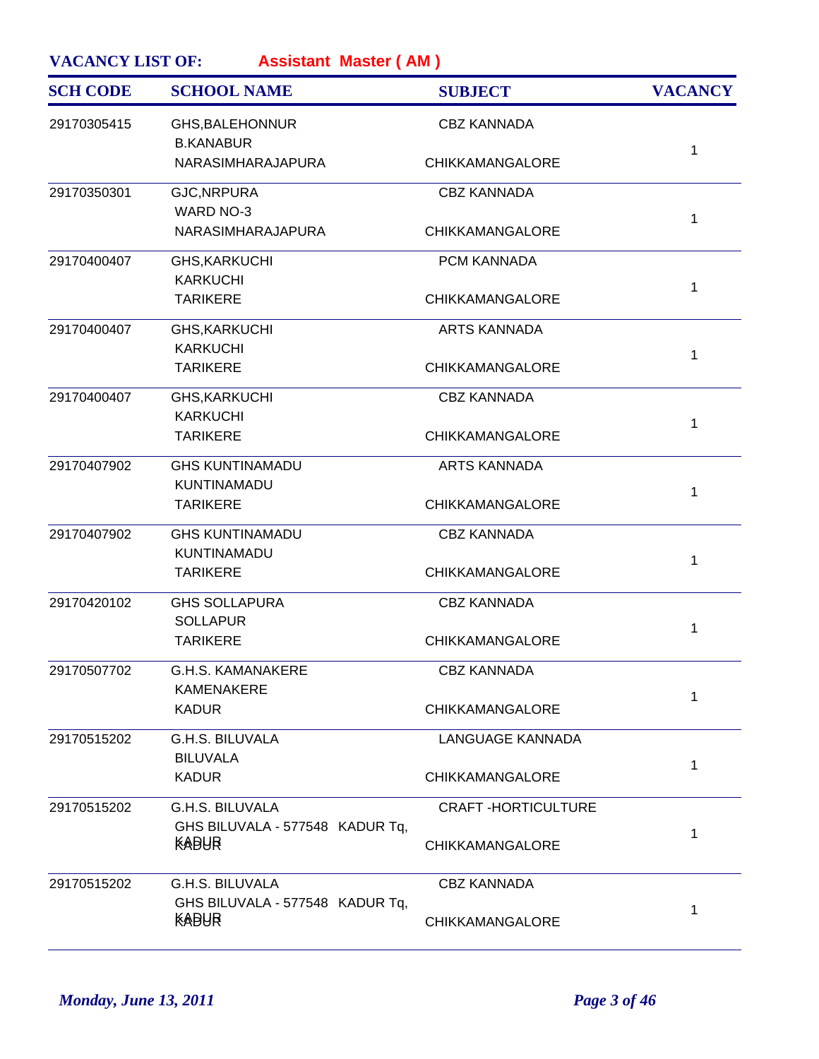| <b>SCH CODE</b> | <b>SCHOOL NAME</b>                                        | <b>SUBJECT</b>            | <b>VACANCY</b> |
|-----------------|-----------------------------------------------------------|---------------------------|----------------|
| 29170305415     | GHS, BALEHONNUR<br><b>B.KANABUR</b>                       | <b>CBZ KANNADA</b>        |                |
|                 | NARASIMHARAJAPURA                                         | <b>CHIKKAMANGALORE</b>    | $\mathbf{1}$   |
| 29170350301     | <b>GJC, NRPURA</b><br><b>WARD NO-3</b>                    | <b>CBZ KANNADA</b>        | 1              |
|                 | NARASIMHARAJAPURA                                         | <b>CHIKKAMANGALORE</b>    |                |
| 29170400407     | <b>GHS, KARKUCHI</b><br><b>KARKUCHI</b>                   | PCM KANNADA               | $\mathbf{1}$   |
|                 | <b>TARIKERE</b>                                           | <b>CHIKKAMANGALORE</b>    |                |
| 29170400407     | <b>GHS, KARKUCHI</b><br><b>KARKUCHI</b>                   | <b>ARTS KANNADA</b>       | $\mathbf{1}$   |
|                 | <b>TARIKERE</b>                                           | CHIKKAMANGALORE           |                |
| 29170400407     | <b>GHS, KARKUCHI</b><br><b>KARKUCHI</b>                   | <b>CBZ KANNADA</b>        | $\mathbf{1}$   |
|                 | <b>TARIKERE</b>                                           | CHIKKAMANGALORE           |                |
| 29170407902     | <b>GHS KUNTINAMADU</b><br>KUNTINAMADU                     | <b>ARTS KANNADA</b>       | 1              |
|                 | <b>TARIKERE</b>                                           | <b>CHIKKAMANGALORE</b>    |                |
| 29170407902     | <b>GHS KUNTINAMADU</b><br>KUNTINAMADU                     | <b>CBZ KANNADA</b>        | $\mathbf{1}$   |
|                 | <b>TARIKERE</b>                                           | CHIKKAMANGALORE           |                |
| 29170420102     | <b>GHS SOLLAPURA</b><br><b>SOLLAPUR</b>                   | <b>CBZ KANNADA</b>        | $\mathbf{1}$   |
|                 | <b>TARIKERE</b>                                           | <b>CHIKKAMANGALORE</b>    |                |
| 29170507702     | <b>G.H.S. KAMANAKERE</b><br><b>KAMENAKERE</b>             | <b>CBZ KANNADA</b>        | $\mathbf{1}$   |
|                 | <b>KADUR</b>                                              | <b>CHIKKAMANGALORE</b>    |                |
| 29170515202     | G.H.S. BILUVALA<br><b>BILUVALA</b>                        | LANGUAGE KANNADA          | 1              |
|                 | <b>KADUR</b>                                              | <b>CHIKKAMANGALORE</b>    |                |
| 29170515202     | <b>G.H.S. BILUVALA</b><br>GHS BILUVALA - 577548 KADUR Tq, | <b>CRAFT-HORTICULTURE</b> | 1              |
|                 | KABUR                                                     | <b>CHIKKAMANGALORE</b>    |                |
| 29170515202     | G.H.S. BILUVALA<br>GHS BILUVALA - 577548 KADUR Tq,        | <b>CBZ KANNADA</b>        | 1              |
|                 | KABUR                                                     | <b>CHIKKAMANGALORE</b>    |                |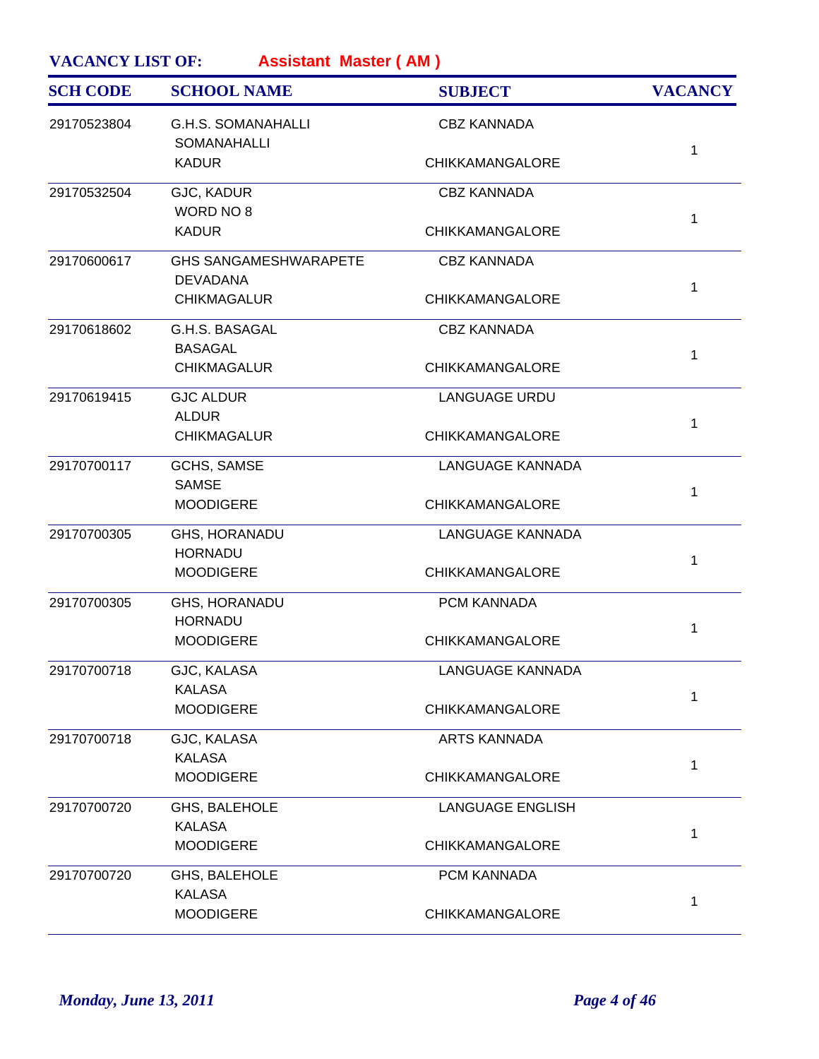| <b>SCH CODE</b> | <b>SCHOOL NAME</b>                              | <b>SUBJECT</b>          | <b>VACANCY</b> |
|-----------------|-------------------------------------------------|-------------------------|----------------|
| 29170523804     | <b>G.H.S. SOMANAHALLI</b><br><b>SOMANAHALLI</b> | <b>CBZ KANNADA</b>      |                |
|                 | <b>KADUR</b>                                    | <b>CHIKKAMANGALORE</b>  | 1              |
| 29170532504     | GJC, KADUR<br>WORD NO 8                         | <b>CBZ KANNADA</b>      |                |
|                 | <b>KADUR</b>                                    | <b>CHIKKAMANGALORE</b>  | 1              |
| 29170600617     | <b>GHS SANGAMESHWARAPETE</b><br><b>DEVADANA</b> | <b>CBZ KANNADA</b>      | 1              |
|                 | <b>CHIKMAGALUR</b>                              | CHIKKAMANGALORE         |                |
| 29170618602     | G.H.S. BASAGAL<br><b>BASAGAL</b>                | <b>CBZ KANNADA</b>      | 1              |
|                 | <b>CHIKMAGALUR</b>                              | CHIKKAMANGALORE         |                |
| 29170619415     | <b>GJC ALDUR</b><br><b>ALDUR</b>                | <b>LANGUAGE URDU</b>    | 1              |
|                 | <b>CHIKMAGALUR</b>                              | CHIKKAMANGALORE         |                |
| 29170700117     | <b>GCHS, SAMSE</b><br><b>SAMSE</b>              | <b>LANGUAGE KANNADA</b> | 1              |
|                 | <b>MOODIGERE</b>                                | <b>CHIKKAMANGALORE</b>  |                |
| 29170700305     | GHS, HORANADU<br><b>HORNADU</b>                 | <b>LANGUAGE KANNADA</b> | 1              |
|                 | <b>MOODIGERE</b>                                | CHIKKAMANGALORE         |                |
| 29170700305     | GHS, HORANADU<br><b>HORNADU</b>                 | PCM KANNADA             | 1              |
|                 | <b>MOODIGERE</b>                                | <b>CHIKKAMANGALORE</b>  |                |
| 29170700718     | GJC, KALASA<br><b>KALASA</b>                    | LANGUAGE KANNADA        | 1              |
|                 | <b>MOODIGERE</b>                                | CHIKKAMANGALORE         |                |
| 29170700718     | GJC, KALASA<br><b>KALASA</b>                    | <b>ARTS KANNADA</b>     | 1              |
|                 | <b>MOODIGERE</b>                                | CHIKKAMANGALORE         |                |
| 29170700720     | GHS, BALEHOLE<br><b>KALASA</b>                  | <b>LANGUAGE ENGLISH</b> | 1              |
|                 | <b>MOODIGERE</b>                                | CHIKKAMANGALORE         |                |
| 29170700720     | GHS, BALEHOLE<br><b>KALASA</b>                  | PCM KANNADA             |                |
|                 | <b>MOODIGERE</b>                                | <b>CHIKKAMANGALORE</b>  | 1              |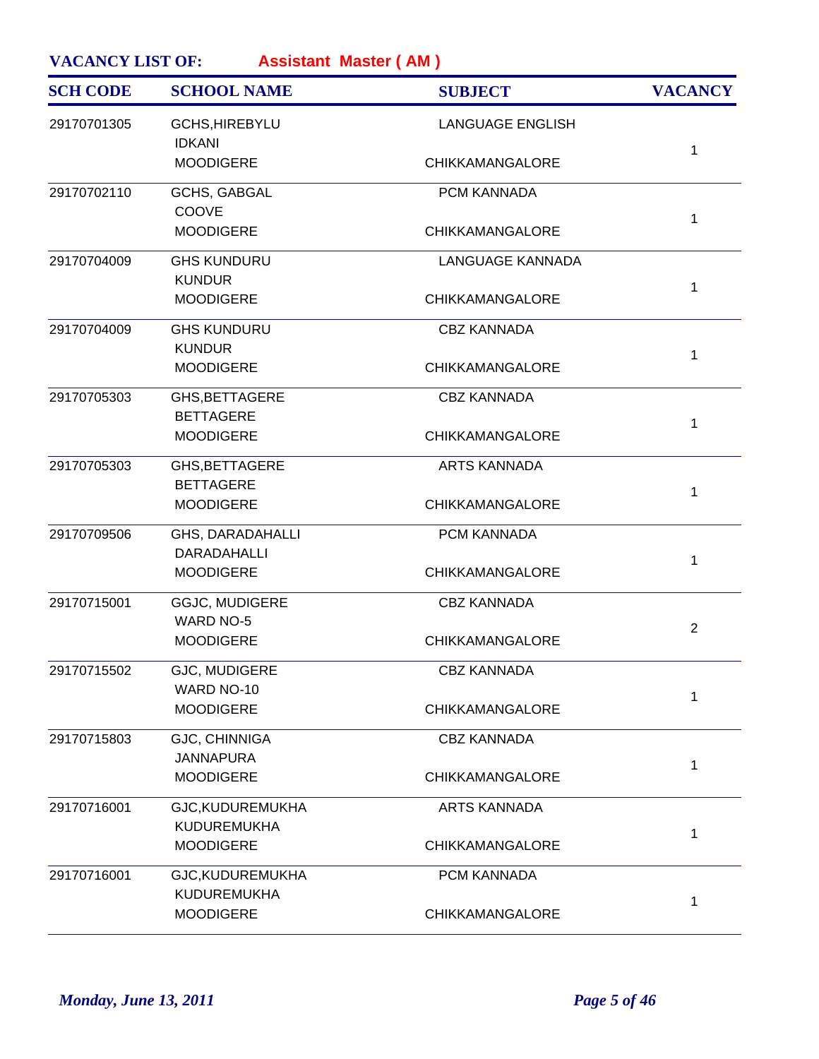| <b>SCH CODE</b> | <b>SCHOOL NAME</b>                   | <b>SUBJECT</b>          | <b>VACANCY</b> |
|-----------------|--------------------------------------|-------------------------|----------------|
| 29170701305     | GCHS, HIREBYLU<br><b>IDKANI</b>      | <b>LANGUAGE ENGLISH</b> |                |
|                 | <b>MOODIGERE</b>                     | CHIKKAMANGALORE         | $\mathbf{1}$   |
| 29170702110     | <b>GCHS, GABGAL</b>                  | PCM KANNADA             |                |
|                 | COOVE<br><b>MOODIGERE</b>            | <b>CHIKKAMANGALORE</b>  | 1              |
| 29170704009     | <b>GHS KUNDURU</b>                   | LANGUAGE KANNADA        |                |
|                 | <b>KUNDUR</b><br><b>MOODIGERE</b>    | CHIKKAMANGALORE         | $\mathbf{1}$   |
|                 |                                      |                         |                |
| 29170704009     | <b>GHS KUNDURU</b>                   | <b>CBZ KANNADA</b>      |                |
|                 | <b>KUNDUR</b><br><b>MOODIGERE</b>    | CHIKKAMANGALORE         | 1              |
| 29170705303     | GHS, BETTAGERE                       | <b>CBZ KANNADA</b>      |                |
|                 | <b>BETTAGERE</b><br><b>MOODIGERE</b> | CHIKKAMANGALORE         | $\mathbf{1}$   |
| 29170705303     | GHS, BETTAGERE                       | <b>ARTS KANNADA</b>     |                |
|                 | <b>BETTAGERE</b>                     |                         | 1              |
|                 | <b>MOODIGERE</b>                     | CHIKKAMANGALORE         |                |
| 29170709506     | GHS, DARADAHALLI                     | PCM KANNADA             |                |
|                 | DARADAHALLI                          |                         | $\mathbf{1}$   |
|                 | <b>MOODIGERE</b>                     | CHIKKAMANGALORE         |                |
| 29170715001     | GGJC, MUDIGERE                       | <b>CBZ KANNADA</b>      |                |
|                 | <b>WARD NO-5</b>                     |                         | $\overline{2}$ |
|                 | <b>MOODIGERE</b>                     | <b>CHIKKAMANGALORE</b>  |                |
| 29170715502     | GJC, MUDIGERE                        | <b>CBZ KANNADA</b>      |                |
|                 | WARD NO-10                           | CHIKKAMANGALORE         | 1              |
|                 | <b>MOODIGERE</b>                     |                         |                |
| 29170715803     | GJC, CHINNIGA                        | <b>CBZ KANNADA</b>      |                |
|                 | <b>JANNAPURA</b><br><b>MOODIGERE</b> | <b>CHIKKAMANGALORE</b>  | 1              |
|                 |                                      |                         |                |
| 29170716001     | GJC, KUDUREMUKHA                     | <b>ARTS KANNADA</b>     |                |
|                 | KUDUREMUKHA<br><b>MOODIGERE</b>      | <b>CHIKKAMANGALORE</b>  | $\mathbf{1}$   |
|                 |                                      |                         |                |
| 29170716001     | GJC, KUDUREMUKHA                     | PCM KANNADA             |                |
|                 | KUDUREMUKHA<br><b>MOODIGERE</b>      | CHIKKAMANGALORE         | 1              |
|                 |                                      |                         |                |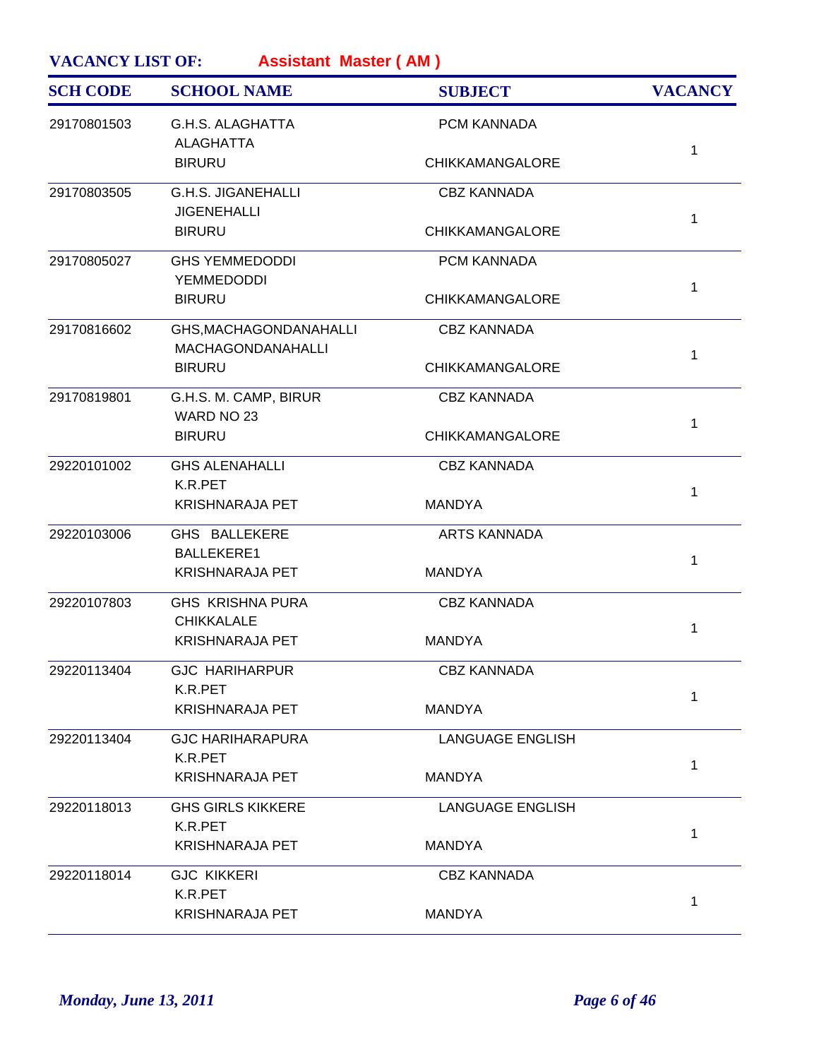| <b>SCH CODE</b> | <b>SCHOOL NAME</b>                                 | <b>SUBJECT</b>         | <b>VACANCY</b> |
|-----------------|----------------------------------------------------|------------------------|----------------|
| 29170801503     | <b>G.H.S. ALAGHATTA</b><br><b>ALAGHATTA</b>        | PCM KANNADA            |                |
|                 | <b>BIRURU</b>                                      | <b>CHIKKAMANGALORE</b> | 1              |
| 29170803505     | <b>G.H.S. JIGANEHALLI</b><br><b>JIGENEHALLI</b>    | <b>CBZ KANNADA</b>     |                |
|                 | <b>BIRURU</b>                                      | <b>CHIKKAMANGALORE</b> | 1              |
| 29170805027     | <b>GHS YEMMEDODDI</b><br><b>YEMMEDODDI</b>         | PCM KANNADA            | 1              |
|                 | <b>BIRURU</b>                                      | <b>CHIKKAMANGALORE</b> |                |
| 29170816602     | GHS, MACHAGONDANAHALLI<br><b>MACHAGONDANAHALLI</b> | <b>CBZ KANNADA</b>     | 1              |
|                 | <b>BIRURU</b>                                      | <b>CHIKKAMANGALORE</b> |                |
| 29170819801     | G.H.S. M. CAMP, BIRUR<br>WARD NO 23                | <b>CBZ KANNADA</b>     | 1              |
|                 | <b>BIRURU</b>                                      | CHIKKAMANGALORE        |                |
| 29220101002     | <b>GHS ALENAHALLI</b><br>K.R.PET                   | <b>CBZ KANNADA</b>     | 1              |
|                 | <b>KRISHNARAJA PET</b>                             | <b>MANDYA</b>          |                |
| 29220103006     | GHS BALLEKERE<br><b>BALLEKERE1</b>                 | <b>ARTS KANNADA</b>    | 1              |
|                 | <b>KRISHNARAJA PET</b>                             | <b>MANDYA</b>          |                |
| 29220107803     | <b>GHS KRISHNA PURA</b><br><b>CHIKKALALE</b>       | <b>CBZ KANNADA</b>     | 1              |
|                 | <b>KRISHNARAJA PET</b>                             | <b>MANDYA</b>          |                |
| 29220113404     | <b>GJC HARIHARPUR</b><br>K.R.PET                   | <b>CBZ KANNADA</b>     | 1              |
|                 | <b>KRISHNARAJA PET</b>                             | <b>MANDYA</b>          |                |
| 29220113404     | <b>GJC HARIHARAPURA</b><br>K.R.PET                 | LANGUAGE ENGLISH       | 1              |
|                 | <b>KRISHNARAJA PET</b>                             | <b>MANDYA</b>          |                |
| 29220118013     | <b>GHS GIRLS KIKKERE</b><br>K.R.PET                | LANGUAGE ENGLISH       | 1              |
|                 | <b>KRISHNARAJA PET</b>                             | <b>MANDYA</b>          |                |
| 29220118014     | <b>GJC KIKKERI</b><br>K.R.PET                      | <b>CBZ KANNADA</b>     |                |
|                 | <b>KRISHNARAJA PET</b>                             | <b>MANDYA</b>          | 1              |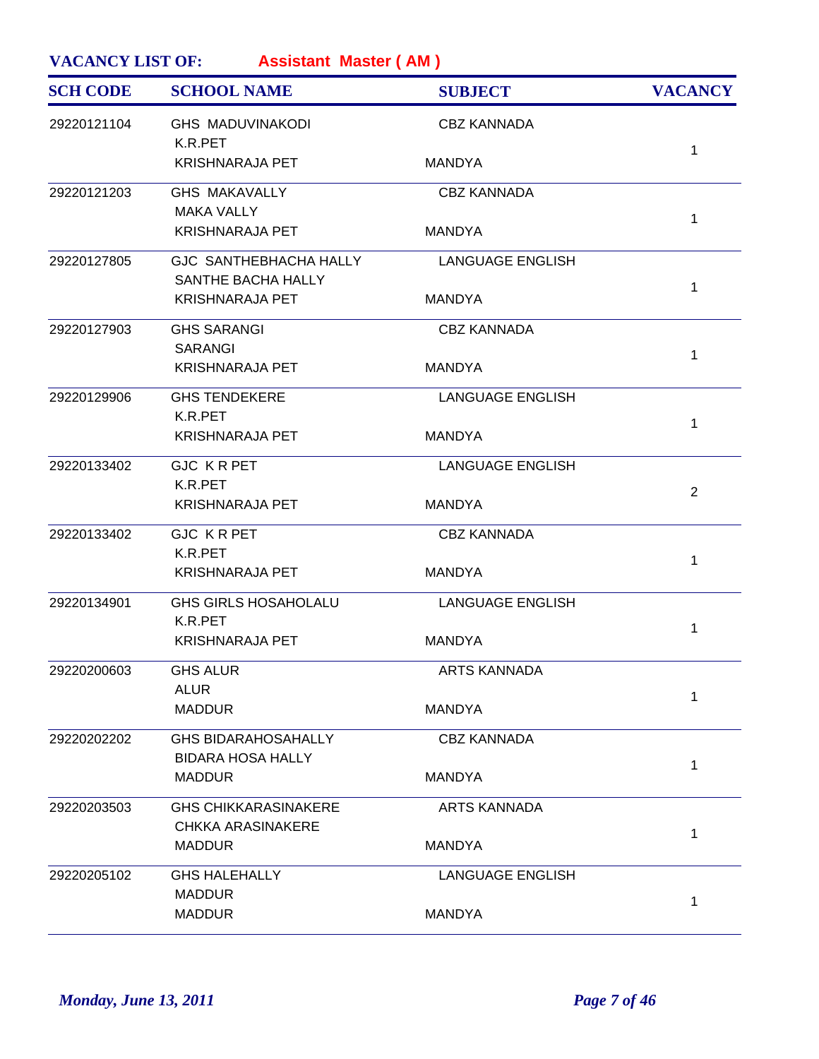| <b>SCH CODE</b> | <b>SCHOOL NAME</b>                           | <b>SUBJECT</b>          | <b>VACANCY</b> |
|-----------------|----------------------------------------------|-------------------------|----------------|
| 29220121104     | <b>GHS MADUVINAKODI</b><br>K.R.PET           | <b>CBZ KANNADA</b>      |                |
|                 | <b>KRISHNARAJA PET</b>                       | MANDYA                  | 1              |
| 29220121203     | <b>GHS MAKAVALLY</b><br><b>MAKA VALLY</b>    | <b>CBZ KANNADA</b>      |                |
|                 | <b>KRISHNARAJA PET</b>                       | <b>MANDYA</b>           | 1              |
| 29220127805     | GJC SANTHEBHACHA HALLY<br>SANTHE BACHA HALLY | <b>LANGUAGE ENGLISH</b> |                |
|                 | <b>KRISHNARAJA PET</b>                       | <b>MANDYA</b>           | 1              |
| 29220127903     | <b>GHS SARANGI</b><br><b>SARANGI</b>         | <b>CBZ KANNADA</b>      |                |
|                 | <b>KRISHNARAJA PET</b>                       | <b>MANDYA</b>           | 1              |
| 29220129906     | <b>GHS TENDEKERE</b><br>K.R.PET              | <b>LANGUAGE ENGLISH</b> |                |
|                 | <b>KRISHNARAJA PET</b>                       | MANDYA                  | 1              |
| 29220133402     | <b>GJC KRPET</b><br>K.R.PET                  | LANGUAGE ENGLISH        |                |
|                 | <b>KRISHNARAJA PET</b>                       | MANDYA                  | 2              |
| 29220133402     | <b>GJC KRPET</b><br>K.R.PET                  | <b>CBZ KANNADA</b>      |                |
|                 | <b>KRISHNARAJA PET</b>                       | <b>MANDYA</b>           | 1              |
| 29220134901     | <b>GHS GIRLS HOSAHOLALU</b><br>K.R.PET       | <b>LANGUAGE ENGLISH</b> |                |
|                 | <b>KRISHNARAJA PET</b>                       | <b>MANDYA</b>           | 1              |
| 29220200603     | <b>GHS ALUR</b><br><b>ALUR</b>               | <b>ARTS KANNADA</b>     |                |
|                 | <b>MADDUR</b>                                | <b>MANDYA</b>           | 1              |
| 29220202202     | <b>GHS BIDARAHOSAHALLY</b>                   | <b>CBZ KANNADA</b>      |                |
|                 | <b>BIDARA HOSA HALLY</b><br><b>MADDUR</b>    | <b>MANDYA</b>           | 1              |
| 29220203503     | <b>GHS CHIKKARASINAKERE</b>                  | <b>ARTS KANNADA</b>     |                |
|                 | <b>CHKKA ARASINAKERE</b><br><b>MADDUR</b>    | <b>MANDYA</b>           | 1              |
| 29220205102     | <b>GHS HALEHALLY</b>                         | <b>LANGUAGE ENGLISH</b> |                |
|                 | <b>MADDUR</b><br><b>MADDUR</b>               | <b>MANDYA</b>           | 1              |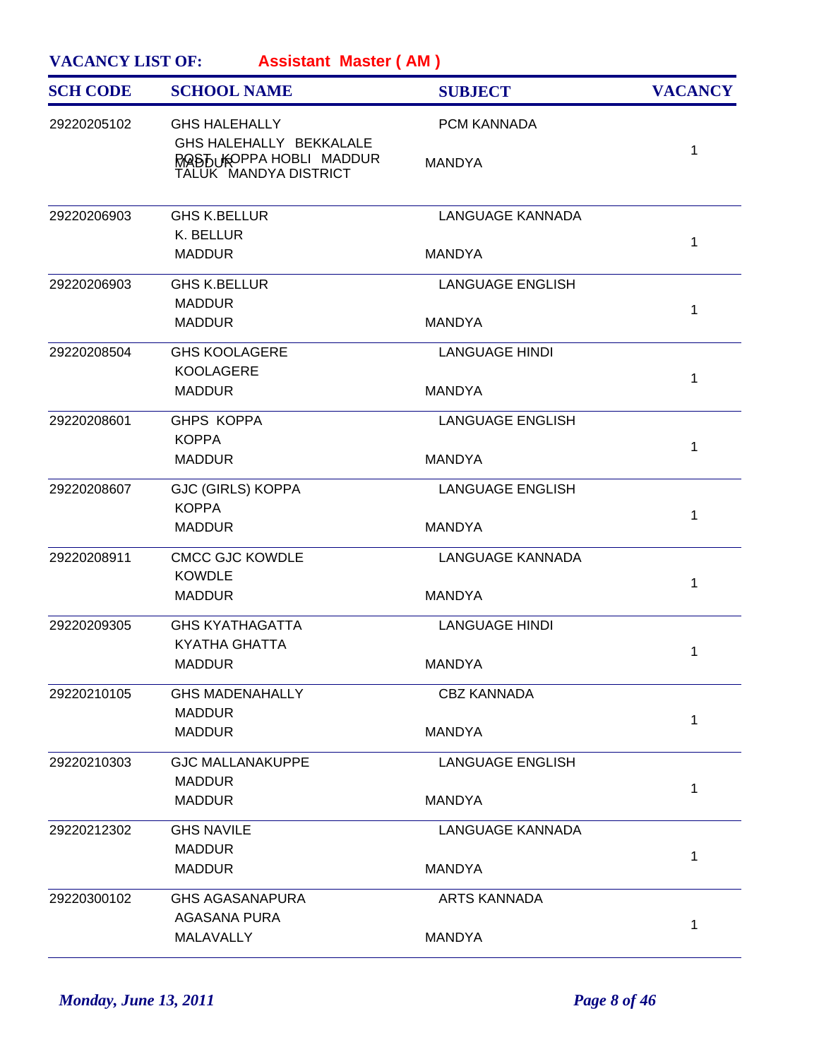| <b>VACANCY LIST OF:</b><br><b>Assistant Master (AM)</b> |                                                                               |                         |                |  |
|---------------------------------------------------------|-------------------------------------------------------------------------------|-------------------------|----------------|--|
| <b>SCH CODE</b>                                         | <b>SCHOOL NAME</b>                                                            | <b>SUBJECT</b>          | <b>VACANCY</b> |  |
| 29220205102                                             | <b>GHS HALEHALLY</b>                                                          | <b>PCM KANNADA</b>      |                |  |
|                                                         | GHS HALEHALLY BEKKALALE<br>ROAST UKOPPA HOBLI MADDUR<br>TALUK MANDYA DISTRICT | <b>MANDYA</b>           | 1              |  |
| 29220206903                                             | <b>GHS K.BELLUR</b><br>K. BELLUR                                              | LANGUAGE KANNADA        | 1              |  |
|                                                         | <b>MADDUR</b>                                                                 | <b>MANDYA</b>           |                |  |
| 29220206903                                             | <b>GHS K.BELLUR</b><br><b>MADDUR</b>                                          | <b>LANGUAGE ENGLISH</b> |                |  |
|                                                         | <b>MADDUR</b>                                                                 | <b>MANDYA</b>           | 1              |  |
| 29220208504                                             | <b>GHS KOOLAGERE</b>                                                          | <b>LANGUAGE HINDI</b>   |                |  |
|                                                         | <b>KOOLAGERE</b><br><b>MADDUR</b>                                             | <b>MANDYA</b>           | 1              |  |
| 29220208601                                             | <b>GHPS KOPPA</b>                                                             | <b>LANGUAGE ENGLISH</b> |                |  |
|                                                         | <b>KOPPA</b><br><b>MADDUR</b>                                                 | <b>MANDYA</b>           | $\mathbf{1}$   |  |
| 29220208607                                             | <b>GJC (GIRLS) KOPPA</b>                                                      | <b>LANGUAGE ENGLISH</b> |                |  |
|                                                         | <b>KOPPA</b><br><b>MADDUR</b>                                                 | <b>MANDYA</b>           | 1              |  |
| 29220208911                                             | <b>CMCC GJC KOWDLE</b>                                                        | LANGUAGE KANNADA        |                |  |
|                                                         | <b>KOWDLE</b><br><b>MADDUR</b>                                                | <b>MANDYA</b>           | 1              |  |
| 29220209305                                             | <b>GHS KYATHAGATTA</b>                                                        | <b>LANGUAGE HINDI</b>   |                |  |
|                                                         | KYATHA GHATTA                                                                 |                         | $\mathbf{1}$   |  |
|                                                         | <b>MADDUR</b>                                                                 | <b>MANDYA</b>           |                |  |
| 29220210105                                             | <b>GHS MADENAHALLY</b><br><b>MADDUR</b>                                       | <b>CBZ KANNADA</b>      |                |  |
|                                                         | <b>MADDUR</b>                                                                 | <b>MANDYA</b>           | 1              |  |
| 29220210303                                             | <b>GJC MALLANAKUPPE</b>                                                       | <b>LANGUAGE ENGLISH</b> |                |  |
|                                                         | <b>MADDUR</b><br><b>MADDUR</b>                                                | <b>MANDYA</b>           | 1              |  |
| 29220212302                                             | <b>GHS NAVILE</b>                                                             | LANGUAGE KANNADA        |                |  |
|                                                         | <b>MADDUR</b><br><b>MADDUR</b>                                                | <b>MANDYA</b>           | 1              |  |
| 29220300102                                             | <b>GHS AGASANAPURA</b>                                                        | <b>ARTS KANNADA</b>     |                |  |
|                                                         | AGASANA PURA                                                                  |                         | 1              |  |
|                                                         | MALAVALLY                                                                     | <b>MANDYA</b>           |                |  |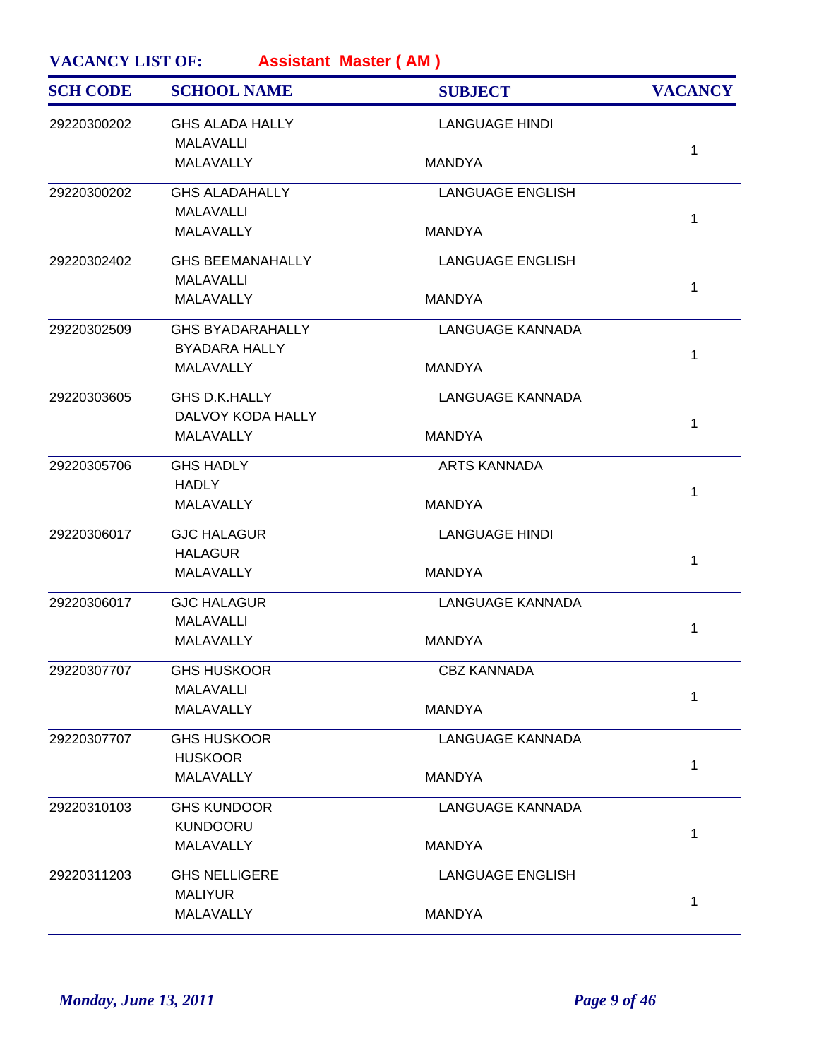| <b>SCH CODE</b> | <b>SCHOOL NAME</b>      | <b>SUBJECT</b>          | <b>VACANCY</b> |
|-----------------|-------------------------|-------------------------|----------------|
| 29220300202     | <b>GHS ALADA HALLY</b>  | <b>LANGUAGE HINDI</b>   |                |
|                 | <b>MALAVALLI</b>        |                         | $\mathbf{1}$   |
|                 | <b>MALAVALLY</b>        | <b>MANDYA</b>           |                |
| 29220300202     | <b>GHS ALADAHALLY</b>   | <b>LANGUAGE ENGLISH</b> |                |
|                 | <b>MALAVALLI</b>        |                         | 1              |
|                 | <b>MALAVALLY</b>        | <b>MANDYA</b>           |                |
| 29220302402     | <b>GHS BEEMANAHALLY</b> | <b>LANGUAGE ENGLISH</b> |                |
|                 | <b>MALAVALLI</b>        |                         | $\mathbf{1}$   |
|                 | MALAVALLY               | <b>MANDYA</b>           |                |
| 29220302509     | <b>GHS BYADARAHALLY</b> | <b>LANGUAGE KANNADA</b> |                |
|                 | <b>BYADARA HALLY</b>    |                         | $\mathbf{1}$   |
|                 | MALAVALLY               | <b>MANDYA</b>           |                |
| 29220303605     | <b>GHS D.K.HALLY</b>    | <b>LANGUAGE KANNADA</b> |                |
|                 | DALVOY KODA HALLY       |                         | 1              |
|                 | <b>MALAVALLY</b>        | <b>MANDYA</b>           |                |
| 29220305706     | <b>GHS HADLY</b>        | <b>ARTS KANNADA</b>     |                |
|                 | <b>HADLY</b>            |                         | $\mathbf{1}$   |
|                 | MALAVALLY               | <b>MANDYA</b>           |                |
| 29220306017     | <b>GJC HALAGUR</b>      | <b>LANGUAGE HINDI</b>   |                |
|                 | <b>HALAGUR</b>          |                         | $\mathbf{1}$   |
|                 | MALAVALLY               | <b>MANDYA</b>           |                |
| 29220306017     | <b>GJC HALAGUR</b>      | <b>LANGUAGE KANNADA</b> |                |
|                 | <b>MALAVALLI</b>        |                         | $\mathbf{1}$   |
|                 | MALAVALLY               | <b>MANDYA</b>           |                |
| 29220307707     | <b>GHS HUSKOOR</b>      | CBZ KANNADA             |                |
|                 | <b>MALAVALLI</b>        |                         | $\mathbf{1}$   |
|                 | MALAVALLY               | <b>MANDYA</b>           |                |
| 29220307707     | <b>GHS HUSKOOR</b>      | <b>LANGUAGE KANNADA</b> |                |
|                 | <b>HUSKOOR</b>          |                         | 1              |
|                 | MALAVALLY               | <b>MANDYA</b>           |                |
| 29220310103     | <b>GHS KUNDOOR</b>      | <b>LANGUAGE KANNADA</b> |                |
|                 | <b>KUNDOORU</b>         |                         | $\mathbf{1}$   |
|                 | MALAVALLY               | <b>MANDYA</b>           |                |
| 29220311203     | <b>GHS NELLIGERE</b>    | <b>LANGUAGE ENGLISH</b> |                |
|                 | <b>MALIYUR</b>          |                         | 1              |
|                 | MALAVALLY               | <b>MANDYA</b>           |                |
|                 |                         |                         |                |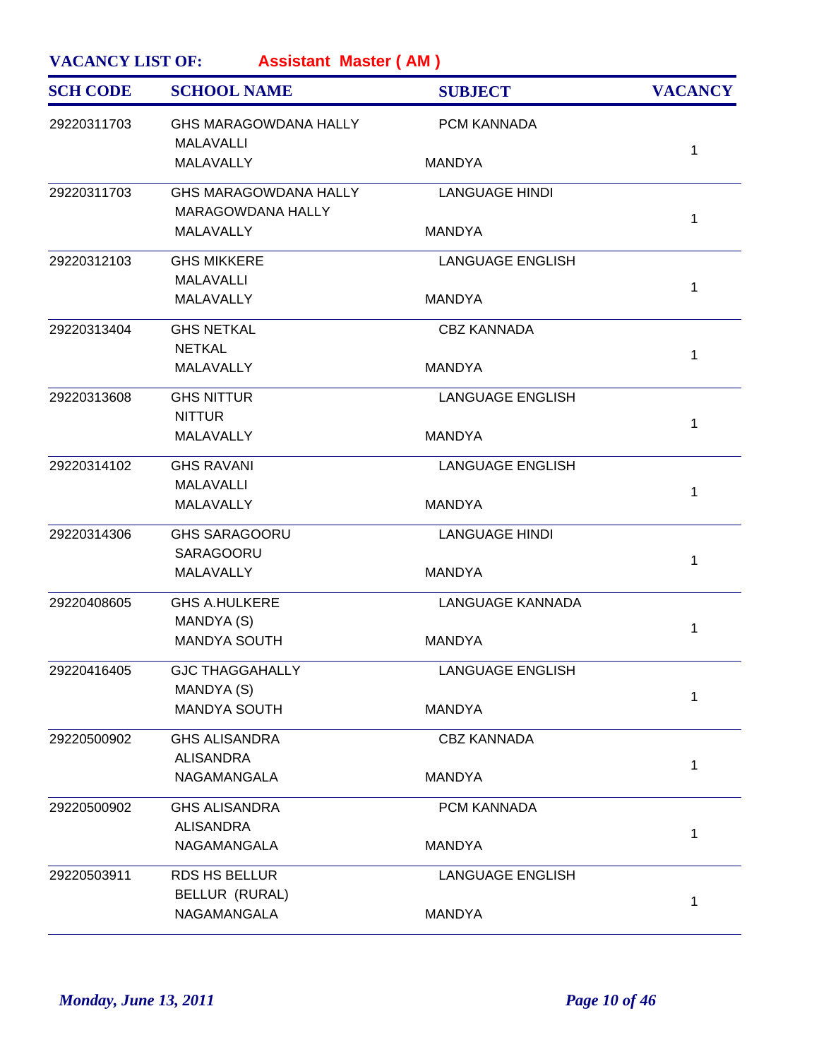| <b>Assistant Master (AM)</b><br><b>VACANCY LIST OF:</b> |  |
|---------------------------------------------------------|--|
|---------------------------------------------------------|--|

| <b>SCH CODE</b> | <b>SCHOOL NAME</b>                                       | <b>SUBJECT</b>          | <b>VACANCY</b> |
|-----------------|----------------------------------------------------------|-------------------------|----------------|
| 29220311703     | <b>GHS MARAGOWDANA HALLY</b><br>MALAVALLI                | <b>PCM KANNADA</b>      |                |
|                 | MALAVALLY                                                | <b>MANDYA</b>           | 1              |
| 29220311703     | <b>GHS MARAGOWDANA HALLY</b><br><b>MARAGOWDANA HALLY</b> | <b>LANGUAGE HINDI</b>   | 1              |
|                 | MALAVALLY                                                | <b>MANDYA</b>           |                |
| 29220312103     | <b>GHS MIKKERE</b><br><b>MALAVALLI</b>                   | <b>LANGUAGE ENGLISH</b> | 1              |
|                 | <b>MALAVALLY</b>                                         | <b>MANDYA</b>           |                |
| 29220313404     | <b>GHS NETKAL</b><br><b>NETKAL</b>                       | <b>CBZ KANNADA</b>      | 1              |
|                 | MALAVALLY                                                | <b>MANDYA</b>           |                |
| 29220313608     | <b>GHS NITTUR</b><br><b>NITTUR</b>                       | <b>LANGUAGE ENGLISH</b> | 1              |
|                 | <b>MALAVALLY</b>                                         | <b>MANDYA</b>           |                |
| 29220314102     | <b>GHS RAVANI</b><br><b>MALAVALLI</b>                    | <b>LANGUAGE ENGLISH</b> | 1              |
|                 | MALAVALLY                                                | <b>MANDYA</b>           |                |
| 29220314306     | <b>GHS SARAGOORU</b><br>SARAGOORU                        | <b>LANGUAGE HINDI</b>   | 1              |
|                 | MALAVALLY                                                | <b>MANDYA</b>           |                |
| 29220408605     | <b>GHS A.HULKERE</b><br>MANDYA (S)                       | <b>LANGUAGE KANNADA</b> | 1              |
|                 | <b>MANDYA SOUTH</b>                                      | <b>MANDYA</b>           |                |
| 29220416405     | <b>GJC THAGGAHALLY</b><br>MANDYA (S)                     | LANGUAGE ENGLISH        | 1              |
|                 | <b>MANDYA SOUTH</b>                                      | <b>MANDYA</b>           |                |
| 29220500902     | <b>GHS ALISANDRA</b><br><b>ALISANDRA</b>                 | <b>CBZ KANNADA</b>      |                |
|                 | NAGAMANGALA                                              | <b>MANDYA</b>           | 1              |
| 29220500902     | <b>GHS ALISANDRA</b><br><b>ALISANDRA</b>                 | PCM KANNADA             | 1              |
|                 | NAGAMANGALA                                              | <b>MANDYA</b>           |                |
| 29220503911     | RDS HS BELLUR<br>BELLUR (RURAL)                          | <b>LANGUAGE ENGLISH</b> | 1              |
|                 | NAGAMANGALA                                              | <b>MANDYA</b>           |                |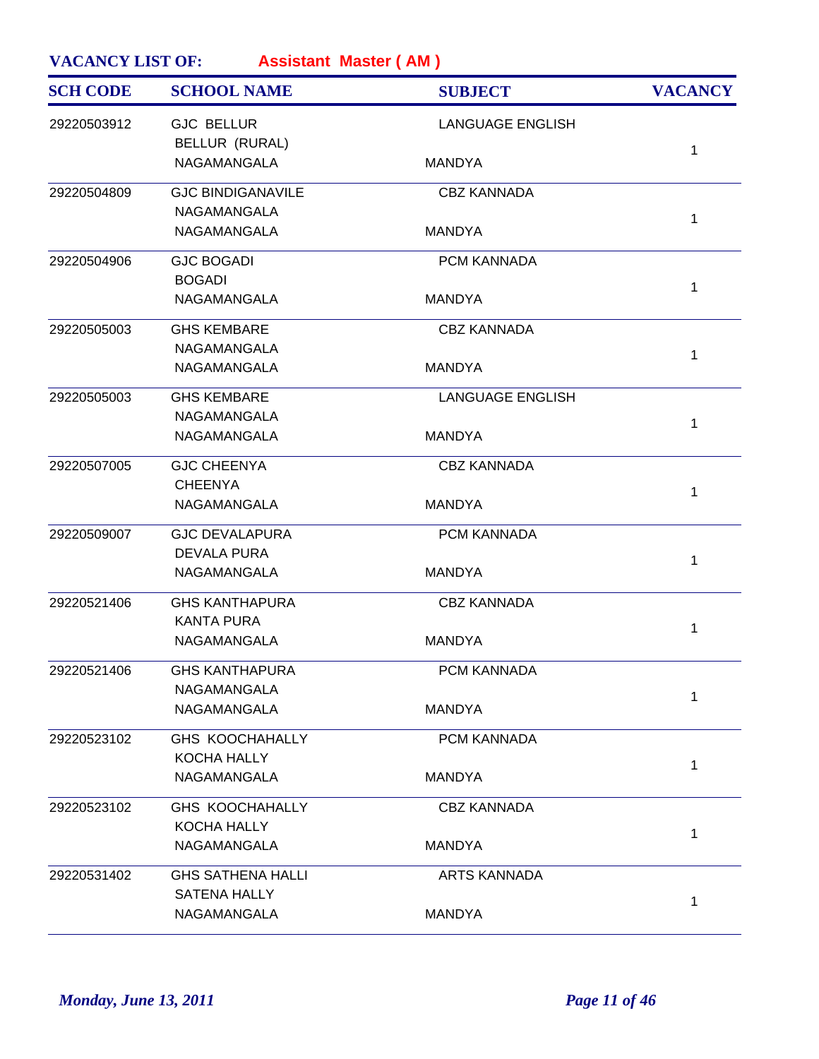| <b>SCH CODE</b> | <b>SCHOOL NAME</b>       | <b>SUBJECT</b>          | <b>VACANCY</b> |
|-----------------|--------------------------|-------------------------|----------------|
| 29220503912     | <b>GJC BELLUR</b>        | <b>LANGUAGE ENGLISH</b> |                |
|                 | BELLUR (RURAL)           |                         | $\mathbf{1}$   |
|                 | NAGAMANGALA              | <b>MANDYA</b>           |                |
| 29220504809     | <b>GJC BINDIGANAVILE</b> | <b>CBZ KANNADA</b>      |                |
|                 | NAGAMANGALA              |                         | 1              |
|                 | NAGAMANGALA              | <b>MANDYA</b>           |                |
| 29220504906     | <b>GJC BOGADI</b>        | PCM KANNADA             |                |
|                 | <b>BOGADI</b>            |                         | $\mathbf{1}$   |
|                 | NAGAMANGALA              | <b>MANDYA</b>           |                |
| 29220505003     | <b>GHS KEMBARE</b>       | <b>CBZ KANNADA</b>      |                |
|                 | NAGAMANGALA              |                         | $\mathbf{1}$   |
|                 | NAGAMANGALA              | <b>MANDYA</b>           |                |
| 29220505003     | <b>GHS KEMBARE</b>       | <b>LANGUAGE ENGLISH</b> |                |
|                 | NAGAMANGALA              |                         | $\mathbf{1}$   |
|                 | <b>NAGAMANGALA</b>       | <b>MANDYA</b>           |                |
| 29220507005     | <b>GJC CHEENYA</b>       | <b>CBZ KANNADA</b>      |                |
|                 | <b>CHEENYA</b>           |                         | $\mathbf{1}$   |
|                 | NAGAMANGALA              | <b>MANDYA</b>           |                |
| 29220509007     | <b>GJC DEVALAPURA</b>    | PCM KANNADA             |                |
|                 | <b>DEVALA PURA</b>       |                         | $\mathbf{1}$   |
|                 | NAGAMANGALA              | <b>MANDYA</b>           |                |
| 29220521406     | <b>GHS KANTHAPURA</b>    | <b>CBZ KANNADA</b>      |                |
|                 | <b>KANTA PURA</b>        |                         | $\mathbf{1}$   |
|                 | NAGAMANGALA              | <b>MANDYA</b>           |                |
| 29220521406     | <b>GHS KANTHAPURA</b>    | PCM KANNADA             |                |
|                 | NAGAMANGALA              |                         | $\mathbf{1}$   |
|                 | NAGAMANGALA              | <b>MANDYA</b>           |                |
| 29220523102     | <b>GHS KOOCHAHALLY</b>   | PCM KANNADA             |                |
|                 | KOCHA HALLY              |                         | 1              |
|                 | NAGAMANGALA              | <b>MANDYA</b>           |                |
| 29220523102     | <b>GHS KOOCHAHALLY</b>   | <b>CBZ KANNADA</b>      |                |
|                 | KOCHA HALLY              |                         | $\mathbf{1}$   |
|                 | NAGAMANGALA              | <b>MANDYA</b>           |                |
| 29220531402     | <b>GHS SATHENA HALLI</b> | <b>ARTS KANNADA</b>     |                |
|                 | SATENA HALLY             |                         | 1              |
|                 | NAGAMANGALA              | <b>MANDYA</b>           |                |
|                 |                          |                         |                |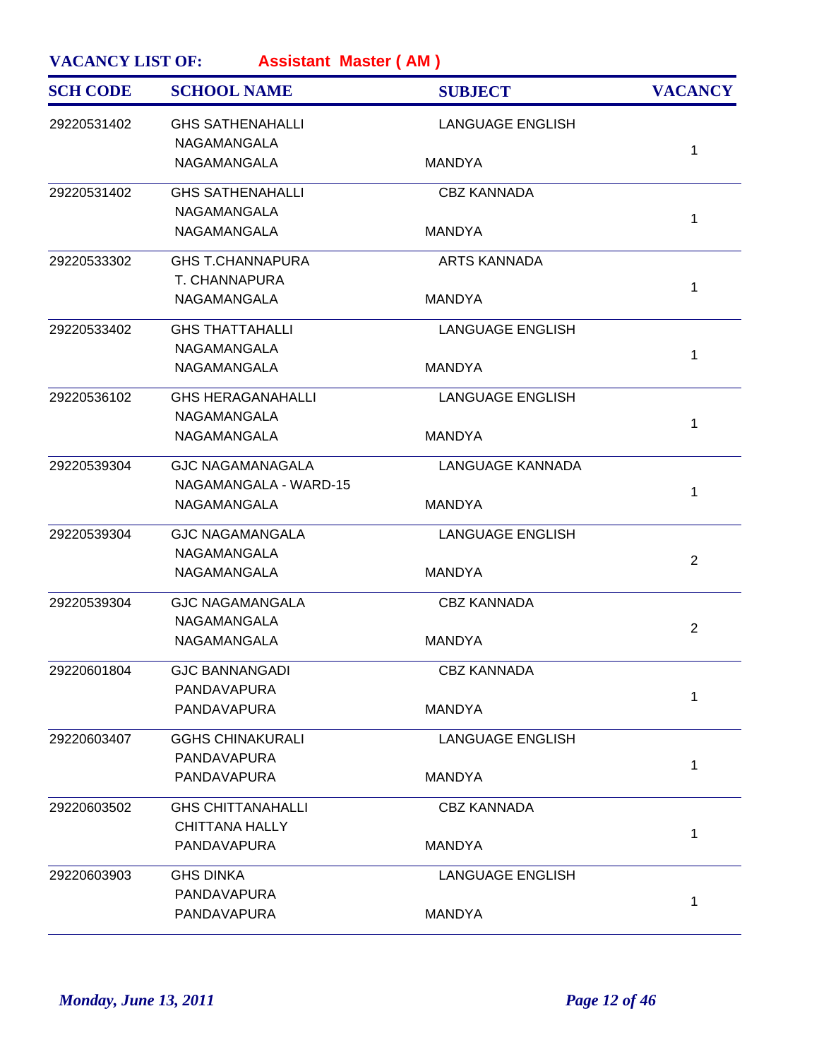| <b>SCH CODE</b> | <b>SCHOOL NAME</b>       | <b>SUBJECT</b>          | <b>VACANCY</b> |
|-----------------|--------------------------|-------------------------|----------------|
| 29220531402     | <b>GHS SATHENAHALLI</b>  | <b>LANGUAGE ENGLISH</b> |                |
|                 | NAGAMANGALA              |                         |                |
|                 | NAGAMANGALA              | <b>MANDYA</b>           | 1              |
| 29220531402     | <b>GHS SATHENAHALLI</b>  | <b>CBZ KANNADA</b>      |                |
|                 | NAGAMANGALA              |                         | $\mathbf{1}$   |
|                 | NAGAMANGALA              | <b>MANDYA</b>           |                |
| 29220533302     | <b>GHS T.CHANNAPURA</b>  | <b>ARTS KANNADA</b>     |                |
|                 | T. CHANNAPURA            |                         | $\mathbf{1}$   |
|                 | NAGAMANGALA              | <b>MANDYA</b>           |                |
| 29220533402     | <b>GHS THATTAHALLI</b>   | <b>LANGUAGE ENGLISH</b> |                |
|                 | NAGAMANGALA              |                         | 1              |
|                 | NAGAMANGALA              | <b>MANDYA</b>           |                |
| 29220536102     | <b>GHS HERAGANAHALLI</b> | <b>LANGUAGE ENGLISH</b> |                |
|                 | <b>NAGAMANGALA</b>       |                         | 1              |
|                 | <b>NAGAMANGALA</b>       | <b>MANDYA</b>           |                |
| 29220539304     | <b>GJC NAGAMANAGALA</b>  | LANGUAGE KANNADA        |                |
|                 | NAGAMANGALA - WARD-15    |                         | 1              |
|                 | NAGAMANGALA              | <b>MANDYA</b>           |                |
| 29220539304     | <b>GJC NAGAMANGALA</b>   | <b>LANGUAGE ENGLISH</b> |                |
|                 | NAGAMANGALA              |                         | 2              |
|                 | NAGAMANGALA              | <b>MANDYA</b>           |                |
| 29220539304     | <b>GJC NAGAMANGALA</b>   | <b>CBZ KANNADA</b>      |                |
|                 | NAGAMANGALA              |                         | $\overline{2}$ |
|                 | NAGAMANGALA              | <b>MANDYA</b>           |                |
| 29220601804     | <b>GJC BANNANGADI</b>    | <b>CBZ KANNADA</b>      |                |
|                 | PANDAVAPURA              |                         | 1              |
|                 | <b>PANDAVAPURA</b>       | <b>MANDYA</b>           |                |
| 29220603407     | <b>GGHS CHINAKURALI</b>  | <b>LANGUAGE ENGLISH</b> |                |
|                 | PANDAVAPURA              |                         | 1              |
|                 | PANDAVAPURA              | <b>MANDYA</b>           |                |
| 29220603502     | <b>GHS CHITTANAHALLI</b> | <b>CBZ KANNADA</b>      |                |
|                 | <b>CHITTANA HALLY</b>    |                         | $\mathbf{1}$   |
|                 | PANDAVAPURA              | <b>MANDYA</b>           |                |
| 29220603903     | <b>GHS DINKA</b>         | <b>LANGUAGE ENGLISH</b> |                |
|                 | PANDAVAPURA              |                         | 1              |
|                 | PANDAVAPURA              | <b>MANDYA</b>           |                |
|                 |                          |                         |                |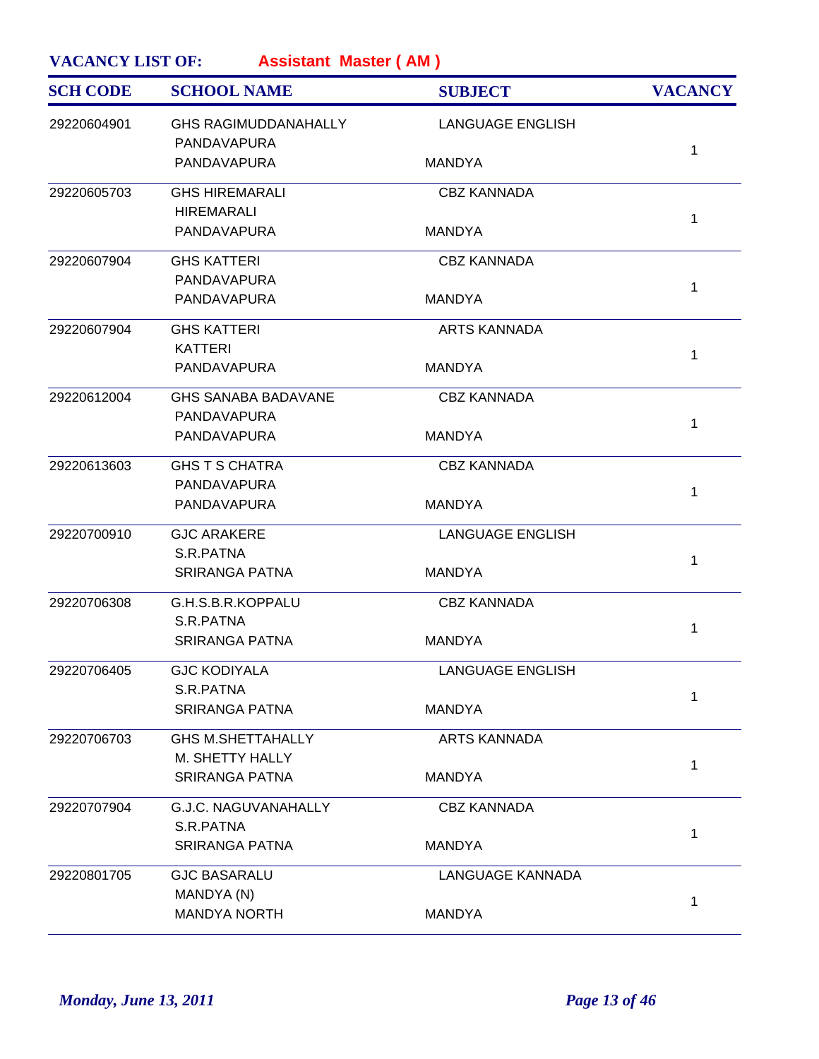| <b>SCH CODE</b> | <b>SCHOOL NAME</b>                         | <b>SUBJECT</b>          | <b>VACANCY</b> |
|-----------------|--------------------------------------------|-------------------------|----------------|
| 29220604901     | <b>GHS RAGIMUDDANAHALLY</b><br>PANDAVAPURA | <b>LANGUAGE ENGLISH</b> |                |
|                 | PANDAVAPURA                                | <b>MANDYA</b>           | $\mathbf{1}$   |
| 29220605703     | <b>GHS HIREMARALI</b>                      | <b>CBZ KANNADA</b>      |                |
|                 | <b>HIREMARALI</b><br>PANDAVAPURA           | <b>MANDYA</b>           | $\mathbf 1$    |
| 29220607904     | <b>GHS KATTERI</b>                         | <b>CBZ KANNADA</b>      |                |
|                 | PANDAVAPURA                                |                         | 1              |
|                 | PANDAVAPURA                                | <b>MANDYA</b>           |                |
| 29220607904     | <b>GHS KATTERI</b>                         | <b>ARTS KANNADA</b>     |                |
|                 | <b>KATTERI</b>                             |                         | $\mathbf{1}$   |
|                 | PANDAVAPURA                                | <b>MANDYA</b>           |                |
| 29220612004     | <b>GHS SANABA BADAVANE</b>                 | <b>CBZ KANNADA</b>      |                |
|                 | PANDAVAPURA                                |                         | $\mathbf{1}$   |
|                 | PANDAVAPURA                                | <b>MANDYA</b>           |                |
| 29220613603     | <b>GHS T S CHATRA</b>                      | <b>CBZ KANNADA</b>      |                |
|                 | PANDAVAPURA                                |                         | $\mathbf{1}$   |
|                 | PANDAVAPURA                                | <b>MANDYA</b>           |                |
| 29220700910     | <b>GJC ARAKERE</b>                         | <b>LANGUAGE ENGLISH</b> |                |
|                 | S.R.PATNA                                  |                         | 1              |
|                 | <b>SRIRANGA PATNA</b>                      | <b>MANDYA</b>           |                |
| 29220706308     | G.H.S.B.R.KOPPALU                          | <b>CBZ KANNADA</b>      |                |
|                 | S.R.PATNA                                  |                         | 1              |
|                 | <b>SRIRANGA PATNA</b>                      | <b>MANDYA</b>           |                |
| 29220706405     | <b>GJC KODIYALA</b>                        | <b>LANGUAGE ENGLISH</b> |                |
|                 | S.R.PATNA                                  |                         | 1              |
|                 | <b>SRIRANGA PATNA</b>                      | <b>MANDYA</b>           |                |
| 29220706703     | <b>GHS M.SHETTAHALLY</b>                   | <b>ARTS KANNADA</b>     |                |
|                 | M. SHETTY HALLY                            |                         | $\mathbf 1$    |
|                 | <b>SRIRANGA PATNA</b>                      | <b>MANDYA</b>           |                |
| 29220707904     | G.J.C. NAGUVANAHALLY                       | <b>CBZ KANNADA</b>      |                |
|                 | S.R.PATNA                                  |                         | 1              |
|                 | <b>SRIRANGA PATNA</b>                      | <b>MANDYA</b>           |                |
| 29220801705     | <b>GJC BASARALU</b>                        | <b>LANGUAGE KANNADA</b> |                |
|                 | MANDYA (N)                                 |                         | 1              |
|                 | <b>MANDYA NORTH</b>                        | <b>MANDYA</b>           |                |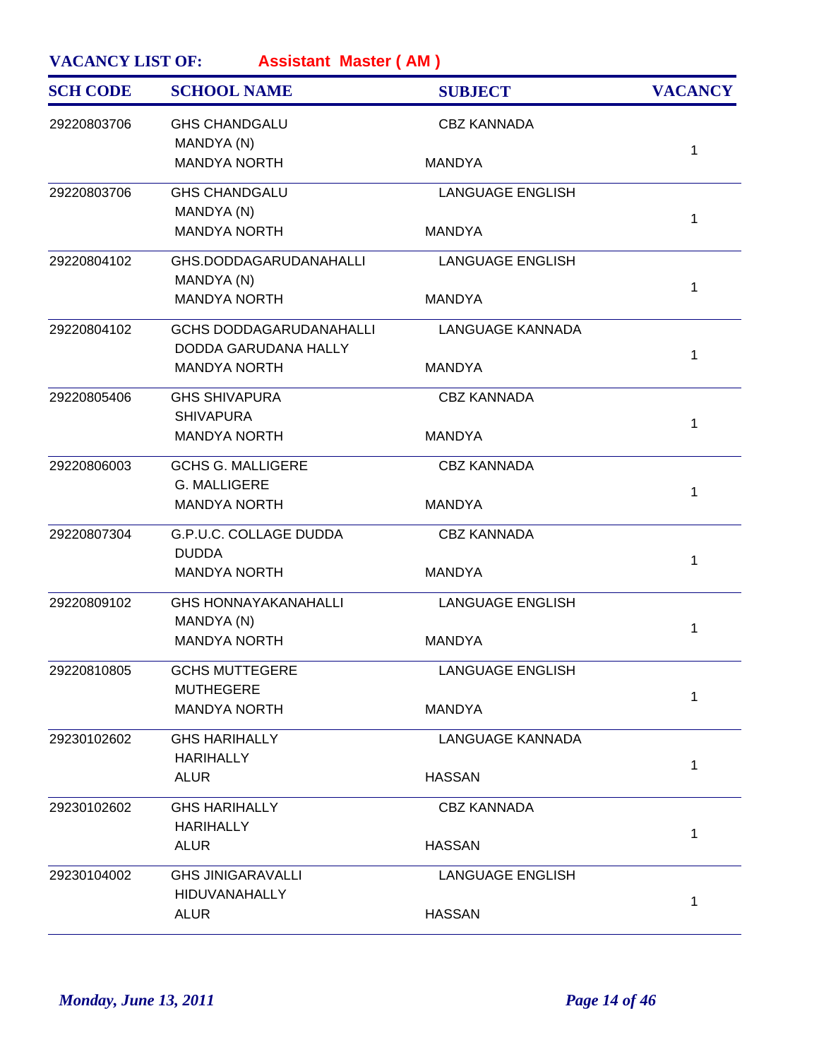| <b>GHS CHANDGALU</b><br><b>CBZ KANNADA</b><br>29220803706<br>MANDYA (N)<br><b>MANDYA NORTH</b><br><b>MANDYA</b><br>29220803706<br><b>GHS CHANDGALU</b><br><b>LANGUAGE ENGLISH</b><br>MANDYA (N)<br><b>MANDYA NORTH</b><br><b>MANDYA</b><br>29220804102<br>GHS.DODDAGARUDANAHALLI<br><b>LANGUAGE ENGLISH</b><br>MANDYA (N)<br><b>MANDYA NORTH</b><br><b>MANDYA</b><br>29220804102<br><b>GCHS DODDAGARUDANAHALLI</b><br>LANGUAGE KANNADA<br>DODDA GARUDANA HALLY<br><b>MANDYA NORTH</b><br><b>MANDYA</b><br>29220805406<br><b>GHS SHIVAPURA</b><br><b>CBZ KANNADA</b><br><b>SHIVAPURA</b><br><b>MANDYA NORTH</b><br><b>MANDYA</b><br>29220806003<br><b>GCHS G. MALLIGERE</b><br><b>CBZ KANNADA</b><br><b>G. MALLIGERE</b><br><b>MANDYA NORTH</b><br><b>MANDYA</b><br>G.P.U.C. COLLAGE DUDDA<br>29220807304<br><b>CBZ KANNADA</b> | <b>VACANCY</b> |
|--------------------------------------------------------------------------------------------------------------------------------------------------------------------------------------------------------------------------------------------------------------------------------------------------------------------------------------------------------------------------------------------------------------------------------------------------------------------------------------------------------------------------------------------------------------------------------------------------------------------------------------------------------------------------------------------------------------------------------------------------------------------------------------------------------------------------------|----------------|
|                                                                                                                                                                                                                                                                                                                                                                                                                                                                                                                                                                                                                                                                                                                                                                                                                                |                |
|                                                                                                                                                                                                                                                                                                                                                                                                                                                                                                                                                                                                                                                                                                                                                                                                                                | 1              |
|                                                                                                                                                                                                                                                                                                                                                                                                                                                                                                                                                                                                                                                                                                                                                                                                                                |                |
|                                                                                                                                                                                                                                                                                                                                                                                                                                                                                                                                                                                                                                                                                                                                                                                                                                | 1              |
|                                                                                                                                                                                                                                                                                                                                                                                                                                                                                                                                                                                                                                                                                                                                                                                                                                | 1              |
|                                                                                                                                                                                                                                                                                                                                                                                                                                                                                                                                                                                                                                                                                                                                                                                                                                |                |
|                                                                                                                                                                                                                                                                                                                                                                                                                                                                                                                                                                                                                                                                                                                                                                                                                                | 1              |
|                                                                                                                                                                                                                                                                                                                                                                                                                                                                                                                                                                                                                                                                                                                                                                                                                                |                |
|                                                                                                                                                                                                                                                                                                                                                                                                                                                                                                                                                                                                                                                                                                                                                                                                                                | 1              |
|                                                                                                                                                                                                                                                                                                                                                                                                                                                                                                                                                                                                                                                                                                                                                                                                                                |                |
|                                                                                                                                                                                                                                                                                                                                                                                                                                                                                                                                                                                                                                                                                                                                                                                                                                | 1              |
|                                                                                                                                                                                                                                                                                                                                                                                                                                                                                                                                                                                                                                                                                                                                                                                                                                |                |
| <b>DUDDA</b>                                                                                                                                                                                                                                                                                                                                                                                                                                                                                                                                                                                                                                                                                                                                                                                                                   | 1              |
| <b>MANDYA NORTH</b><br><b>MANDYA</b>                                                                                                                                                                                                                                                                                                                                                                                                                                                                                                                                                                                                                                                                                                                                                                                           |                |
| 29220809102<br><b>GHS HONNAYAKANAHALLI</b><br><b>LANGUAGE ENGLISH</b><br>MANDYA (N)                                                                                                                                                                                                                                                                                                                                                                                                                                                                                                                                                                                                                                                                                                                                            | 1              |
| <b>MANDYA NORTH</b><br><b>MANDYA</b>                                                                                                                                                                                                                                                                                                                                                                                                                                                                                                                                                                                                                                                                                                                                                                                           |                |
| 29220810805<br><b>GCHS MUTTEGERE</b><br><b>LANGUAGE ENGLISH</b><br><b>MUTHEGERE</b>                                                                                                                                                                                                                                                                                                                                                                                                                                                                                                                                                                                                                                                                                                                                            | 1              |
| <b>MANDYA NORTH</b><br><b>MANDYA</b>                                                                                                                                                                                                                                                                                                                                                                                                                                                                                                                                                                                                                                                                                                                                                                                           |                |
| <b>LANGUAGE KANNADA</b><br>29230102602<br><b>GHS HARIHALLY</b><br><b>HARIHALLY</b>                                                                                                                                                                                                                                                                                                                                                                                                                                                                                                                                                                                                                                                                                                                                             | 1              |
| <b>ALUR</b><br><b>HASSAN</b>                                                                                                                                                                                                                                                                                                                                                                                                                                                                                                                                                                                                                                                                                                                                                                                                   |                |
| 29230102602<br><b>GHS HARIHALLY</b><br><b>CBZ KANNADA</b><br><b>HARIHALLY</b>                                                                                                                                                                                                                                                                                                                                                                                                                                                                                                                                                                                                                                                                                                                                                  | 1              |
| <b>ALUR</b><br><b>HASSAN</b>                                                                                                                                                                                                                                                                                                                                                                                                                                                                                                                                                                                                                                                                                                                                                                                                   |                |
| 29230104002<br><b>GHS JINIGARAVALLI</b><br><b>LANGUAGE ENGLISH</b><br><b>HIDUVANAHALLY</b>                                                                                                                                                                                                                                                                                                                                                                                                                                                                                                                                                                                                                                                                                                                                     | 1              |
| <b>ALUR</b><br><b>HASSAN</b>                                                                                                                                                                                                                                                                                                                                                                                                                                                                                                                                                                                                                                                                                                                                                                                                   |                |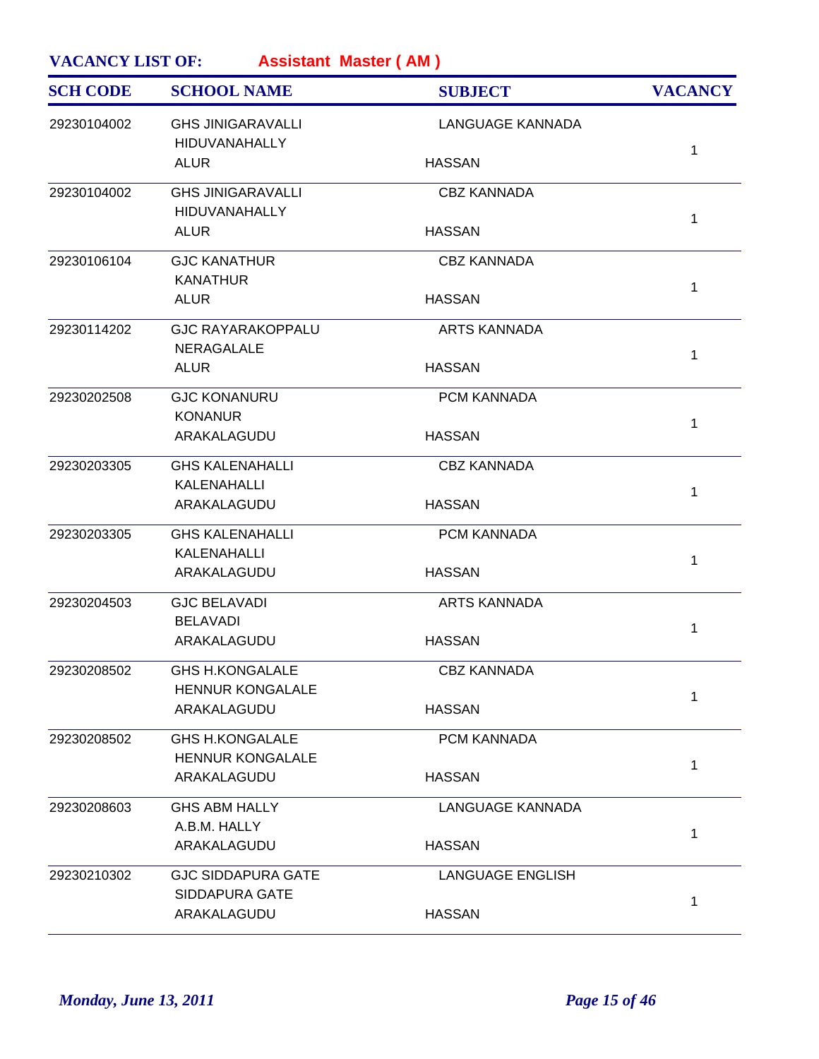| <b>SCH CODE</b> | <b>SCHOOL NAME</b>                                | <b>SUBJECT</b>          | <b>VACANCY</b> |
|-----------------|---------------------------------------------------|-------------------------|----------------|
| 29230104002     | <b>GHS JINIGARAVALLI</b><br><b>HIDUVANAHALLY</b>  | <b>LANGUAGE KANNADA</b> | $\mathbf 1$    |
|                 | <b>ALUR</b>                                       | <b>HASSAN</b>           |                |
| 29230104002     | <b>GHS JINIGARAVALLI</b><br><b>HIDUVANAHALLY</b>  | <b>CBZ KANNADA</b>      | $\mathbf 1$    |
|                 | <b>ALUR</b>                                       | <b>HASSAN</b>           |                |
| 29230106104     | <b>GJC KANATHUR</b><br><b>KANATHUR</b>            | <b>CBZ KANNADA</b>      | $\mathbf{1}$   |
|                 | <b>ALUR</b>                                       | <b>HASSAN</b>           |                |
| 29230114202     | <b>GJC RAYARAKOPPALU</b><br><b>NERAGALALE</b>     | <b>ARTS KANNADA</b>     | $\mathbf 1$    |
|                 | <b>ALUR</b>                                       | <b>HASSAN</b>           |                |
| 29230202508     | <b>GJC KONANURU</b><br><b>KONANUR</b>             | PCM KANNADA             | $\mathbf 1$    |
|                 | ARAKALAGUDU                                       | <b>HASSAN</b>           |                |
| 29230203305     | <b>GHS KALENAHALLI</b><br>KALENAHALLI             | <b>CBZ KANNADA</b>      |                |
|                 | ARAKALAGUDU                                       | <b>HASSAN</b>           | 1              |
| 29230203305     | <b>GHS KALENAHALLI</b><br>KALENAHALLI             | PCM KANNADA             |                |
|                 | ARAKALAGUDU                                       | <b>HASSAN</b>           | 1              |
| 29230204503     | <b>GJC BELAVADI</b><br><b>BELAVADI</b>            | <b>ARTS KANNADA</b>     | 1              |
|                 | ARAKALAGUDU                                       | <b>HASSAN</b>           |                |
| 29230208502     | GHS H KONGALALE<br><b>HENNUR KONGALALE</b>        | <b>CBZ KANNADA</b>      | 1              |
|                 | ARAKALAGUDU                                       | <b>HASSAN</b>           |                |
| 29230208502     | <b>GHS H.KONGALALE</b><br><b>HENNUR KONGALALE</b> | PCM KANNADA             | 1              |
|                 | ARAKALAGUDU                                       | <b>HASSAN</b>           |                |
| 29230208603     | <b>GHS ABM HALLY</b><br>A.B.M. HALLY              | <b>LANGUAGE KANNADA</b> |                |
|                 | ARAKALAGUDU                                       | <b>HASSAN</b>           | 1              |
| 29230210302     | <b>GJC SIDDAPURA GATE</b>                         | <b>LANGUAGE ENGLISH</b> |                |
|                 | <b>SIDDAPURA GATE</b>                             |                         | 1              |
|                 | ARAKALAGUDU                                       | <b>HASSAN</b>           |                |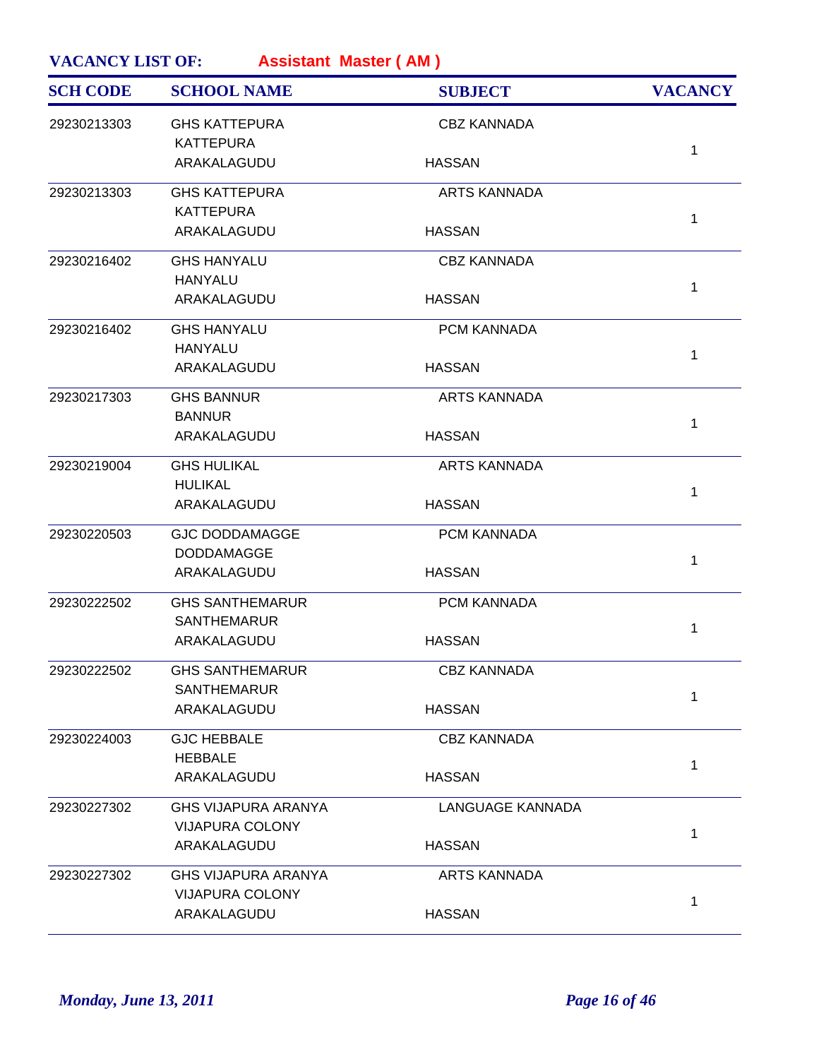| <b>SCH CODE</b> | <b>SCHOOL NAME</b>         | <b>SUBJECT</b>          | <b>VACANCY</b> |
|-----------------|----------------------------|-------------------------|----------------|
| 29230213303     | <b>GHS KATTEPURA</b>       | <b>CBZ KANNADA</b>      |                |
|                 | <b>KATTEPURA</b>           |                         | $\mathbf{1}$   |
|                 | ARAKALAGUDU                | <b>HASSAN</b>           |                |
| 29230213303     | <b>GHS KATTEPURA</b>       | <b>ARTS KANNADA</b>     |                |
|                 | <b>KATTEPURA</b>           |                         | $\mathbf{1}$   |
|                 | ARAKALAGUDU                | <b>HASSAN</b>           |                |
| 29230216402     | <b>GHS HANYALU</b>         | <b>CBZ KANNADA</b>      |                |
|                 | <b>HANYALU</b>             |                         | $\mathbf 1$    |
|                 | ARAKALAGUDU                | <b>HASSAN</b>           |                |
| 29230216402     | <b>GHS HANYALU</b>         | PCM KANNADA             |                |
|                 | <b>HANYALU</b>             |                         | $\mathbf 1$    |
|                 | ARAKALAGUDU                | <b>HASSAN</b>           |                |
| 29230217303     | <b>GHS BANNUR</b>          | <b>ARTS KANNADA</b>     |                |
|                 | <b>BANNUR</b>              |                         | $\mathbf{1}$   |
|                 | ARAKALAGUDU                | <b>HASSAN</b>           |                |
| 29230219004     | <b>GHS HULIKAL</b>         | <b>ARTS KANNADA</b>     |                |
|                 | <b>HULIKAL</b>             |                         | $\mathbf{1}$   |
|                 | ARAKALAGUDU                | <b>HASSAN</b>           |                |
| 29230220503     | <b>GJC DODDAMAGGE</b>      | PCM KANNADA             |                |
|                 | <b>DODDAMAGGE</b>          |                         | $\mathbf{1}$   |
|                 | ARAKALAGUDU                | <b>HASSAN</b>           |                |
| 29230222502     | <b>GHS SANTHEMARUR</b>     | PCM KANNADA             |                |
|                 | <b>SANTHEMARUR</b>         |                         | 1              |
|                 | ARAKALAGUDU                | <b>HASSAN</b>           |                |
| 29230222502     | <b>GHS SANTHEMARUR</b>     | <b>CBZ KANNADA</b>      |                |
|                 | <b>SANTHEMARUR</b>         |                         | $\mathbf{1}$   |
|                 | ARAKALAGUDU                | <b>HASSAN</b>           |                |
| 29230224003     | <b>GJC HEBBALE</b>         | <b>CBZ KANNADA</b>      |                |
|                 | <b>HEBBALE</b>             |                         | 1              |
|                 | ARAKALAGUDU                | <b>HASSAN</b>           |                |
| 29230227302     | <b>GHS VIJAPURA ARANYA</b> | <b>LANGUAGE KANNADA</b> |                |
|                 | <b>VIJAPURA COLONY</b>     |                         | $\mathbf{1}$   |
|                 | ARAKALAGUDU                | <b>HASSAN</b>           |                |
| 29230227302     | <b>GHS VIJAPURA ARANYA</b> | <b>ARTS KANNADA</b>     |                |
|                 | <b>VIJAPURA COLONY</b>     |                         | 1              |
|                 | ARAKALAGUDU                | <b>HASSAN</b>           |                |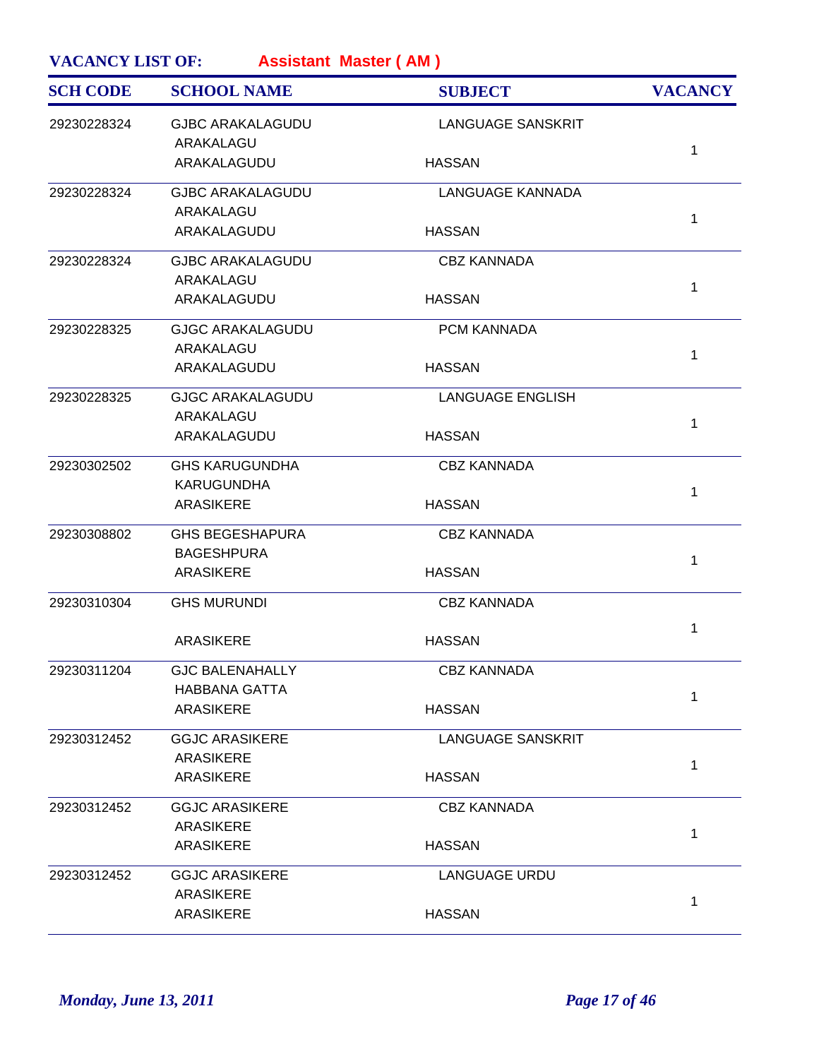| <b>SCH CODE</b> | <b>SCHOOL NAME</b>      | <b>SUBJECT</b>           | <b>VACANCY</b> |
|-----------------|-------------------------|--------------------------|----------------|
| 29230228324     | <b>GJBC ARAKALAGUDU</b> | <b>LANGUAGE SANSKRIT</b> |                |
|                 | ARAKALAGU               |                          | 1              |
|                 | ARAKALAGUDU             | <b>HASSAN</b>            |                |
| 29230228324     | <b>GJBC ARAKALAGUDU</b> | LANGUAGE KANNADA         |                |
|                 | ARAKALAGU               |                          | 1              |
|                 | ARAKALAGUDU             | <b>HASSAN</b>            |                |
| 29230228324     | <b>GJBC ARAKALAGUDU</b> | <b>CBZ KANNADA</b>       |                |
|                 | ARAKALAGU               |                          |                |
|                 | ARAKALAGUDU             | <b>HASSAN</b>            | 1              |
| 29230228325     | <b>GJGC ARAKALAGUDU</b> | PCM KANNADA              |                |
|                 | ARAKALAGU               |                          |                |
|                 | ARAKALAGUDU             | <b>HASSAN</b>            | 1              |
| 29230228325     | <b>GJGC ARAKALAGUDU</b> | <b>LANGUAGE ENGLISH</b>  |                |
|                 | ARAKALAGU               |                          |                |
|                 | ARAKALAGUDU             | <b>HASSAN</b>            | 1              |
| 29230302502     | <b>GHS KARUGUNDHA</b>   | <b>CBZ KANNADA</b>       |                |
|                 | <b>KARUGUNDHA</b>       |                          | 1              |
|                 | <b>ARASIKERE</b>        | <b>HASSAN</b>            |                |
| 29230308802     | <b>GHS BEGESHAPURA</b>  | <b>CBZ KANNADA</b>       |                |
|                 | <b>BAGESHPURA</b>       |                          | 1              |
|                 | <b>ARASIKERE</b>        | <b>HASSAN</b>            |                |
| 29230310304     | <b>GHS MURUNDI</b>      | <b>CBZ KANNADA</b>       |                |
|                 | <b>ARASIKERE</b>        | <b>HASSAN</b>            | 1              |
|                 |                         |                          |                |
| 29230311204     | <b>GJC BALENAHALLY</b>  | <b>CBZ KANNADA</b>       |                |
|                 | <b>HABBANA GATTA</b>    |                          | 1              |
|                 | <b>ARASIKERE</b>        | <b>HASSAN</b>            |                |
| 29230312452     | <b>GGJC ARASIKERE</b>   | <b>LANGUAGE SANSKRIT</b> |                |
|                 | <b>ARASIKERE</b>        |                          | 1              |
|                 | <b>ARASIKERE</b>        | <b>HASSAN</b>            |                |
| 29230312452     | <b>GGJC ARASIKERE</b>   | <b>CBZ KANNADA</b>       |                |
|                 | <b>ARASIKERE</b>        |                          | 1              |
|                 | <b>ARASIKERE</b>        | <b>HASSAN</b>            |                |
| 29230312452     | <b>GGJC ARASIKERE</b>   | <b>LANGUAGE URDU</b>     |                |
|                 | <b>ARASIKERE</b>        |                          | 1              |
|                 | <b>ARASIKERE</b>        | <b>HASSAN</b>            |                |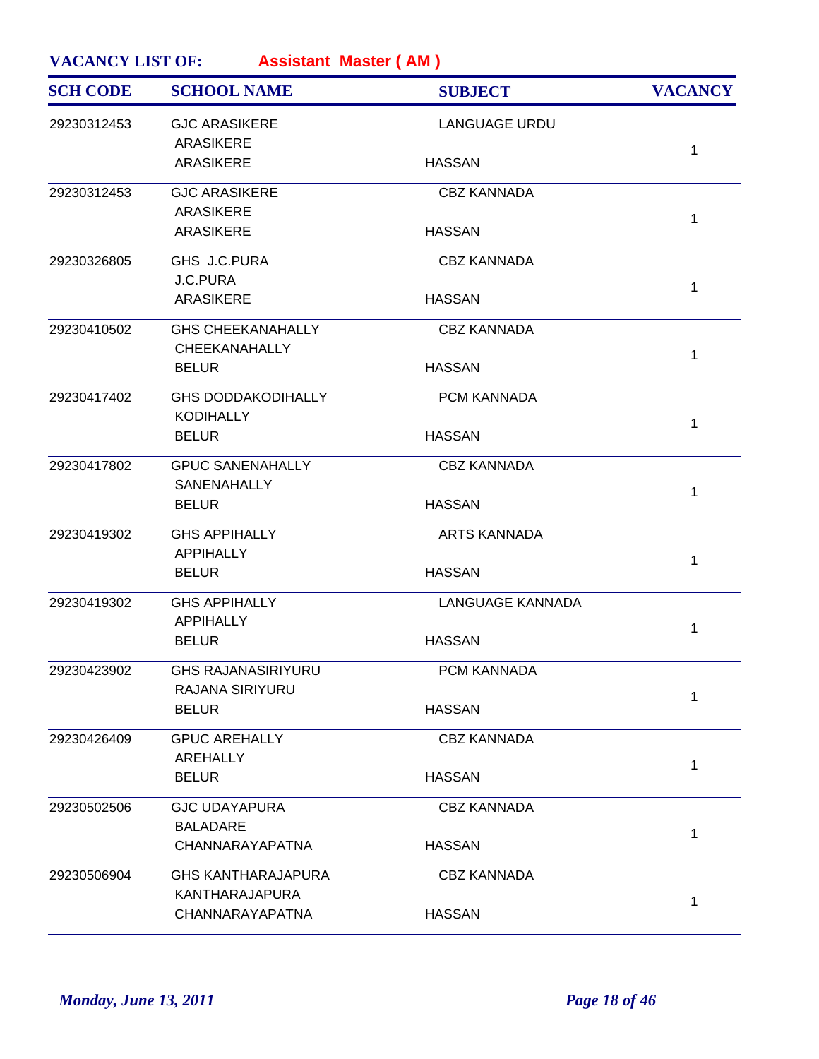| <b>SCH CODE</b> | <b>SCHOOL NAME</b>        | <b>SUBJECT</b>          | <b>VACANCY</b> |
|-----------------|---------------------------|-------------------------|----------------|
| 29230312453     | <b>GJC ARASIKERE</b>      | <b>LANGUAGE URDU</b>    |                |
|                 | <b>ARASIKERE</b>          |                         | $\mathbf 1$    |
|                 | <b>ARASIKERE</b>          | <b>HASSAN</b>           |                |
| 29230312453     | <b>GJC ARASIKERE</b>      | <b>CBZ KANNADA</b>      |                |
|                 | <b>ARASIKERE</b>          |                         | $\mathbf 1$    |
|                 | <b>ARASIKERE</b>          | <b>HASSAN</b>           |                |
| 29230326805     | GHS J.C.PURA              | <b>CBZ KANNADA</b>      |                |
|                 | J.C.PURA                  |                         | $\mathbf{1}$   |
|                 | <b>ARASIKERE</b>          | <b>HASSAN</b>           |                |
| 29230410502     | <b>GHS CHEEKANAHALLY</b>  | <b>CBZ KANNADA</b>      |                |
|                 | CHEEKANAHALLY             |                         | $\mathbf 1$    |
|                 | <b>BELUR</b>              | <b>HASSAN</b>           |                |
| 29230417402     | <b>GHS DODDAKODIHALLY</b> | PCM KANNADA             |                |
|                 | <b>KODIHALLY</b>          |                         | $\mathbf 1$    |
|                 | <b>BELUR</b>              | <b>HASSAN</b>           |                |
| 29230417802     | <b>GPUC SANENAHALLY</b>   | <b>CBZ KANNADA</b>      |                |
|                 | <b>SANENAHALLY</b>        |                         | $\mathbf{1}$   |
|                 | <b>BELUR</b>              | <b>HASSAN</b>           |                |
| 29230419302     | <b>GHS APPIHALLY</b>      | <b>ARTS KANNADA</b>     |                |
|                 | <b>APPIHALLY</b>          |                         | 1              |
|                 | <b>BELUR</b>              | <b>HASSAN</b>           |                |
| 29230419302     | <b>GHS APPIHALLY</b>      | <b>LANGUAGE KANNADA</b> |                |
|                 | <b>APPIHALLY</b>          |                         | 1              |
|                 | <b>BELUR</b>              | <b>HASSAN</b>           |                |
| 29230423902     | <b>GHS RAJANASIRIYURU</b> | PCM KANNADA             |                |
|                 | RAJANA SIRIYURU           |                         | 1              |
|                 | <b>BELUR</b>              | <b>HASSAN</b>           |                |
| 29230426409     | <b>GPUC AREHALLY</b>      | <b>CBZ KANNADA</b>      |                |
|                 | AREHALLY                  |                         | 1              |
|                 | <b>BELUR</b>              | <b>HASSAN</b>           |                |
| 29230502506     | <b>GJC UDAYAPURA</b>      | <b>CBZ KANNADA</b>      |                |
|                 | <b>BALADARE</b>           |                         | 1              |
|                 | CHANNARAYAPATNA           | <b>HASSAN</b>           |                |
| 29230506904     | <b>GHS KANTHARAJAPURA</b> | <b>CBZ KANNADA</b>      |                |
|                 | KANTHARAJAPURA            |                         | 1              |
|                 | CHANNARAYAPATNA           | <b>HASSAN</b>           |                |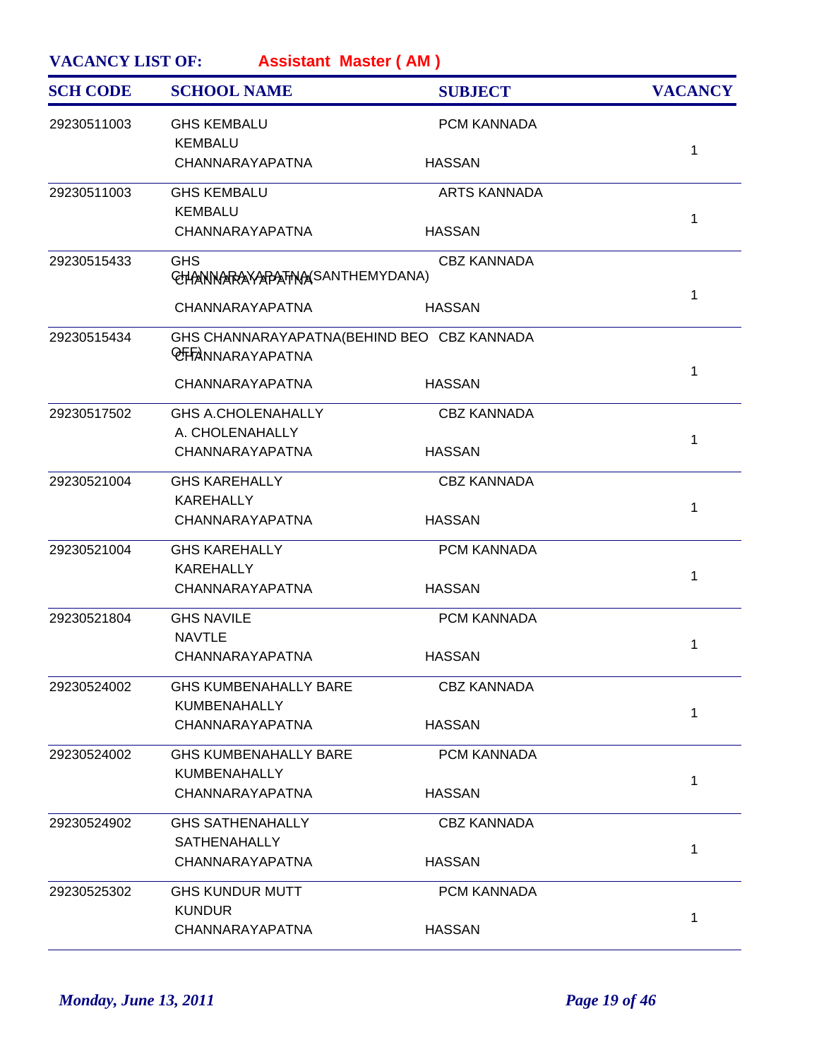| <b>SCH CODE</b> | <b>SCHOOL NAME</b>                                                   | <b>SUBJECT</b>      | <b>VACANCY</b> |
|-----------------|----------------------------------------------------------------------|---------------------|----------------|
| 29230511003     | <b>GHS KEMBALU</b><br><b>KEMBALU</b>                                 | PCM KANNADA         |                |
|                 | CHANNARAYAPATNA                                                      | <b>HASSAN</b>       | 1              |
| 29230511003     | <b>GHS KEMBALU</b>                                                   | <b>ARTS KANNADA</b> |                |
|                 | <b>KEMBALU</b><br>CHANNARAYAPATNA                                    | <b>HASSAN</b>       | 1              |
| 29230515433     | <b>GHS</b><br>CHANNARAYAPATNASANTHEMYDANA)                           | <b>CBZ KANNADA</b>  |                |
|                 | CHANNARAYAPATNA                                                      | <b>HASSAN</b>       | 1              |
| 29230515434     | GHS CHANNARAYAPATNA(BEHIND BEO CBZ KANNADA<br><b>CHANNARAYAPATNA</b> |                     |                |
|                 | CHANNARAYAPATNA                                                      | <b>HASSAN</b>       | 1              |
| 29230517502     | <b>GHS A.CHOLENAHALLY</b><br>A. CHOLENAHALLY                         | <b>CBZ KANNADA</b>  | 1              |
|                 | CHANNARAYAPATNA                                                      | <b>HASSAN</b>       |                |
| 29230521004     | <b>GHS KAREHALLY</b><br><b>KAREHALLY</b>                             | <b>CBZ KANNADA</b>  | 1              |
|                 | CHANNARAYAPATNA                                                      | <b>HASSAN</b>       |                |
| 29230521004     | <b>GHS KAREHALLY</b><br><b>KAREHALLY</b>                             | PCM KANNADA         | 1              |
|                 | CHANNARAYAPATNA                                                      | <b>HASSAN</b>       |                |
| 29230521804     | <b>GHS NAVILE</b><br><b>NAVTLE</b>                                   | PCM KANNADA         | 1              |
|                 | CHANNARAYAPATNA                                                      | <b>HASSAN</b>       |                |
| 29230524002     | <b>GHS KUMBENAHALLY BARE</b><br>KUMBENAHALLY                         | <b>CBZ KANNADA</b>  | 1              |
|                 | CHANNARAYAPATNA                                                      | <b>HASSAN</b>       |                |
| 29230524002     | <b>GHS KUMBENAHALLY BARE</b><br>KUMBENAHALLY                         | PCM KANNADA         | 1              |
|                 | CHANNARAYAPATNA                                                      | <b>HASSAN</b>       |                |
| 29230524902     | <b>GHS SATHENAHALLY</b><br><b>SATHENAHALLY</b>                       | <b>CBZ KANNADA</b>  |                |
|                 | CHANNARAYAPATNA                                                      | <b>HASSAN</b>       | 1              |
| 29230525302     | <b>GHS KUNDUR MUTT</b><br><b>KUNDUR</b>                              | PCM KANNADA         |                |
|                 | CHANNARAYAPATNA                                                      | <b>HASSAN</b>       | 1              |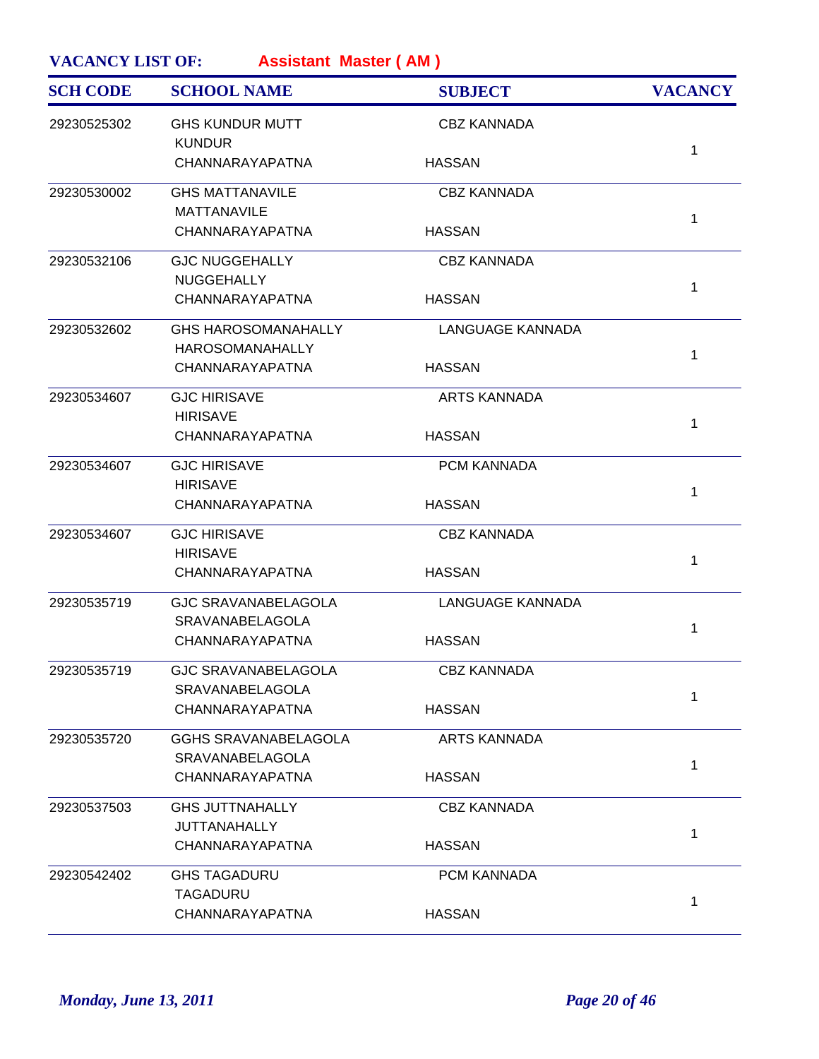|             | <b>SCHOOL NAME</b>                      | <b>SUBJECT</b>          | <b>VACANCY</b> |
|-------------|-----------------------------------------|-------------------------|----------------|
| 29230525302 | <b>GHS KUNDUR MUTT</b><br><b>KUNDUR</b> | <b>CBZ KANNADA</b>      |                |
|             | CHANNARAYAPATNA                         | <b>HASSAN</b>           | 1              |
| 29230530002 | <b>GHS MATTANAVILE</b>                  | <b>CBZ KANNADA</b>      |                |
|             | <b>MATTANAVILE</b>                      |                         | 1              |
|             | CHANNARAYAPATNA                         | <b>HASSAN</b>           |                |
| 29230532106 | <b>GJC NUGGEHALLY</b>                   | <b>CBZ KANNADA</b>      |                |
|             | <b>NUGGEHALLY</b>                       |                         | 1              |
|             | CHANNARAYAPATNA                         | <b>HASSAN</b>           |                |
| 29230532602 | <b>GHS HAROSOMANAHALLY</b>              | LANGUAGE KANNADA        |                |
|             | <b>HAROSOMANAHALLY</b>                  |                         | 1              |
|             | CHANNARAYAPATNA                         | <b>HASSAN</b>           |                |
| 29230534607 | <b>GJC HIRISAVE</b>                     | <b>ARTS KANNADA</b>     |                |
|             | <b>HIRISAVE</b>                         |                         | 1              |
|             | CHANNARAYAPATNA                         | <b>HASSAN</b>           |                |
| 29230534607 | <b>GJC HIRISAVE</b>                     | PCM KANNADA             |                |
|             | <b>HIRISAVE</b>                         |                         | 1              |
|             | CHANNARAYAPATNA                         | <b>HASSAN</b>           |                |
| 29230534607 | <b>GJC HIRISAVE</b>                     | <b>CBZ KANNADA</b>      |                |
|             | <b>HIRISAVE</b>                         |                         | 1              |
|             | CHANNARAYAPATNA                         | <b>HASSAN</b>           |                |
| 29230535719 | <b>GJC SRAVANABELAGOLA</b>              | <b>LANGUAGE KANNADA</b> |                |
|             | SRAVANABELAGOLA                         |                         | 1              |
|             | CHANNARAYAPATNA                         | <b>HASSAN</b>           |                |
| 29230535719 | <b>GJC SRAVANABELAGOLA</b>              | <b>CBZ KANNADA</b>      |                |
|             | SRAVANABELAGOLA                         |                         |                |
|             | CHANNARAYAPATNA                         | <b>HASSAN</b>           | 1              |
| 29230535720 | <b>GGHS SRAVANABELAGOLA</b>             | <b>ARTS KANNADA</b>     |                |
|             | <b>SRAVANABELAGOLA</b>                  |                         |                |
|             | CHANNARAYAPATNA                         | <b>HASSAN</b>           | 1              |
| 29230537503 | <b>GHS JUTTNAHALLY</b>                  | <b>CBZ KANNADA</b>      |                |
|             | <b>JUTTANAHALLY</b>                     |                         |                |
|             | CHANNARAYAPATNA                         | <b>HASSAN</b>           | 1              |
| 29230542402 | <b>GHS TAGADURU</b>                     | PCM KANNADA             |                |
|             | <b>TAGADURU</b>                         |                         |                |
|             | CHANNARAYAPATNA                         | <b>HASSAN</b>           | 1              |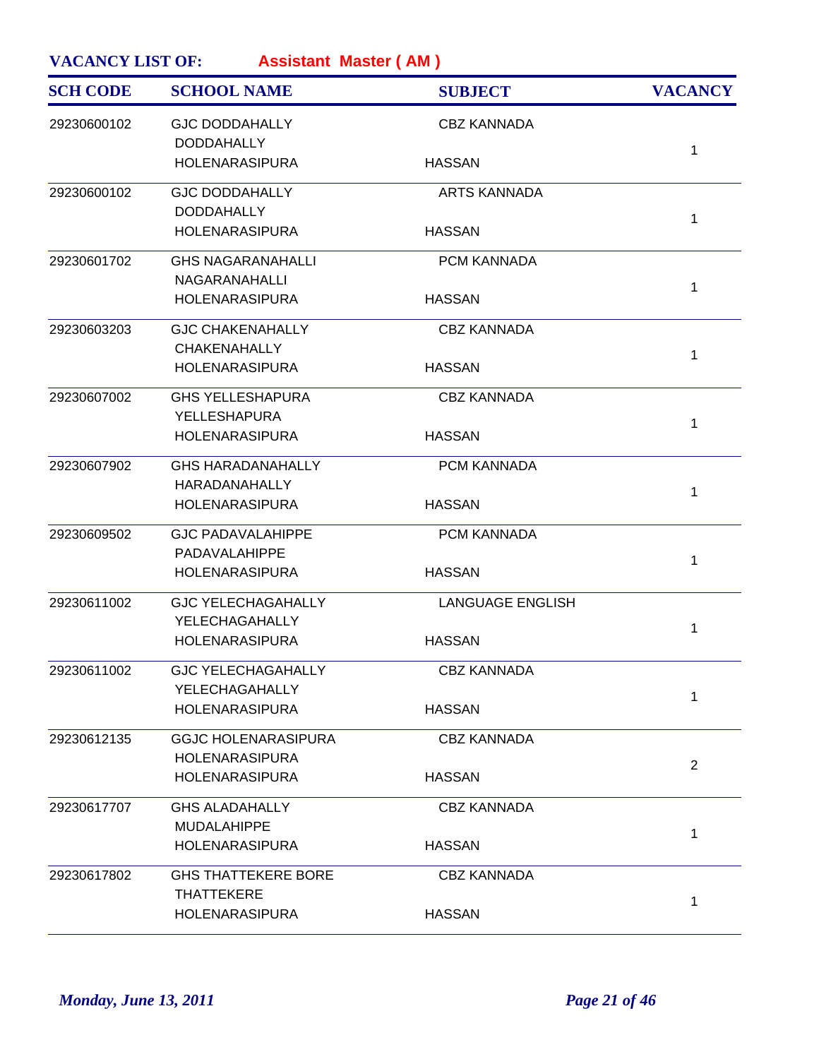| <b>GJC DODDAHALLY</b><br>29230600102<br><b>CBZ KANNADA</b><br><b>DODDAHALLY</b><br>1<br><b>HOLENARASIPURA</b><br><b>HASSAN</b><br>29230600102<br><b>ARTS KANNADA</b><br><b>GJC DODDAHALLY</b><br><b>DODDAHALLY</b><br>$\mathbf{1}$<br><b>HOLENARASIPURA</b><br><b>HASSAN</b><br>29230601702<br><b>GHS NAGARANAHALLI</b><br>PCM KANNADA<br>NAGARANAHALLI<br>$\mathbf{1}$<br><b>HASSAN</b><br><b>HOLENARASIPURA</b><br><b>CBZ KANNADA</b><br>29230603203<br><b>GJC CHAKENAHALLY</b><br><b>CHAKENAHALLY</b><br>$\mathbf{1}$<br><b>HOLENARASIPURA</b><br><b>HASSAN</b><br>29230607002<br><b>CBZ KANNADA</b><br><b>GHS YELLESHAPURA</b><br><b>YELLESHAPURA</b><br>1<br><b>HOLENARASIPURA</b><br><b>HASSAN</b><br>29230607902<br><b>GHS HARADANAHALLY</b><br>PCM KANNADA<br>HARADANAHALLY<br>$\mathbf{1}$<br><b>HASSAN</b><br><b>HOLENARASIPURA</b><br>29230609502<br><b>GJC PADAVALAHIPPE</b><br>PCM KANNADA<br>PADAVALAHIPPE<br>$\mathbf{1}$<br><b>HOLENARASIPURA</b><br><b>HASSAN</b><br>29230611002<br><b>LANGUAGE ENGLISH</b><br><b>GJC YELECHAGAHALLY</b><br>YELECHAGAHALLY<br>1<br><b>HOLENARASIPURA</b><br><b>HASSAN</b><br><b>GJC YELECHAGAHALLY</b><br>29230611002<br><b>CBZ KANNADA</b><br>YELECHAGAHALLY<br>1<br><b>HASSAN</b><br><b>HOLENARASIPURA</b><br>29230612135<br><b>GGJC HOLENARASIPURA</b><br><b>CBZ KANNADA</b><br><b>HOLENARASIPURA</b><br>$\overline{2}$<br><b>HOLENARASIPURA</b><br><b>HASSAN</b><br>29230617707<br><b>GHS ALADAHALLY</b><br><b>CBZ KANNADA</b><br><b>MUDALAHIPPE</b><br>$\mathbf{1}$<br><b>HOLENARASIPURA</b><br><b>HASSAN</b><br>29230617802<br><b>GHS THATTEKERE BORE</b><br><b>CBZ KANNADA</b><br><b>THATTEKERE</b><br>1<br><b>HASSAN</b><br><b>HOLENARASIPURA</b> | <b>SCH CODE</b> | <b>SCHOOL NAME</b> | <b>SUBJECT</b> | <b>VACANCY</b> |
|------------------------------------------------------------------------------------------------------------------------------------------------------------------------------------------------------------------------------------------------------------------------------------------------------------------------------------------------------------------------------------------------------------------------------------------------------------------------------------------------------------------------------------------------------------------------------------------------------------------------------------------------------------------------------------------------------------------------------------------------------------------------------------------------------------------------------------------------------------------------------------------------------------------------------------------------------------------------------------------------------------------------------------------------------------------------------------------------------------------------------------------------------------------------------------------------------------------------------------------------------------------------------------------------------------------------------------------------------------------------------------------------------------------------------------------------------------------------------------------------------------------------------------------------------------------------------------------------------------------------------------------------------------------------------------------------------------|-----------------|--------------------|----------------|----------------|
|                                                                                                                                                                                                                                                                                                                                                                                                                                                                                                                                                                                                                                                                                                                                                                                                                                                                                                                                                                                                                                                                                                                                                                                                                                                                                                                                                                                                                                                                                                                                                                                                                                                                                                            |                 |                    |                |                |
|                                                                                                                                                                                                                                                                                                                                                                                                                                                                                                                                                                                                                                                                                                                                                                                                                                                                                                                                                                                                                                                                                                                                                                                                                                                                                                                                                                                                                                                                                                                                                                                                                                                                                                            |                 |                    |                |                |
|                                                                                                                                                                                                                                                                                                                                                                                                                                                                                                                                                                                                                                                                                                                                                                                                                                                                                                                                                                                                                                                                                                                                                                                                                                                                                                                                                                                                                                                                                                                                                                                                                                                                                                            |                 |                    |                |                |
|                                                                                                                                                                                                                                                                                                                                                                                                                                                                                                                                                                                                                                                                                                                                                                                                                                                                                                                                                                                                                                                                                                                                                                                                                                                                                                                                                                                                                                                                                                                                                                                                                                                                                                            |                 |                    |                |                |
|                                                                                                                                                                                                                                                                                                                                                                                                                                                                                                                                                                                                                                                                                                                                                                                                                                                                                                                                                                                                                                                                                                                                                                                                                                                                                                                                                                                                                                                                                                                                                                                                                                                                                                            |                 |                    |                |                |
|                                                                                                                                                                                                                                                                                                                                                                                                                                                                                                                                                                                                                                                                                                                                                                                                                                                                                                                                                                                                                                                                                                                                                                                                                                                                                                                                                                                                                                                                                                                                                                                                                                                                                                            |                 |                    |                |                |
|                                                                                                                                                                                                                                                                                                                                                                                                                                                                                                                                                                                                                                                                                                                                                                                                                                                                                                                                                                                                                                                                                                                                                                                                                                                                                                                                                                                                                                                                                                                                                                                                                                                                                                            |                 |                    |                |                |
|                                                                                                                                                                                                                                                                                                                                                                                                                                                                                                                                                                                                                                                                                                                                                                                                                                                                                                                                                                                                                                                                                                                                                                                                                                                                                                                                                                                                                                                                                                                                                                                                                                                                                                            |                 |                    |                |                |
|                                                                                                                                                                                                                                                                                                                                                                                                                                                                                                                                                                                                                                                                                                                                                                                                                                                                                                                                                                                                                                                                                                                                                                                                                                                                                                                                                                                                                                                                                                                                                                                                                                                                                                            |                 |                    |                |                |
|                                                                                                                                                                                                                                                                                                                                                                                                                                                                                                                                                                                                                                                                                                                                                                                                                                                                                                                                                                                                                                                                                                                                                                                                                                                                                                                                                                                                                                                                                                                                                                                                                                                                                                            |                 |                    |                |                |
|                                                                                                                                                                                                                                                                                                                                                                                                                                                                                                                                                                                                                                                                                                                                                                                                                                                                                                                                                                                                                                                                                                                                                                                                                                                                                                                                                                                                                                                                                                                                                                                                                                                                                                            |                 |                    |                |                |
|                                                                                                                                                                                                                                                                                                                                                                                                                                                                                                                                                                                                                                                                                                                                                                                                                                                                                                                                                                                                                                                                                                                                                                                                                                                                                                                                                                                                                                                                                                                                                                                                                                                                                                            |                 |                    |                |                |
|                                                                                                                                                                                                                                                                                                                                                                                                                                                                                                                                                                                                                                                                                                                                                                                                                                                                                                                                                                                                                                                                                                                                                                                                                                                                                                                                                                                                                                                                                                                                                                                                                                                                                                            |                 |                    |                |                |
|                                                                                                                                                                                                                                                                                                                                                                                                                                                                                                                                                                                                                                                                                                                                                                                                                                                                                                                                                                                                                                                                                                                                                                                                                                                                                                                                                                                                                                                                                                                                                                                                                                                                                                            |                 |                    |                |                |
|                                                                                                                                                                                                                                                                                                                                                                                                                                                                                                                                                                                                                                                                                                                                                                                                                                                                                                                                                                                                                                                                                                                                                                                                                                                                                                                                                                                                                                                                                                                                                                                                                                                                                                            |                 |                    |                |                |
|                                                                                                                                                                                                                                                                                                                                                                                                                                                                                                                                                                                                                                                                                                                                                                                                                                                                                                                                                                                                                                                                                                                                                                                                                                                                                                                                                                                                                                                                                                                                                                                                                                                                                                            |                 |                    |                |                |
|                                                                                                                                                                                                                                                                                                                                                                                                                                                                                                                                                                                                                                                                                                                                                                                                                                                                                                                                                                                                                                                                                                                                                                                                                                                                                                                                                                                                                                                                                                                                                                                                                                                                                                            |                 |                    |                |                |
|                                                                                                                                                                                                                                                                                                                                                                                                                                                                                                                                                                                                                                                                                                                                                                                                                                                                                                                                                                                                                                                                                                                                                                                                                                                                                                                                                                                                                                                                                                                                                                                                                                                                                                            |                 |                    |                |                |
|                                                                                                                                                                                                                                                                                                                                                                                                                                                                                                                                                                                                                                                                                                                                                                                                                                                                                                                                                                                                                                                                                                                                                                                                                                                                                                                                                                                                                                                                                                                                                                                                                                                                                                            |                 |                    |                |                |
|                                                                                                                                                                                                                                                                                                                                                                                                                                                                                                                                                                                                                                                                                                                                                                                                                                                                                                                                                                                                                                                                                                                                                                                                                                                                                                                                                                                                                                                                                                                                                                                                                                                                                                            |                 |                    |                |                |
|                                                                                                                                                                                                                                                                                                                                                                                                                                                                                                                                                                                                                                                                                                                                                                                                                                                                                                                                                                                                                                                                                                                                                                                                                                                                                                                                                                                                                                                                                                                                                                                                                                                                                                            |                 |                    |                |                |
|                                                                                                                                                                                                                                                                                                                                                                                                                                                                                                                                                                                                                                                                                                                                                                                                                                                                                                                                                                                                                                                                                                                                                                                                                                                                                                                                                                                                                                                                                                                                                                                                                                                                                                            |                 |                    |                |                |
|                                                                                                                                                                                                                                                                                                                                                                                                                                                                                                                                                                                                                                                                                                                                                                                                                                                                                                                                                                                                                                                                                                                                                                                                                                                                                                                                                                                                                                                                                                                                                                                                                                                                                                            |                 |                    |                |                |
|                                                                                                                                                                                                                                                                                                                                                                                                                                                                                                                                                                                                                                                                                                                                                                                                                                                                                                                                                                                                                                                                                                                                                                                                                                                                                                                                                                                                                                                                                                                                                                                                                                                                                                            |                 |                    |                |                |
|                                                                                                                                                                                                                                                                                                                                                                                                                                                                                                                                                                                                                                                                                                                                                                                                                                                                                                                                                                                                                                                                                                                                                                                                                                                                                                                                                                                                                                                                                                                                                                                                                                                                                                            |                 |                    |                |                |
|                                                                                                                                                                                                                                                                                                                                                                                                                                                                                                                                                                                                                                                                                                                                                                                                                                                                                                                                                                                                                                                                                                                                                                                                                                                                                                                                                                                                                                                                                                                                                                                                                                                                                                            |                 |                    |                |                |
|                                                                                                                                                                                                                                                                                                                                                                                                                                                                                                                                                                                                                                                                                                                                                                                                                                                                                                                                                                                                                                                                                                                                                                                                                                                                                                                                                                                                                                                                                                                                                                                                                                                                                                            |                 |                    |                |                |
|                                                                                                                                                                                                                                                                                                                                                                                                                                                                                                                                                                                                                                                                                                                                                                                                                                                                                                                                                                                                                                                                                                                                                                                                                                                                                                                                                                                                                                                                                                                                                                                                                                                                                                            |                 |                    |                |                |
|                                                                                                                                                                                                                                                                                                                                                                                                                                                                                                                                                                                                                                                                                                                                                                                                                                                                                                                                                                                                                                                                                                                                                                                                                                                                                                                                                                                                                                                                                                                                                                                                                                                                                                            |                 |                    |                |                |
|                                                                                                                                                                                                                                                                                                                                                                                                                                                                                                                                                                                                                                                                                                                                                                                                                                                                                                                                                                                                                                                                                                                                                                                                                                                                                                                                                                                                                                                                                                                                                                                                                                                                                                            |                 |                    |                |                |
|                                                                                                                                                                                                                                                                                                                                                                                                                                                                                                                                                                                                                                                                                                                                                                                                                                                                                                                                                                                                                                                                                                                                                                                                                                                                                                                                                                                                                                                                                                                                                                                                                                                                                                            |                 |                    |                |                |
|                                                                                                                                                                                                                                                                                                                                                                                                                                                                                                                                                                                                                                                                                                                                                                                                                                                                                                                                                                                                                                                                                                                                                                                                                                                                                                                                                                                                                                                                                                                                                                                                                                                                                                            |                 |                    |                |                |
|                                                                                                                                                                                                                                                                                                                                                                                                                                                                                                                                                                                                                                                                                                                                                                                                                                                                                                                                                                                                                                                                                                                                                                                                                                                                                                                                                                                                                                                                                                                                                                                                                                                                                                            |                 |                    |                |                |
|                                                                                                                                                                                                                                                                                                                                                                                                                                                                                                                                                                                                                                                                                                                                                                                                                                                                                                                                                                                                                                                                                                                                                                                                                                                                                                                                                                                                                                                                                                                                                                                                                                                                                                            |                 |                    |                |                |
|                                                                                                                                                                                                                                                                                                                                                                                                                                                                                                                                                                                                                                                                                                                                                                                                                                                                                                                                                                                                                                                                                                                                                                                                                                                                                                                                                                                                                                                                                                                                                                                                                                                                                                            |                 |                    |                |                |
|                                                                                                                                                                                                                                                                                                                                                                                                                                                                                                                                                                                                                                                                                                                                                                                                                                                                                                                                                                                                                                                                                                                                                                                                                                                                                                                                                                                                                                                                                                                                                                                                                                                                                                            |                 |                    |                |                |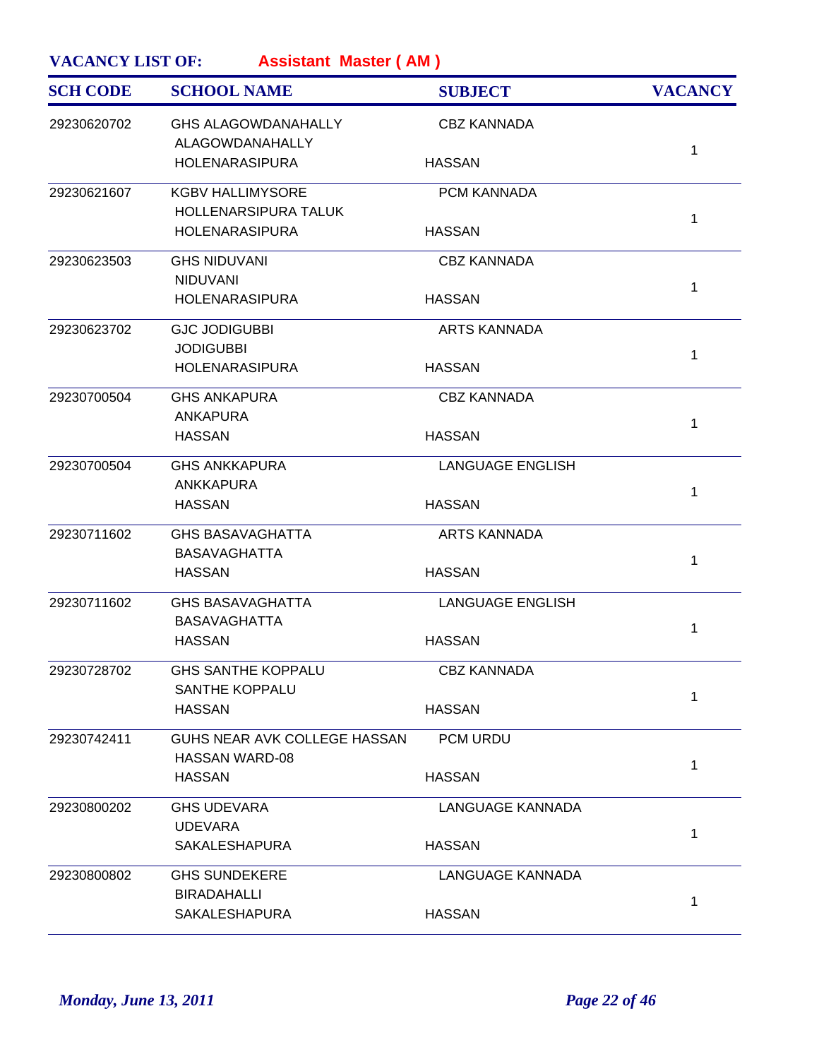| <b>SCH CODE</b> | <b>SCHOOL NAME</b>                                   | <b>SUBJECT</b>          | <b>VACANCY</b> |
|-----------------|------------------------------------------------------|-------------------------|----------------|
| 29230620702     | <b>GHS ALAGOWDANAHALLY</b><br>ALAGOWDANAHALLY        | <b>CBZ KANNADA</b>      |                |
|                 | <b>HOLENARASIPURA</b>                                | <b>HASSAN</b>           | $\mathbf 1$    |
| 29230621607     | <b>KGBV HALLIMYSORE</b>                              | PCM KANNADA             |                |
|                 | <b>HOLLENARSIPURA TALUK</b><br><b>HOLENARASIPURA</b> | <b>HASSAN</b>           | $\mathbf 1$    |
| 29230623503     | <b>GHS NIDUVANI</b><br><b>NIDUVANI</b>               | <b>CBZ KANNADA</b>      |                |
|                 | <b>HOLENARASIPURA</b>                                | <b>HASSAN</b>           | $\mathbf{1}$   |
| 29230623702     | <b>GJC JODIGUBBI</b>                                 | <b>ARTS KANNADA</b>     |                |
|                 | <b>JODIGUBBI</b><br><b>HOLENARASIPURA</b>            | <b>HASSAN</b>           | $\mathbf{1}$   |
| 29230700504     | <b>GHS ANKAPURA</b>                                  | <b>CBZ KANNADA</b>      |                |
|                 | <b>ANKAPURA</b><br><b>HASSAN</b>                     | <b>HASSAN</b>           | $\mathbf{1}$   |
| 29230700504     | <b>GHS ANKKAPURA</b>                                 | <b>LANGUAGE ENGLISH</b> |                |
|                 | <b>ANKKAPURA</b><br><b>HASSAN</b>                    | <b>HASSAN</b>           | $\mathbf 1$    |
| 29230711602     | <b>GHS BASAVAGHATTA</b>                              | <b>ARTS KANNADA</b>     |                |
|                 | <b>BASAVAGHATTA</b><br><b>HASSAN</b>                 | <b>HASSAN</b>           | $\mathbf{1}$   |
| 29230711602     | <b>GHS BASAVAGHATTA</b>                              | <b>LANGUAGE ENGLISH</b> |                |
|                 | <b>BASAVAGHATTA</b><br><b>HASSAN</b>                 | <b>HASSAN</b>           | 1              |
| 29230728702     | <b>GHS SANTHE KOPPALU</b>                            | <b>CBZ KANNADA</b>      |                |
|                 | <b>SANTHE KOPPALU</b><br><b>HASSAN</b>               | <b>HASSAN</b>           | 1              |
| 29230742411     | GUHS NEAR AVK COLLEGE HASSAN                         | PCM URDU                |                |
|                 | <b>HASSAN WARD-08</b><br><b>HASSAN</b>               | <b>HASSAN</b>           | $\mathbf{1}$   |
| 29230800202     | <b>GHS UDEVARA</b>                                   | LANGUAGE KANNADA        |                |
|                 | <b>UDEVARA</b><br>SAKALESHAPURA                      | <b>HASSAN</b>           | $\mathbf{1}$   |
| 29230800802     | <b>GHS SUNDEKERE</b>                                 | LANGUAGE KANNADA        |                |
|                 | <b>BIRADAHALLI</b>                                   |                         | 1              |
|                 | <b>SAKALESHAPURA</b>                                 | <b>HASSAN</b>           |                |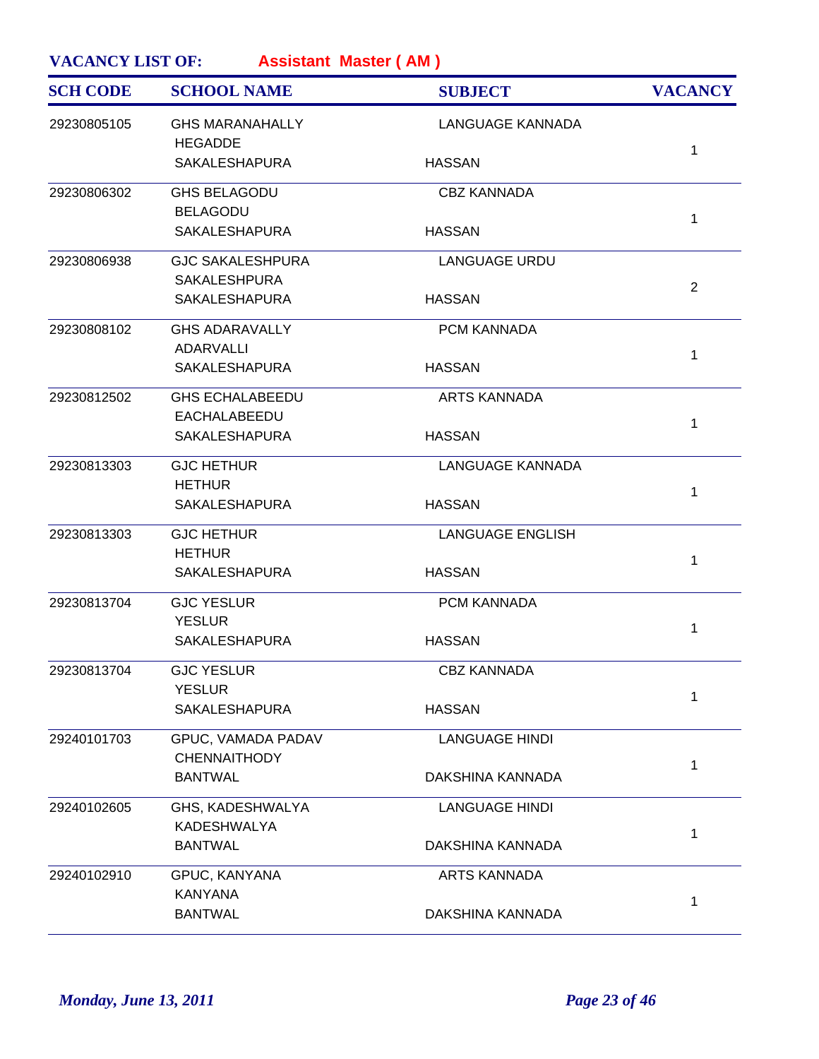| <b>SCH CODE</b> | <b>SCHOOL NAME</b>                             | <b>SUBJECT</b>          | <b>VACANCY</b> |
|-----------------|------------------------------------------------|-------------------------|----------------|
| 29230805105     | <b>GHS MARANAHALLY</b><br><b>HEGADDE</b>       | <b>LANGUAGE KANNADA</b> |                |
|                 | <b>SAKALESHAPURA</b>                           | <b>HASSAN</b>           | 1              |
| 29230806302     | <b>GHS BELAGODU</b><br><b>BELAGODU</b>         | <b>CBZ KANNADA</b>      |                |
|                 | <b>SAKALESHAPURA</b>                           | <b>HASSAN</b>           | 1              |
| 29230806938     | <b>GJC SAKALESHPURA</b><br><b>SAKALESHPURA</b> | <b>LANGUAGE URDU</b>    | $\overline{2}$ |
|                 | <b>SAKALESHAPURA</b>                           | <b>HASSAN</b>           |                |
| 29230808102     | <b>GHS ADARAVALLY</b><br>ADARVALLI             | PCM KANNADA             | 1              |
|                 | <b>SAKALESHAPURA</b>                           | <b>HASSAN</b>           |                |
| 29230812502     | <b>GHS ECHALABEEDU</b><br>EACHALABEEDU         | <b>ARTS KANNADA</b>     | 1              |
|                 | <b>SAKALESHAPURA</b>                           | <b>HASSAN</b>           |                |
| 29230813303     | <b>GJC HETHUR</b><br><b>HETHUR</b>             | LANGUAGE KANNADA        | 1              |
|                 | <b>SAKALESHAPURA</b>                           | <b>HASSAN</b>           |                |
| 29230813303     | <b>GJC HETHUR</b><br><b>HETHUR</b>             | <b>LANGUAGE ENGLISH</b> | 1              |
|                 | <b>SAKALESHAPURA</b>                           | <b>HASSAN</b>           |                |
| 29230813704     | <b>GJC YESLUR</b><br><b>YESLUR</b>             | <b>PCM KANNADA</b>      | 1              |
|                 | <b>SAKALESHAPURA</b>                           | <b>HASSAN</b>           |                |
| 29230813704     | <b>GJC YESLUR</b><br><b>YESLUR</b>             | <b>CBZ KANNADA</b>      | 1              |
|                 | <b>SAKALESHAPURA</b>                           | <b>HASSAN</b>           |                |
| 29240101703     | GPUC, VAMADA PADAV<br><b>CHENNAITHODY</b>      | <b>LANGUAGE HINDI</b>   | 1              |
|                 | <b>BANTWAL</b>                                 | DAKSHINA KANNADA        |                |
| 29240102605     | GHS, KADESHWALYA<br>KADESHWALYA                | <b>LANGUAGE HINDI</b>   | 1              |
|                 | <b>BANTWAL</b>                                 | DAKSHINA KANNADA        |                |
| 29240102910     | GPUC, KANYANA<br><b>KANYANA</b>                | <b>ARTS KANNADA</b>     |                |
|                 | <b>BANTWAL</b>                                 | DAKSHINA KANNADA        | 1              |
|                 |                                                |                         |                |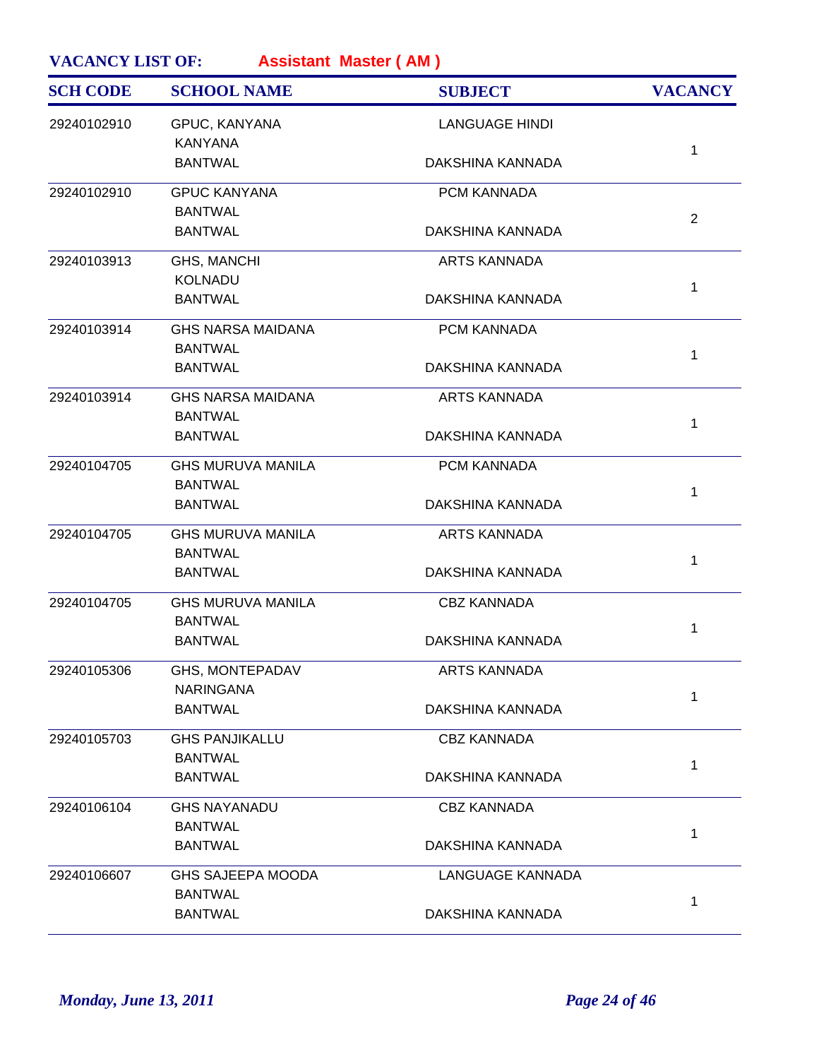| <b>SCH CODE</b> | <b>SCHOOL NAME</b>                         | <b>SUBJECT</b>        | <b>VACANCY</b> |
|-----------------|--------------------------------------------|-----------------------|----------------|
| 29240102910     | GPUC, KANYANA<br><b>KANYANA</b>            | <b>LANGUAGE HINDI</b> |                |
|                 | <b>BANTWAL</b>                             | DAKSHINA KANNADA      | $\mathbf 1$    |
| 29240102910     | <b>GPUC KANYANA</b>                        | PCM KANNADA           |                |
|                 | <b>BANTWAL</b><br><b>BANTWAL</b>           | DAKSHINA KANNADA      | $\overline{2}$ |
| 29240103913     | <b>GHS, MANCHI</b>                         | <b>ARTS KANNADA</b>   |                |
|                 | KOLNADU<br><b>BANTWAL</b>                  | DAKSHINA KANNADA      | $\mathbf{1}$   |
| 29240103914     | <b>GHS NARSA MAIDANA</b><br><b>BANTWAL</b> | PCM KANNADA           |                |
|                 | <b>BANTWAL</b>                             | DAKSHINA KANNADA      | $\mathbf{1}$   |
| 29240103914     | <b>GHS NARSA MAIDANA</b><br><b>BANTWAL</b> | <b>ARTS KANNADA</b>   | $\mathbf{1}$   |
|                 | <b>BANTWAL</b>                             | DAKSHINA KANNADA      |                |
| 29240104705     | <b>GHS MURUVA MANILA</b><br><b>BANTWAL</b> | PCM KANNADA           |                |
|                 | <b>BANTWAL</b>                             | DAKSHINA KANNADA      | $\mathbf 1$    |
| 29240104705     | <b>GHS MURUVA MANILA</b><br><b>BANTWAL</b> | <b>ARTS KANNADA</b>   | $\mathbf{1}$   |
|                 | <b>BANTWAL</b>                             | DAKSHINA KANNADA      |                |
| 29240104705     | <b>GHS MURUVA MANILA</b><br><b>BANTWAL</b> | <b>CBZ KANNADA</b>    | 1              |
|                 | <b>BANTWAL</b>                             | DAKSHINA KANNADA      |                |
| 29240105306     | GHS, MONTEPADAV<br><b>NARINGANA</b>        | ARTS KANNADA          |                |
|                 | <b>BANTWAL</b>                             | DAKSHINA KANNADA      | 1              |
| 29240105703     | <b>GHS PANJIKALLU</b>                      | <b>CBZ KANNADA</b>    |                |
|                 | <b>BANTWAL</b><br><b>BANTWAL</b>           | DAKSHINA KANNADA      | $\mathbf 1$    |
| 29240106104     | <b>GHS NAYANADU</b>                        | <b>CBZ KANNADA</b>    |                |
|                 | <b>BANTWAL</b><br><b>BANTWAL</b>           | DAKSHINA KANNADA      | $\mathbf{1}$   |
| 29240106607     | <b>GHS SAJEEPA MOODA</b><br><b>BANTWAL</b> | LANGUAGE KANNADA      |                |
|                 | <b>BANTWAL</b>                             | DAKSHINA KANNADA      | 1              |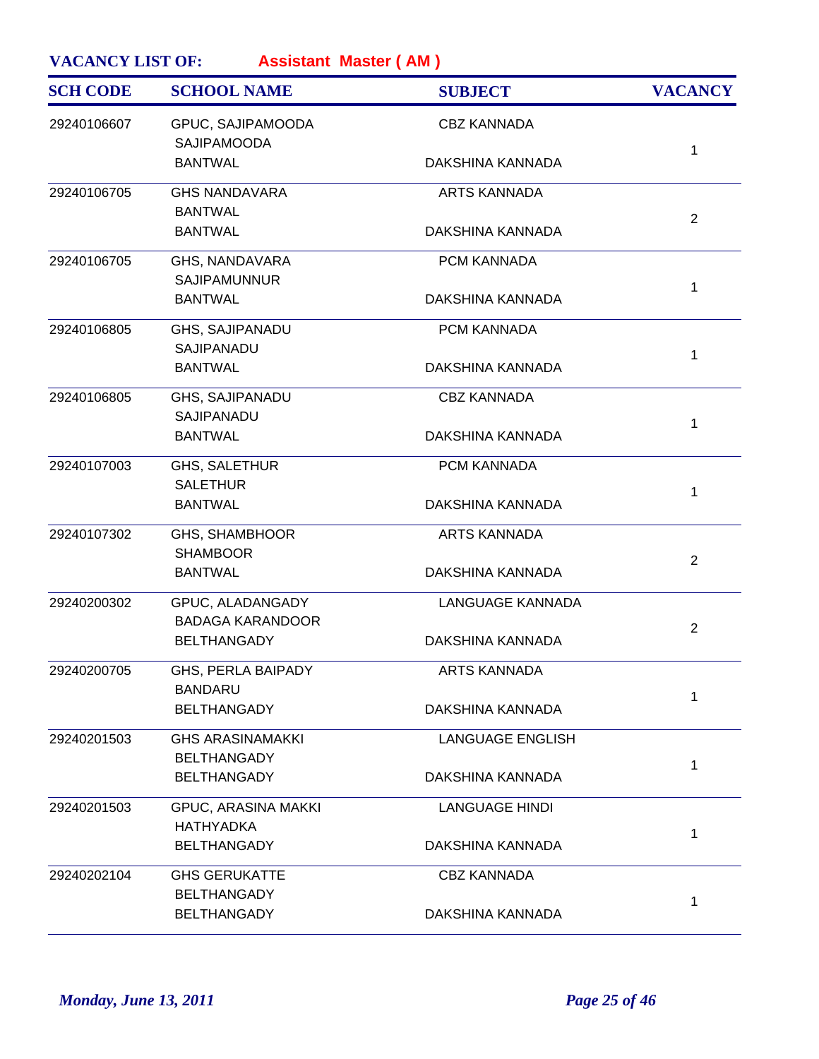| <b>SCH CODE</b> | <b>SCHOOL NAME</b>                            | <b>SUBJECT</b>          | <b>VACANCY</b> |
|-----------------|-----------------------------------------------|-------------------------|----------------|
| 29240106607     | GPUC, SAJIPAMOODA<br>SAJIPAMOODA              | <b>CBZ KANNADA</b>      |                |
|                 | <b>BANTWAL</b>                                | DAKSHINA KANNADA        | 1              |
| 29240106705     | <b>GHS NANDAVARA</b>                          | <b>ARTS KANNADA</b>     |                |
|                 | <b>BANTWAL</b><br><b>BANTWAL</b>              | DAKSHINA KANNADA        | $\overline{2}$ |
| 29240106705     | GHS, NANDAVARA<br><b>SAJIPAMUNNUR</b>         | PCM KANNADA             |                |
|                 | <b>BANTWAL</b>                                | DAKSHINA KANNADA        | 1              |
| 29240106805     | GHS, SAJIPANADU                               | PCM KANNADA             |                |
|                 | SAJIPANADU<br><b>BANTWAL</b>                  | DAKSHINA KANNADA        | 1              |
| 29240106805     | <b>GHS, SAJIPANADU</b>                        | <b>CBZ KANNADA</b>      |                |
|                 | SAJIPANADU<br><b>BANTWAL</b>                  | DAKSHINA KANNADA        | 1              |
| 29240107003     | GHS, SALETHUR                                 | PCM KANNADA             |                |
|                 | <b>SALETHUR</b><br><b>BANTWAL</b>             | DAKSHINA KANNADA        | 1              |
| 29240107302     | <b>GHS, SHAMBHOOR</b>                         | <b>ARTS KANNADA</b>     |                |
|                 | <b>SHAMBOOR</b><br><b>BANTWAL</b>             | DAKSHINA KANNADA        | $\overline{2}$ |
| 29240200302     | GPUC, ALADANGADY                              | <b>LANGUAGE KANNADA</b> |                |
|                 | <b>BADAGA KARANDOOR</b><br><b>BELTHANGADY</b> | DAKSHINA KANNADA        | 2              |
| 29240200705     | GHS, PERLA BAIPADY                            | <b>ARTS KANNADA</b>     |                |
|                 | <b>BANDARU</b><br><b>BELTHANGADY</b>          | DAKSHINA KANNADA        | 1              |
| 29240201503     | <b>GHS ARASINAMAKKI</b>                       | <b>LANGUAGE ENGLISH</b> |                |
|                 | <b>BELTHANGADY</b><br><b>BELTHANGADY</b>      | DAKSHINA KANNADA        | 1              |
| 29240201503     | <b>GPUC, ARASINA MAKKI</b>                    | <b>LANGUAGE HINDI</b>   |                |
|                 | <b>HATHYADKA</b><br><b>BELTHANGADY</b>        | DAKSHINA KANNADA        | 1              |
| 29240202104     | <b>GHS GERUKATTE</b>                          | <b>CBZ KANNADA</b>      |                |
|                 | <b>BELTHANGADY</b><br><b>BELTHANGADY</b>      | DAKSHINA KANNADA        | 1              |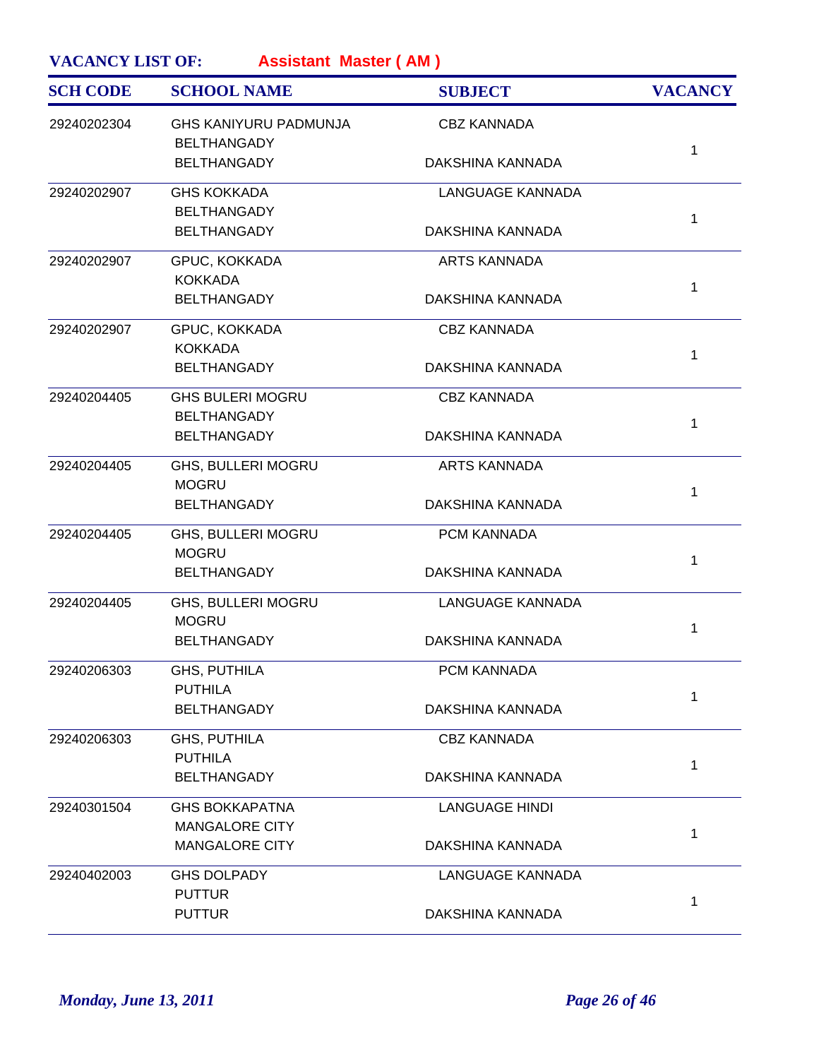| <b>SCH CODE</b> | <b>SCHOOL NAME</b>                                 | <b>SUBJECT</b>          | <b>VACANCY</b> |
|-----------------|----------------------------------------------------|-------------------------|----------------|
| 29240202304     | <b>GHS KANIYURU PADMUNJA</b><br><b>BELTHANGADY</b> | <b>CBZ KANNADA</b>      | 1              |
|                 | <b>BELTHANGADY</b>                                 | DAKSHINA KANNADA        |                |
| 29240202907     | <b>GHS KOKKADA</b><br><b>BELTHANGADY</b>           | <b>LANGUAGE KANNADA</b> |                |
|                 | <b>BELTHANGADY</b>                                 | DAKSHINA KANNADA        | 1              |
| 29240202907     | GPUC, KOKKADA<br><b>KOKKADA</b>                    | <b>ARTS KANNADA</b>     |                |
|                 | <b>BELTHANGADY</b>                                 | DAKSHINA KANNADA        | 1              |
| 29240202907     | GPUC, KOKKADA<br><b>KOKKADA</b>                    | <b>CBZ KANNADA</b>      |                |
|                 | <b>BELTHANGADY</b>                                 | DAKSHINA KANNADA        | 1              |
| 29240204405     | <b>GHS BULERI MOGRU</b>                            | <b>CBZ KANNADA</b>      |                |
|                 | <b>BELTHANGADY</b><br><b>BELTHANGADY</b>           | DAKSHINA KANNADA        | 1              |
| 29240204405     | GHS, BULLERI MOGRU                                 | <b>ARTS KANNADA</b>     |                |
|                 | <b>MOGRU</b><br><b>BELTHANGADY</b>                 | DAKSHINA KANNADA        | 1              |
| 29240204405     | GHS, BULLERI MOGRU<br><b>MOGRU</b>                 | PCM KANNADA             |                |
|                 | <b>BELTHANGADY</b>                                 | DAKSHINA KANNADA        | 1              |
| 29240204405     | <b>GHS, BULLERI MOGRU</b><br><b>MOGRU</b>          | <b>LANGUAGE KANNADA</b> |                |
|                 | <b>BELTHANGADY</b>                                 | DAKSHINA KANNADA        | 1              |
| 29240206303     | GHS, PUTHILA<br><b>PUTHILA</b>                     | PCM KANNADA             |                |
|                 | <b>BELTHANGADY</b>                                 | DAKSHINA KANNADA        | 1              |
| 29240206303     | GHS, PUTHILA                                       | <b>CBZ KANNADA</b>      |                |
|                 | <b>PUTHILA</b><br><b>BELTHANGADY</b>               | DAKSHINA KANNADA        | 1              |
| 29240301504     | <b>GHS BOKKAPATNA</b>                              | <b>LANGUAGE HINDI</b>   |                |
|                 | <b>MANGALORE CITY</b><br><b>MANGALORE CITY</b>     | DAKSHINA KANNADA        | 1              |
| 29240402003     | <b>GHS DOLPADY</b>                                 | LANGUAGE KANNADA        |                |
|                 | <b>PUTTUR</b><br><b>PUTTUR</b>                     | DAKSHINA KANNADA        | 1              |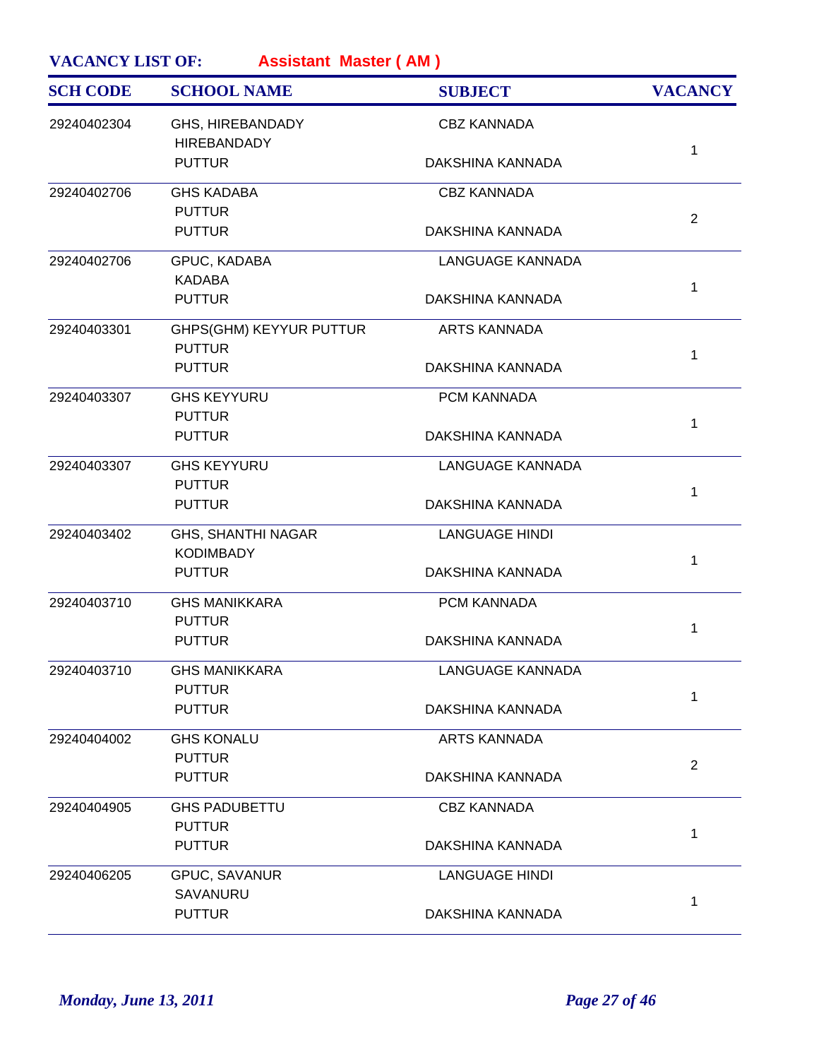| 29240402304 | GHS, HIREBANDADY                              |                         |                |
|-------------|-----------------------------------------------|-------------------------|----------------|
|             | <b>HIREBANDADY</b>                            | <b>CBZ KANNADA</b>      |                |
|             | <b>PUTTUR</b>                                 | DAKSHINA KANNADA        | 1              |
| 29240402706 | <b>GHS KADABA</b><br><b>PUTTUR</b>            | <b>CBZ KANNADA</b>      |                |
|             | <b>PUTTUR</b>                                 | DAKSHINA KANNADA        | $\overline{2}$ |
| 29240402706 | GPUC, KADABA<br><b>KADABA</b>                 | <b>LANGUAGE KANNADA</b> |                |
|             | <b>PUTTUR</b>                                 | DAKSHINA KANNADA        | 1              |
| 29240403301 | GHPS(GHM) KEYYUR PUTTUR<br><b>PUTTUR</b>      | <b>ARTS KANNADA</b>     |                |
|             | <b>PUTTUR</b>                                 | DAKSHINA KANNADA        | 1              |
| 29240403307 | <b>GHS KEYYURU</b><br><b>PUTTUR</b>           | PCM KANNADA             |                |
|             | <b>PUTTUR</b>                                 | DAKSHINA KANNADA        | 1              |
| 29240403307 | <b>GHS KEYYURU</b><br><b>PUTTUR</b>           | <b>LANGUAGE KANNADA</b> |                |
|             | <b>PUTTUR</b>                                 | DAKSHINA KANNADA        | 1              |
| 29240403402 | <b>GHS, SHANTHI NAGAR</b><br><b>KODIMBADY</b> | <b>LANGUAGE HINDI</b>   |                |
|             | <b>PUTTUR</b>                                 | DAKSHINA KANNADA        | 1              |
| 29240403710 | <b>GHS MANIKKARA</b><br><b>PUTTUR</b>         | PCM KANNADA             |                |
|             | <b>PUTTUR</b>                                 | DAKSHINA KANNADA        | 1              |
| 29240403710 | <b>GHS MANIKKARA</b><br><b>PUTTUR</b>         | LANGUAGE KANNADA        |                |
|             | <b>PUTTUR</b>                                 | DAKSHINA KANNADA        | 1              |
| 29240404002 | <b>GHS KONALU</b>                             | <b>ARTS KANNADA</b>     |                |
|             | <b>PUTTUR</b><br><b>PUTTUR</b>                | DAKSHINA KANNADA        | $\overline{2}$ |
| 29240404905 | <b>GHS PADUBETTU</b>                          | <b>CBZ KANNADA</b>      |                |
|             | <b>PUTTUR</b><br><b>PUTTUR</b>                | DAKSHINA KANNADA        | 1              |
| 29240406205 | GPUC, SAVANUR                                 | <b>LANGUAGE HINDI</b>   |                |
|             | SAVANURU<br><b>PUTTUR</b>                     | DAKSHINA KANNADA        | 1              |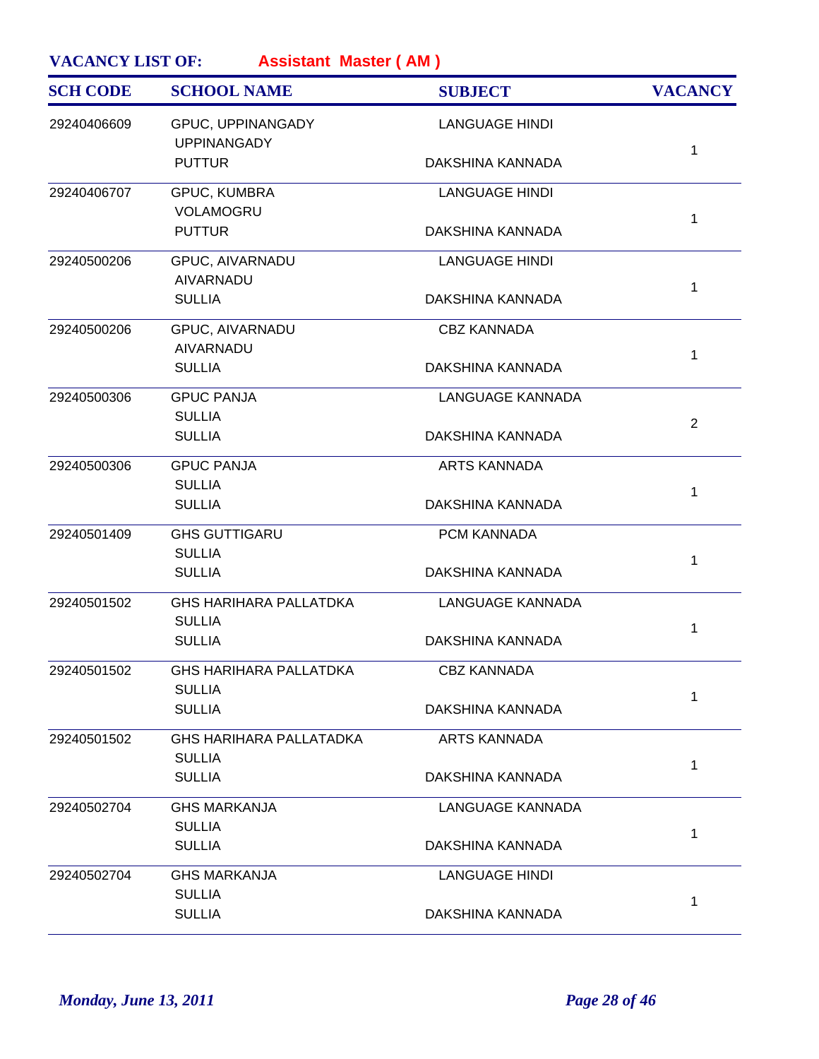| <b>SCH CODE</b> | <b>SCHOOL NAME</b>                             | <b>SUBJECT</b>          | <b>VACANCY</b> |
|-----------------|------------------------------------------------|-------------------------|----------------|
| 29240406609     | GPUC, UPPINANGADY<br><b>UPPINANGADY</b>        | <b>LANGUAGE HINDI</b>   |                |
|                 | <b>PUTTUR</b>                                  | DAKSHINA KANNADA        | $\mathbf{1}$   |
| 29240406707     | GPUC, KUMBRA<br>VOLAMOGRU                      | <b>LANGUAGE HINDI</b>   |                |
|                 | <b>PUTTUR</b>                                  | DAKSHINA KANNADA        | $\mathbf{1}$   |
| 29240500206     | GPUC, AIVARNADU<br>AIVARNADU                   | <b>LANGUAGE HINDI</b>   |                |
|                 | <b>SULLIA</b>                                  | DAKSHINA KANNADA        | $\mathbf{1}$   |
| 29240500206     | GPUC, AIVARNADU<br><b>AIVARNADU</b>            | <b>CBZ KANNADA</b>      | $\mathbf{1}$   |
|                 | <b>SULLIA</b>                                  | DAKSHINA KANNADA        |                |
| 29240500306     | <b>GPUC PANJA</b><br><b>SULLIA</b>             | <b>LANGUAGE KANNADA</b> | $\overline{2}$ |
|                 | <b>SULLIA</b>                                  | DAKSHINA KANNADA        |                |
| 29240500306     | <b>GPUC PANJA</b>                              | <b>ARTS KANNADA</b>     |                |
|                 | <b>SULLIA</b><br><b>SULLIA</b>                 | DAKSHINA KANNADA        | $\mathbf{1}$   |
| 29240501409     | <b>GHS GUTTIGARU</b>                           | PCM KANNADA             |                |
|                 | <b>SULLIA</b><br><b>SULLIA</b>                 | DAKSHINA KANNADA        | $\mathbf{1}$   |
| 29240501502     | <b>GHS HARIHARA PALLATDKA</b><br><b>SULLIA</b> | <b>LANGUAGE KANNADA</b> |                |
|                 | <b>SULLIA</b>                                  | DAKSHINA KANNADA        | 1              |
| 29240501502     | <b>GHS HARIHARA PALLATDKA</b>                  | <b>CBZ KANNADA</b>      |                |
|                 | <b>SULLIA</b><br><b>SULLIA</b>                 | DAKSHINA KANNADA        | $\mathbf{1}$   |
| 29240501502     | <b>GHS HARIHARA PALLATADKA</b>                 | <b>ARTS KANNADA</b>     |                |
|                 | <b>SULLIA</b><br><b>SULLIA</b>                 | DAKSHINA KANNADA        | 1              |
| 29240502704     | <b>GHS MARKANJA</b>                            | <b>LANGUAGE KANNADA</b> |                |
|                 | <b>SULLIA</b><br><b>SULLIA</b>                 | DAKSHINA KANNADA        | $\mathbf{1}$   |
| 29240502704     | <b>GHS MARKANJA</b>                            | <b>LANGUAGE HINDI</b>   |                |
|                 | <b>SULLIA</b><br><b>SULLIA</b>                 | DAKSHINA KANNADA        | 1              |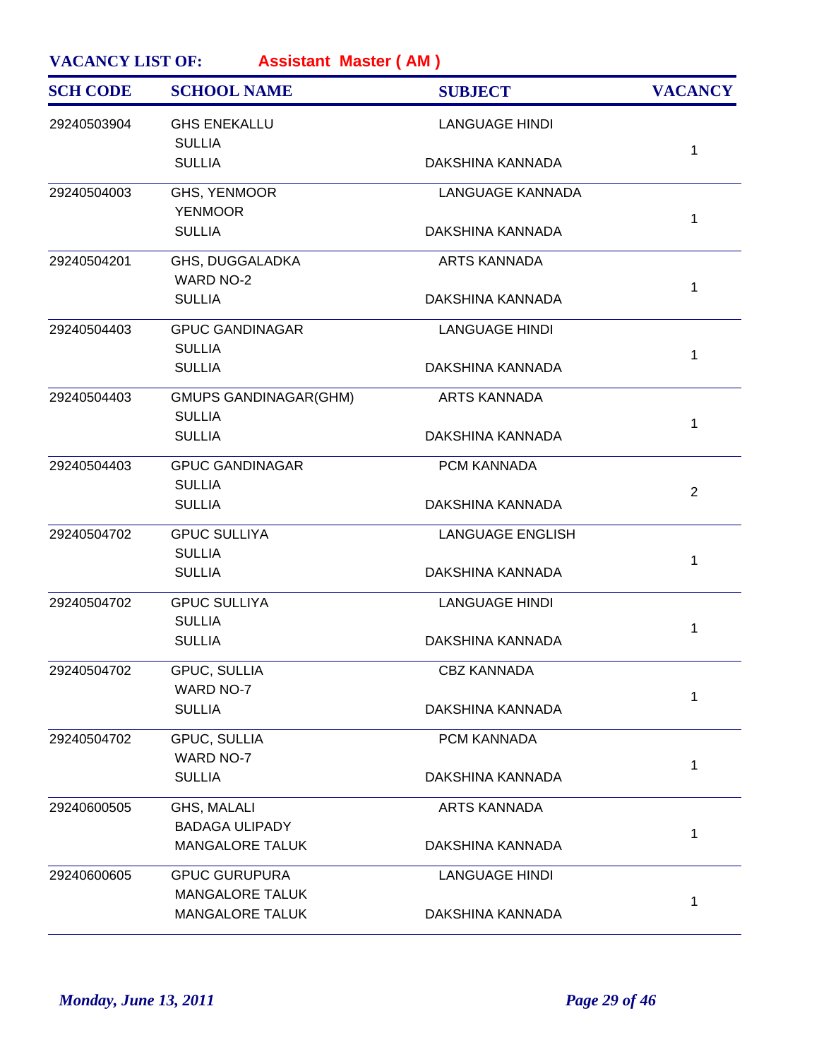| <b>SCH CODE</b> | <b>SCHOOL NAME</b>                             | <b>SUBJECT</b>          | <b>VACANCY</b> |
|-----------------|------------------------------------------------|-------------------------|----------------|
| 29240503904     | <b>GHS ENEKALLU</b><br><b>SULLIA</b>           | <b>LANGUAGE HINDI</b>   |                |
|                 | <b>SULLIA</b>                                  | DAKSHINA KANNADA        | 1              |
| 29240504003     | GHS, YENMOOR<br><b>YENMOOR</b>                 | LANGUAGE KANNADA        |                |
|                 | <b>SULLIA</b>                                  | DAKSHINA KANNADA        | 1              |
| 29240504201     | GHS, DUGGALADKA<br><b>WARD NO-2</b>            | <b>ARTS KANNADA</b>     | 1              |
|                 | <b>SULLIA</b>                                  | DAKSHINA KANNADA        |                |
| 29240504403     | <b>GPUC GANDINAGAR</b><br><b>SULLIA</b>        | <b>LANGUAGE HINDI</b>   | 1              |
|                 | <b>SULLIA</b>                                  | DAKSHINA KANNADA        |                |
| 29240504403     | <b>GMUPS GANDINAGAR(GHM)</b><br><b>SULLIA</b>  | <b>ARTS KANNADA</b>     | 1              |
|                 | <b>SULLIA</b>                                  | DAKSHINA KANNADA        |                |
| 29240504403     | <b>GPUC GANDINAGAR</b><br><b>SULLIA</b>        | PCM KANNADA             | $\overline{2}$ |
|                 | <b>SULLIA</b>                                  | DAKSHINA KANNADA        |                |
| 29240504702     | <b>GPUC SULLIYA</b><br><b>SULLIA</b>           | <b>LANGUAGE ENGLISH</b> | 1              |
|                 | <b>SULLIA</b>                                  | DAKSHINA KANNADA        |                |
| 29240504702     | <b>GPUC SULLIYA</b><br><b>SULLIA</b>           | <b>LANGUAGE HINDI</b>   | 1              |
|                 | <b>SULLIA</b>                                  | DAKSHINA KANNADA        |                |
| 29240504702     | GPUC, SULLIA<br><b>WARD NO-7</b>               | <b>CBZ KANNADA</b>      | 1              |
|                 | <b>SULLIA</b>                                  | DAKSHINA KANNADA        |                |
| 29240504702     | GPUC, SULLIA<br>WARD NO-7                      | PCM KANNADA             |                |
|                 | <b>SULLIA</b>                                  | DAKSHINA KANNADA        | 1              |
| 29240600505     | GHS, MALALI<br><b>BADAGA ULIPADY</b>           | <b>ARTS KANNADA</b>     |                |
|                 | <b>MANGALORE TALUK</b>                         | DAKSHINA KANNADA        | 1              |
| 29240600605     | <b>GPUC GURUPURA</b><br><b>MANGALORE TALUK</b> | <b>LANGUAGE HINDI</b>   |                |
|                 | <b>MANGALORE TALUK</b>                         | DAKSHINA KANNADA        | 1              |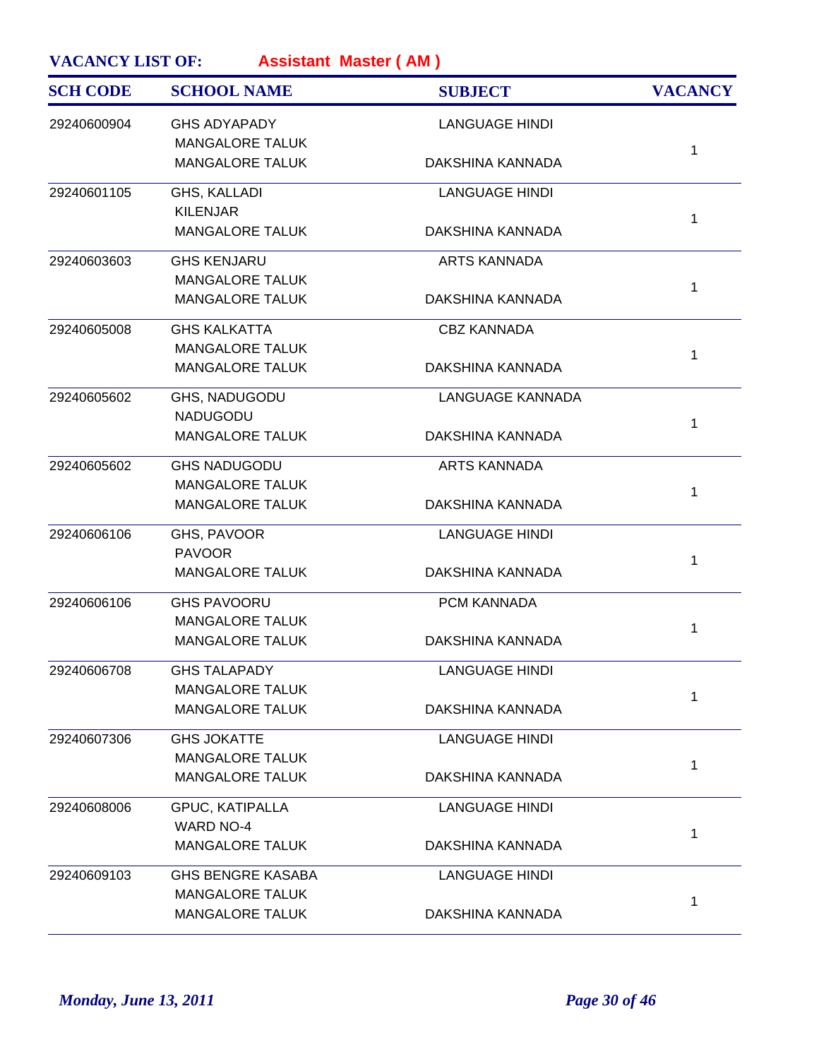| <b>SCH CODE</b> | <b>SCHOOL NAME</b>       | <b>SUBJECT</b>          | <b>VACANCY</b> |
|-----------------|--------------------------|-------------------------|----------------|
| 29240600904     | <b>GHS ADYAPADY</b>      | <b>LANGUAGE HINDI</b>   |                |
|                 | <b>MANGALORE TALUK</b>   |                         | 1              |
|                 | <b>MANGALORE TALUK</b>   | DAKSHINA KANNADA        |                |
| 29240601105     | GHS, KALLADI             | <b>LANGUAGE HINDI</b>   |                |
|                 | <b>KILENJAR</b>          |                         | 1              |
|                 | <b>MANGALORE TALUK</b>   | DAKSHINA KANNADA        |                |
| 29240603603     | <b>GHS KENJARU</b>       | <b>ARTS KANNADA</b>     |                |
|                 | <b>MANGALORE TALUK</b>   |                         | 1              |
|                 | <b>MANGALORE TALUK</b>   | DAKSHINA KANNADA        |                |
| 29240605008     | <b>GHS KALKATTA</b>      | <b>CBZ KANNADA</b>      |                |
|                 | <b>MANGALORE TALUK</b>   |                         | $\mathbf{1}$   |
|                 | <b>MANGALORE TALUK</b>   | DAKSHINA KANNADA        |                |
| 29240605602     | GHS, NADUGODU            | <b>LANGUAGE KANNADA</b> |                |
|                 | <b>NADUGODU</b>          |                         | 1              |
|                 | <b>MANGALORE TALUK</b>   | DAKSHINA KANNADA        |                |
| 29240605602     | <b>GHS NADUGODU</b>      | <b>ARTS KANNADA</b>     |                |
|                 | <b>MANGALORE TALUK</b>   |                         | 1              |
|                 | <b>MANGALORE TALUK</b>   | DAKSHINA KANNADA        |                |
| 29240606106     | GHS, PAVOOR              | <b>LANGUAGE HINDI</b>   |                |
|                 | <b>PAVOOR</b>            |                         | $\mathbf{1}$   |
|                 | <b>MANGALORE TALUK</b>   | DAKSHINA KANNADA        |                |
| 29240606106     | <b>GHS PAVOORU</b>       | PCM KANNADA             |                |
|                 | <b>MANGALORE TALUK</b>   |                         | 1              |
|                 | <b>MANGALORE TALUK</b>   | DAKSHINA KANNADA        |                |
| 29240606708     | <b>GHS TALAPADY</b>      | <b>LANGUAGE HINDI</b>   |                |
|                 | <b>MANGALORE TALUK</b>   |                         | 1              |
|                 | <b>MANGALORE TALUK</b>   | DAKSHINA KANNADA        |                |
| 29240607306     | <b>GHS JOKATTE</b>       | <b>LANGUAGE HINDI</b>   |                |
|                 | <b>MANGALORE TALUK</b>   |                         | 1              |
|                 | <b>MANGALORE TALUK</b>   | DAKSHINA KANNADA        |                |
| 29240608006     | <b>GPUC, KATIPALLA</b>   | <b>LANGUAGE HINDI</b>   |                |
|                 | <b>WARD NO-4</b>         |                         | 1              |
|                 | <b>MANGALORE TALUK</b>   | DAKSHINA KANNADA        |                |
| 29240609103     | <b>GHS BENGRE KASABA</b> | <b>LANGUAGE HINDI</b>   |                |
|                 | <b>MANGALORE TALUK</b>   |                         | 1              |
|                 | <b>MANGALORE TALUK</b>   | DAKSHINA KANNADA        |                |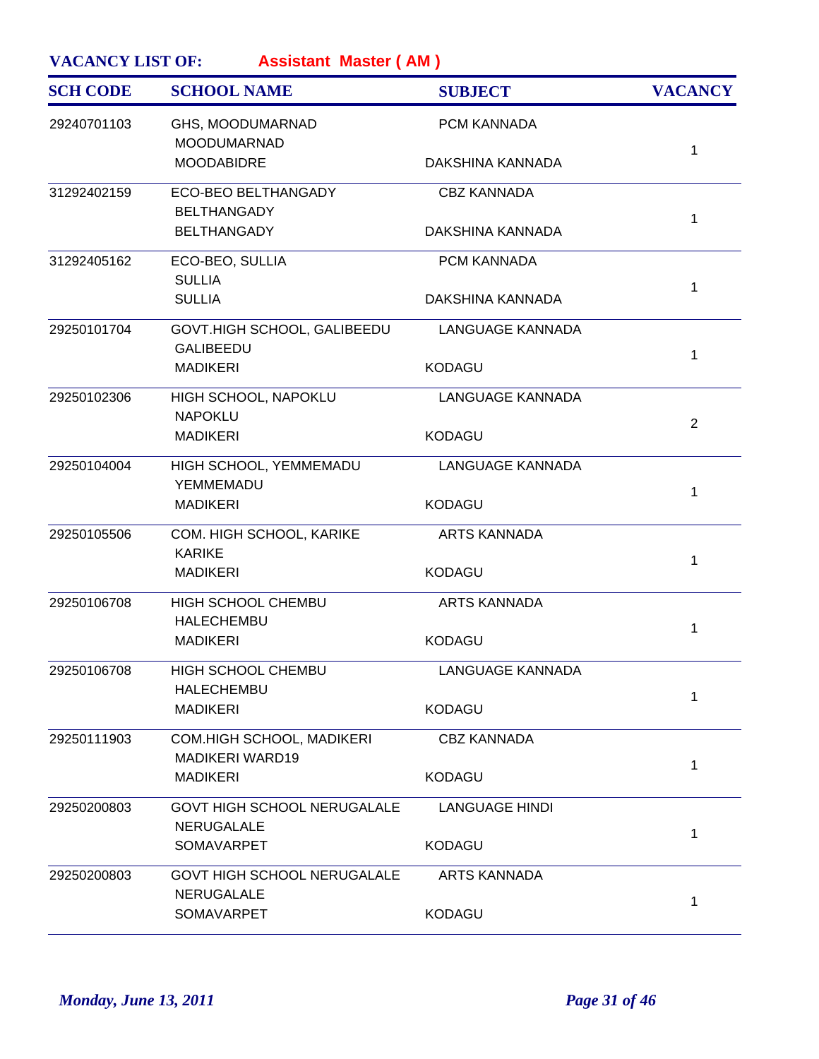| <b>SCH CODE</b> | <b>SCHOOL NAME</b>                                  | <b>SUBJECT</b>          | <b>VACANCY</b> |
|-----------------|-----------------------------------------------------|-------------------------|----------------|
| 29240701103     | GHS, MOODUMARNAD<br><b>MOODUMARNAD</b>              | PCM KANNADA             |                |
|                 | <b>MOODABIDRE</b>                                   | DAKSHINA KANNADA        | 1              |
| 31292402159     | ECO-BEO BELTHANGADY<br><b>BELTHANGADY</b>           | <b>CBZ KANNADA</b>      |                |
|                 | <b>BELTHANGADY</b>                                  | DAKSHINA KANNADA        | 1              |
| 31292405162     | ECO-BEO, SULLIA<br><b>SULLIA</b>                    | PCM KANNADA             | 1              |
|                 | <b>SULLIA</b>                                       | DAKSHINA KANNADA        |                |
| 29250101704     | GOVT.HIGH SCHOOL, GALIBEEDU<br><b>GALIBEEDU</b>     | <b>LANGUAGE KANNADA</b> | 1              |
|                 | <b>MADIKERI</b>                                     | <b>KODAGU</b>           |                |
| 29250102306     | HIGH SCHOOL, NAPOKLU<br><b>NAPOKLU</b>              | <b>LANGUAGE KANNADA</b> |                |
|                 | <b>MADIKERI</b>                                     | <b>KODAGU</b>           | $\overline{2}$ |
| 29250104004     | HIGH SCHOOL, YEMMEMADU<br>YEMMEMADU                 | <b>LANGUAGE KANNADA</b> |                |
|                 | <b>MADIKERI</b>                                     | <b>KODAGU</b>           | 1              |
| 29250105506     | COM. HIGH SCHOOL, KARIKE<br><b>KARIKE</b>           | <b>ARTS KANNADA</b>     |                |
|                 | <b>MADIKERI</b>                                     | <b>KODAGU</b>           | 1              |
| 29250106708     | HIGH SCHOOL CHEMBU<br><b>HALECHEMBU</b>             | <b>ARTS KANNADA</b>     |                |
|                 | <b>MADIKERI</b>                                     | <b>KODAGU</b>           | 1              |
| 29250106708     | HIGH SCHOOL CHEMBU<br>HALECHEMBU                    | LANGUAGE KANNADA        |                |
|                 | <b>MADIKERI</b>                                     | <b>KODAGU</b>           | 1              |
| 29250111903     | COM.HIGH SCHOOL, MADIKERI<br><b>MADIKERI WARD19</b> | <b>CBZ KANNADA</b>      |                |
|                 | <b>MADIKERI</b>                                     | <b>KODAGU</b>           | 1              |
| 29250200803     | GOVT HIGH SCHOOL NERUGALALE<br>NERUGALALE           | <b>LANGUAGE HINDI</b>   |                |
|                 | SOMAVARPET                                          | <b>KODAGU</b>           | 1              |
| 29250200803     | GOVT HIGH SCHOOL NERUGALALE<br><b>NERUGALALE</b>    | <b>ARTS KANNADA</b>     |                |
|                 | SOMAVARPET                                          | <b>KODAGU</b>           | 1              |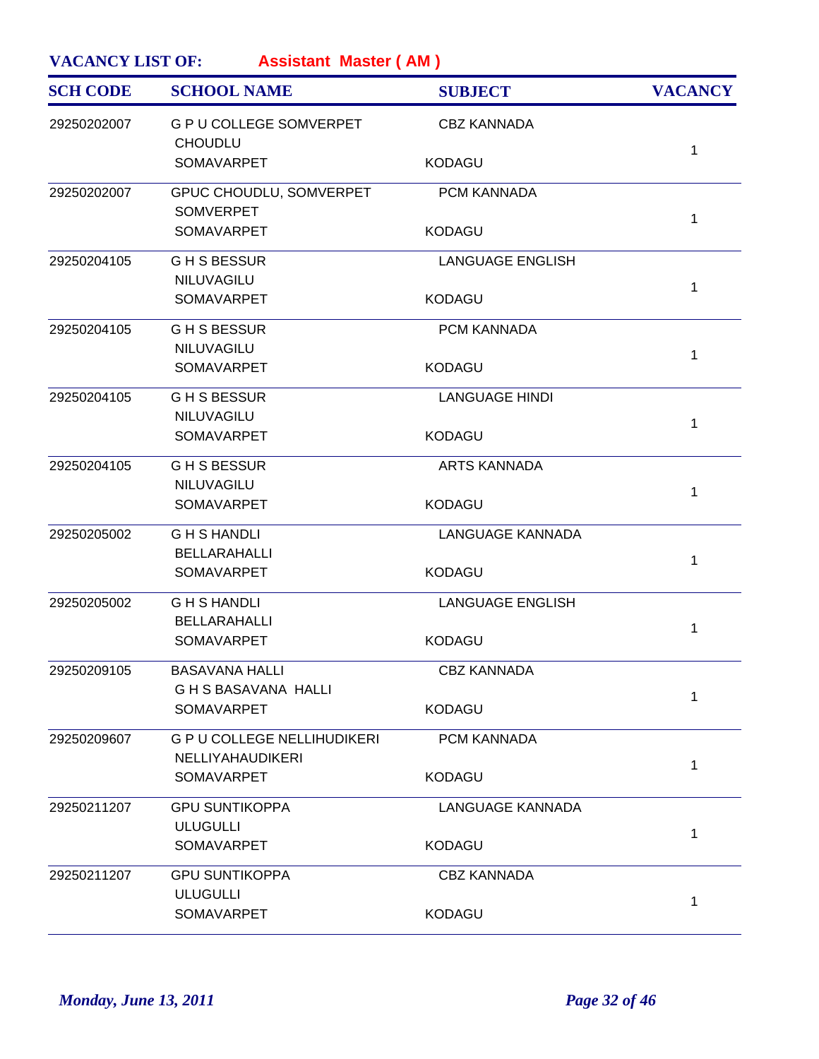| <b>SCH CODE</b> | <b>SCHOOL NAME</b>                                     | <b>SUBJECT</b>          | <b>VACANCY</b> |
|-----------------|--------------------------------------------------------|-------------------------|----------------|
| 29250202007     | <b>G P U COLLEGE SOMVERPET</b><br><b>CHOUDLU</b>       | <b>CBZ KANNADA</b>      | $\mathbf{1}$   |
|                 | SOMAVARPET                                             | <b>KODAGU</b>           |                |
| 29250202007     | GPUC CHOUDLU, SOMVERPET                                | PCM KANNADA             |                |
|                 | <b>SOMVERPET</b><br><b>SOMAVARPET</b>                  | <b>KODAGU</b>           | $\mathbf{1}$   |
| 29250204105     | <b>GHSBESSUR</b>                                       | <b>LANGUAGE ENGLISH</b> |                |
|                 | NILUVAGILU<br>SOMAVARPET                               | <b>KODAGU</b>           | $\mathbf{1}$   |
| 29250204105     | <b>GHSBESSUR</b>                                       | PCM KANNADA             |                |
|                 | NILUVAGILU<br>SOMAVARPET                               | <b>KODAGU</b>           | 1              |
| 29250204105     | <b>GHSBESSUR</b>                                       | <b>LANGUAGE HINDI</b>   |                |
|                 | NILUVAGILU<br>SOMAVARPET                               | <b>KODAGU</b>           | $\mathbf{1}$   |
| 29250204105     | <b>GHSBESSUR</b>                                       | <b>ARTS KANNADA</b>     |                |
|                 | NILUVAGILU<br>SOMAVARPET                               | <b>KODAGU</b>           | $\mathbf{1}$   |
| 29250205002     | <b>GHSHANDLI</b>                                       | <b>LANGUAGE KANNADA</b> |                |
|                 | <b>BELLARAHALLI</b><br>SOMAVARPET                      | <b>KODAGU</b>           | $\mathbf{1}$   |
| 29250205002     | <b>GHSHANDLI</b>                                       | <b>LANGUAGE ENGLISH</b> |                |
|                 | <b>BELLARAHALLI</b><br>SOMAVARPET                      | <b>KODAGU</b>           | $\mathbf{1}$   |
| 29250209105     | <b>BASAVANA HALLI</b><br><b>GHS BASAVANA HALLI</b>     | <b>CBZ KANNADA</b>      |                |
|                 | SOMAVARPET                                             | <b>KODAGU</b>           | 1              |
| 29250209607     | <b>G P U COLLEGE NELLIHUDIKERI</b><br>NELLIYAHAUDIKERI | PCM KANNADA             |                |
|                 | <b>SOMAVARPET</b>                                      | <b>KODAGU</b>           | $\mathbf{1}$   |
| 29250211207     | <b>GPU SUNTIKOPPA</b>                                  | <b>LANGUAGE KANNADA</b> |                |
|                 | <b>ULUGULLI</b><br>SOMAVARPET                          | <b>KODAGU</b>           | $\mathbf{1}$   |
| 29250211207     | <b>GPU SUNTIKOPPA</b>                                  | <b>CBZ KANNADA</b>      |                |
|                 | <b>ULUGULLI</b><br>SOMAVARPET                          | <b>KODAGU</b>           | 1              |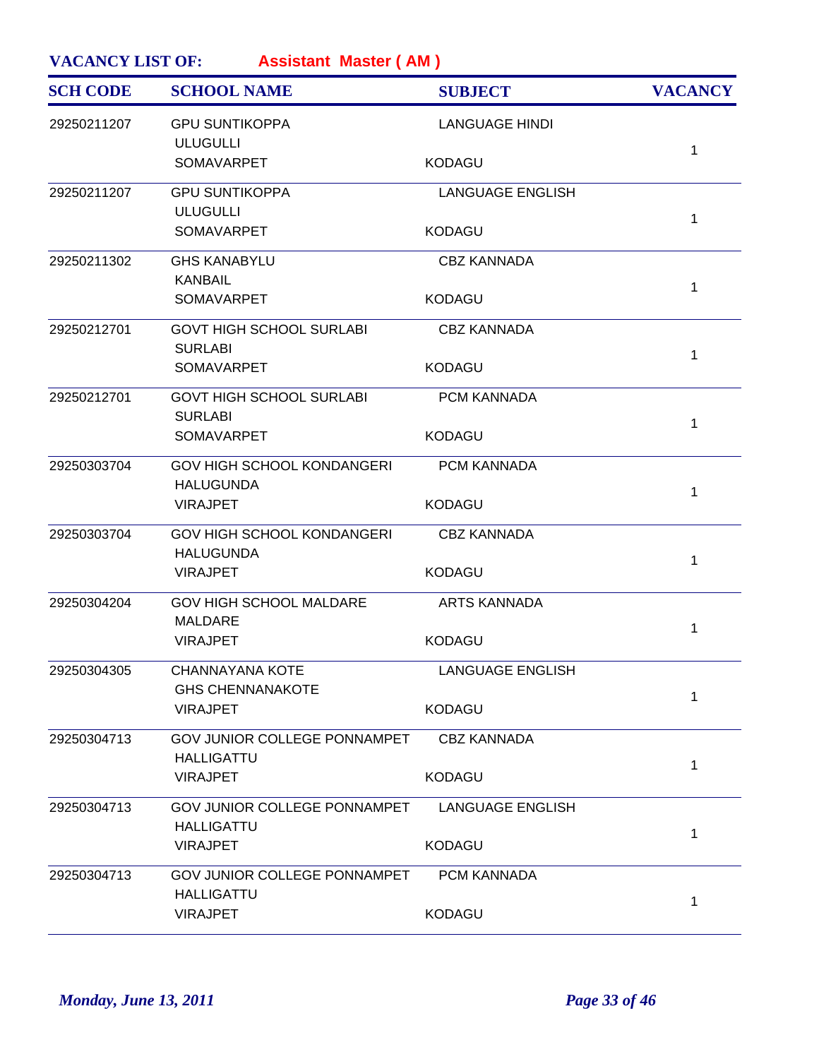| <b>SCH CODE</b> | <b>SCHOOL NAME</b>                                    | <b>SUBJECT</b>          | <b>VACANCY</b> |
|-----------------|-------------------------------------------------------|-------------------------|----------------|
| 29250211207     | <b>GPU SUNTIKOPPA</b><br><b>ULUGULLI</b>              | <b>LANGUAGE HINDI</b>   |                |
|                 | <b>SOMAVARPET</b>                                     | <b>KODAGU</b>           | $\mathbf 1$    |
| 29250211207     | <b>GPU SUNTIKOPPA</b>                                 | <b>LANGUAGE ENGLISH</b> |                |
|                 | <b>ULUGULLI</b><br><b>SOMAVARPET</b>                  | <b>KODAGU</b>           | $\mathbf 1$    |
| 29250211302     | <b>GHS KANABYLU</b>                                   | <b>CBZ KANNADA</b>      |                |
|                 | <b>KANBAIL</b><br><b>SOMAVARPET</b>                   | <b>KODAGU</b>           | $\mathbf{1}$   |
| 29250212701     | <b>GOVT HIGH SCHOOL SURLABI</b><br><b>SURLABI</b>     | <b>CBZ KANNADA</b>      |                |
|                 | <b>SOMAVARPET</b>                                     | <b>KODAGU</b>           | $\mathbf{1}$   |
| 29250212701     | <b>GOVT HIGH SCHOOL SURLABI</b><br><b>SURLABI</b>     | PCM KANNADA             |                |
|                 | SOMAVARPET                                            | <b>KODAGU</b>           | $\mathbf{1}$   |
| 29250303704     | <b>GOV HIGH SCHOOL KONDANGERI</b><br><b>HALUGUNDA</b> | PCM KANNADA             |                |
|                 | <b>VIRAJPET</b>                                       | <b>KODAGU</b>           | $\mathbf 1$    |
| 29250303704     | <b>GOV HIGH SCHOOL KONDANGERI</b><br><b>HALUGUNDA</b> | <b>CBZ KANNADA</b>      |                |
|                 | <b>VIRAJPET</b>                                       | <b>KODAGU</b>           | $\mathbf{1}$   |
| 29250304204     | <b>GOV HIGH SCHOOL MALDARE</b><br><b>MALDARE</b>      | ARTS KANNADA            |                |
|                 | <b>VIRAJPET</b>                                       | <b>KODAGU</b>           | 1              |
| 29250304305     | <b>CHANNAYANA KOTE</b><br><b>GHS CHENNANAKOTE</b>     | <b>LANGUAGE ENGLISH</b> |                |
|                 | <b>VIRAJPET</b>                                       | <b>KODAGU</b>           | 1              |
| 29250304713     | GOV JUNIOR COLLEGE PONNAMPET                          | <b>CBZ KANNADA</b>      |                |
|                 | <b>HALLIGATTU</b><br><b>VIRAJPET</b>                  | <b>KODAGU</b>           | $\mathbf{1}$   |
| 29250304713     | GOV JUNIOR COLLEGE PONNAMPET                          | <b>LANGUAGE ENGLISH</b> |                |
|                 | <b>HALLIGATTU</b><br><b>VIRAJPET</b>                  | <b>KODAGU</b>           | $\mathbf{1}$   |
| 29250304713     | <b>GOV JUNIOR COLLEGE PONNAMPET</b>                   | PCM KANNADA             |                |
|                 | <b>HALLIGATTU</b><br><b>VIRAJPET</b>                  | <b>KODAGU</b>           | 1              |
|                 |                                                       |                         |                |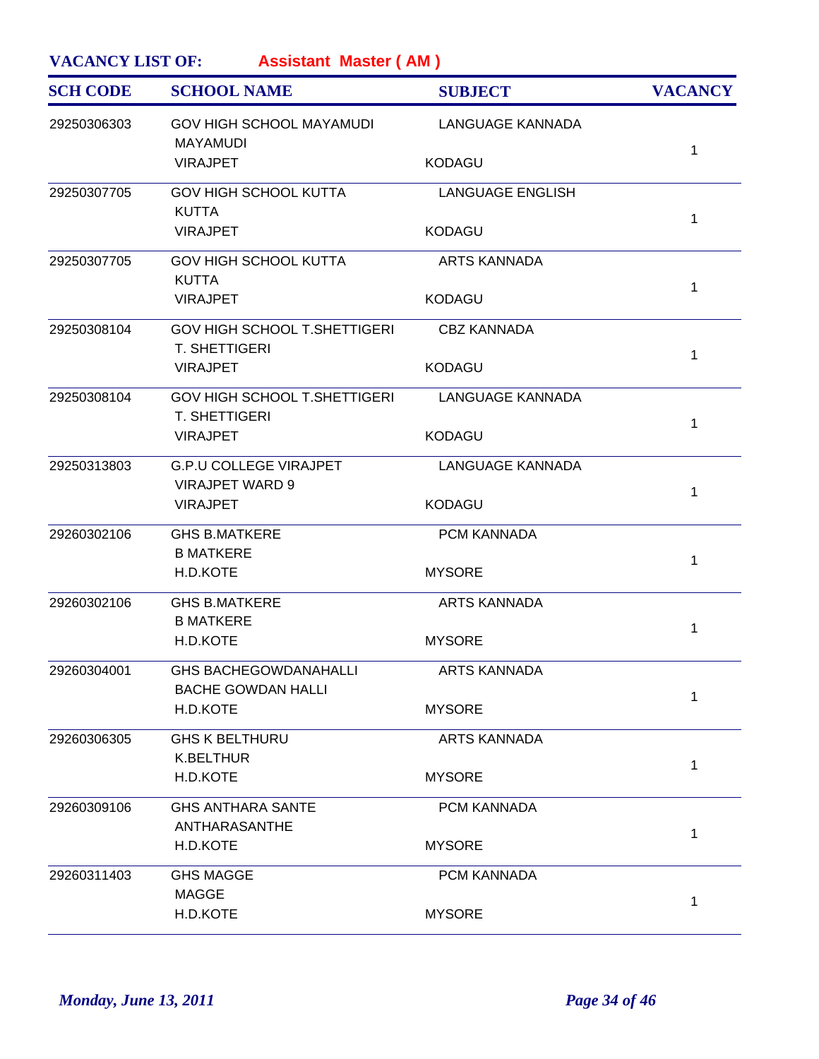| <b>SCH CODE</b> | <b>SCHOOL NAME</b>                                        | <b>SUBJECT</b>          | <b>VACANCY</b> |
|-----------------|-----------------------------------------------------------|-------------------------|----------------|
| 29250306303     | <b>GOV HIGH SCHOOL MAYAMUDI</b><br><b>MAYAMUDI</b>        | <b>LANGUAGE KANNADA</b> |                |
|                 | <b>VIRAJPET</b>                                           | <b>KODAGU</b>           | $\mathbf 1$    |
| 29250307705     | <b>GOV HIGH SCHOOL KUTTA</b>                              | <b>LANGUAGE ENGLISH</b> |                |
|                 | <b>KUTTA</b><br><b>VIRAJPET</b>                           | <b>KODAGU</b>           | $\mathbf{1}$   |
| 29250307705     | <b>GOV HIGH SCHOOL KUTTA</b>                              | <b>ARTS KANNADA</b>     |                |
|                 | <b>KUTTA</b><br><b>VIRAJPET</b>                           | <b>KODAGU</b>           | $\mathbf{1}$   |
| 29250308104     | <b>GOV HIGH SCHOOL T.SHETTIGERI</b>                       | <b>CBZ KANNADA</b>      |                |
|                 | <b>T. SHETTIGERI</b><br><b>VIRAJPET</b>                   | <b>KODAGU</b>           | $\mathbf{1}$   |
| 29250308104     | <b>GOV HIGH SCHOOL T.SHETTIGERI</b>                       | <b>LANGUAGE KANNADA</b> |                |
|                 | T. SHETTIGERI<br><b>VIRAJPET</b>                          | <b>KODAGU</b>           | $\mathbf{1}$   |
| 29250313803     | <b>G.P.U COLLEGE VIRAJPET</b>                             | LANGUAGE KANNADA        |                |
|                 | <b>VIRAJPET WARD 9</b><br><b>VIRAJPET</b>                 | <b>KODAGU</b>           | $\mathbf{1}$   |
| 29260302106     | <b>GHS B.MATKERE</b>                                      | PCM KANNADA             |                |
|                 | <b>B MATKERE</b><br>H.D.KOTE                              | <b>MYSORE</b>           | 1              |
| 29260302106     | <b>GHS B.MATKERE</b>                                      | <b>ARTS KANNADA</b>     |                |
|                 | <b>B MATKERE</b><br>H.D.KOTE                              | <b>MYSORE</b>           | 1              |
| 29260304001     | <b>GHS BACHEGOWDANAHALLI</b><br><b>BACHE GOWDAN HALLI</b> | <b>ARTS KANNADA</b>     |                |
|                 | H.D.KOTE                                                  | <b>MYSORE</b>           | 1              |
| 29260306305     | <b>GHS K BELTHURU</b>                                     | <b>ARTS KANNADA</b>     |                |
|                 | <b>K.BELTHUR</b><br>H.D.KOTE                              | <b>MYSORE</b>           | 1              |
| 29260309106     | <b>GHS ANTHARA SANTE</b>                                  | PCM KANNADA             |                |
|                 | ANTHARASANTHE<br>H.D.KOTE                                 | <b>MYSORE</b>           | 1              |
| 29260311403     | <b>GHS MAGGE</b>                                          | PCM KANNADA             |                |
|                 | <b>MAGGE</b><br>H.D.KOTE                                  | <b>MYSORE</b>           | $\mathbf{1}$   |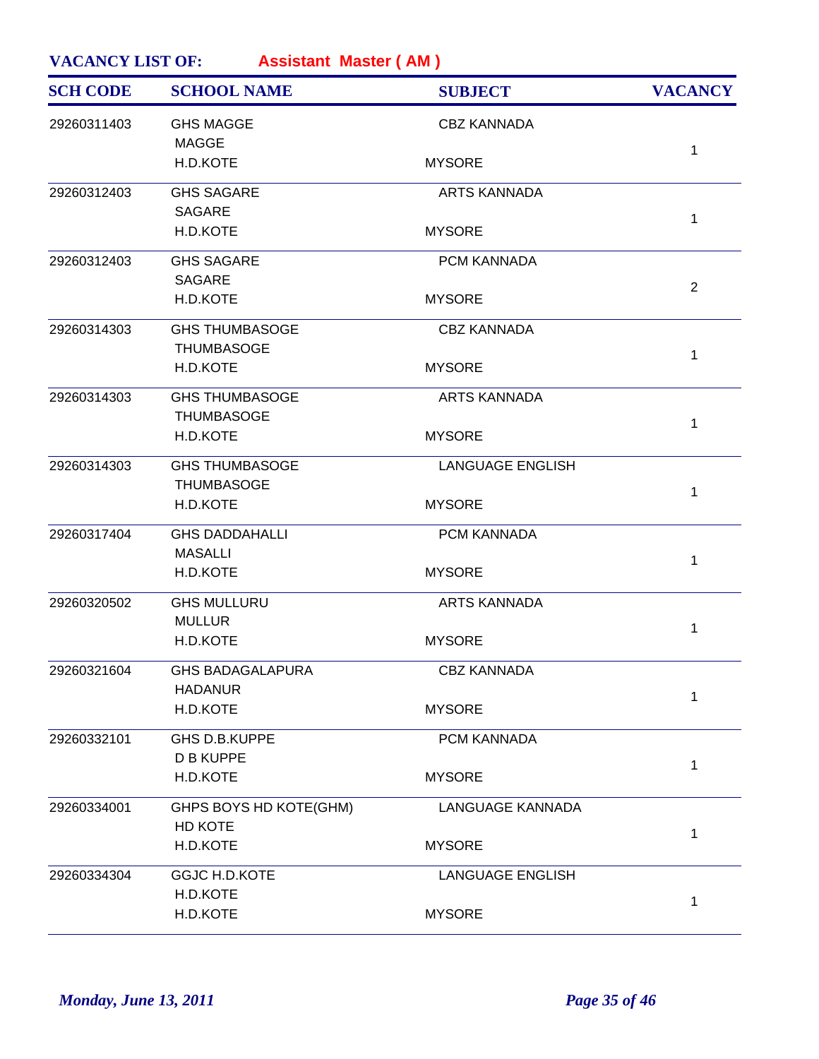| <b>SCHOOL NAME</b> |             | <b>SUBJECT</b>          | <b>VACANCY</b> |                         |                |
|--------------------|-------------|-------------------------|----------------|-------------------------|----------------|
|                    | 29260311403 | <b>GHS MAGGE</b>        |                | <b>CBZ KANNADA</b>      |                |
|                    |             | <b>MAGGE</b>            |                |                         | $\mathbf{1}$   |
|                    |             | H.D.KOTE                |                | <b>MYSORE</b>           |                |
|                    | 29260312403 | <b>GHS SAGARE</b>       |                | <b>ARTS KANNADA</b>     |                |
|                    |             | <b>SAGARE</b>           |                |                         | $\mathbf{1}$   |
|                    |             | H.D.KOTE                |                | <b>MYSORE</b>           |                |
|                    | 29260312403 | <b>GHS SAGARE</b>       |                | PCM KANNADA             |                |
|                    |             | <b>SAGARE</b>           |                |                         | $\overline{2}$ |
|                    |             | H.D.KOTE                |                | <b>MYSORE</b>           |                |
|                    | 29260314303 | <b>GHS THUMBASOGE</b>   |                | <b>CBZ KANNADA</b>      |                |
|                    |             | <b>THUMBASOGE</b>       |                |                         | $\mathbf{1}$   |
|                    |             | H.D.KOTE                |                | <b>MYSORE</b>           |                |
|                    | 29260314303 | <b>GHS THUMBASOGE</b>   |                | <b>ARTS KANNADA</b>     |                |
|                    |             | <b>THUMBASOGE</b>       |                |                         | 1              |
|                    |             | H.D.KOTE                |                | <b>MYSORE</b>           |                |
|                    | 29260314303 | <b>GHS THUMBASOGE</b>   |                | <b>LANGUAGE ENGLISH</b> |                |
|                    |             | <b>THUMBASOGE</b>       |                |                         | $\mathbf{1}$   |
|                    |             | H.D.KOTE                |                | <b>MYSORE</b>           |                |
|                    | 29260317404 | <b>GHS DADDAHALLI</b>   |                | <b>PCM KANNADA</b>      |                |
|                    |             | <b>MASALLI</b>          |                |                         | 1              |
|                    |             | H.D.KOTE                |                | <b>MYSORE</b>           |                |
|                    | 29260320502 | <b>GHS MULLURU</b>      |                | <b>ARTS KANNADA</b>     |                |
|                    |             | <b>MULLUR</b>           |                |                         | $\mathbf{1}$   |
|                    |             | H.D.KOTE                |                | <b>MYSORE</b>           |                |
|                    | 29260321604 | <b>GHS BADAGALAPURA</b> |                | <b>CBZ KANNADA</b>      |                |
|                    |             | <b>HADANUR</b>          |                |                         | 1              |
|                    |             | H.D.KOTE                |                | <b>MYSORE</b>           |                |
|                    | 29260332101 | GHS D.B.KUPPE           |                | PCM KANNADA             |                |
|                    |             | <b>D B KUPPE</b>        |                |                         | $\mathbf{1}$   |
|                    |             | H.D.KOTE                |                | <b>MYSORE</b>           |                |
|                    | 29260334001 | GHPS BOYS HD KOTE(GHM)  |                | LANGUAGE KANNADA        |                |
|                    |             |                         |                |                         | 1              |
|                    |             | H.D.KOTE                |                | <b>MYSORE</b>           |                |
|                    | 29260334304 | <b>GGJC H.D.KOTE</b>    |                | <b>LANGUAGE ENGLISH</b> |                |
|                    |             | H.D.KOTE                |                |                         | 1              |
|                    |             | H.D.KOTE                |                | <b>MYSORE</b>           |                |
|                    |             | HD KOTE                 |                |                         |                |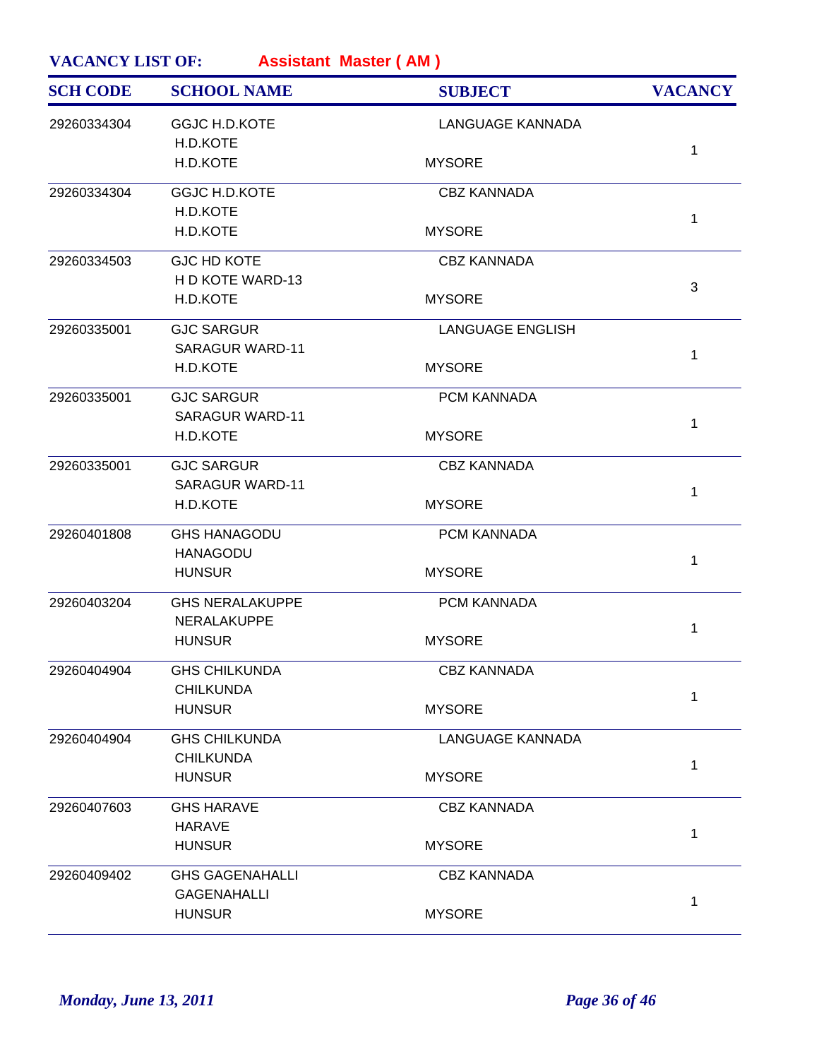| <b>SCH CODE</b> | <b>SCHOOL NAME</b>                       | <b>SUBJECT</b>          | <b>VACANCY</b> |
|-----------------|------------------------------------------|-------------------------|----------------|
| 29260334304     | <b>GGJC H.D.KOTE</b><br>H.D.KOTE         | <b>LANGUAGE KANNADA</b> |                |
|                 | H.D.KOTE                                 | <b>MYSORE</b>           | $\mathbf{1}$   |
| 29260334304     | <b>GGJC H.D.KOTE</b><br>H.D.KOTE         | <b>CBZ KANNADA</b>      |                |
|                 | H.D.KOTE                                 | <b>MYSORE</b>           | $\mathbf{1}$   |
| 29260334503     | <b>GJC HD KOTE</b>                       | <b>CBZ KANNADA</b>      |                |
|                 | H D KOTE WARD-13                         |                         | $\mathbf{3}$   |
|                 | H.D.KOTE                                 | <b>MYSORE</b>           |                |
| 29260335001     | <b>GJC SARGUR</b>                        | <b>LANGUAGE ENGLISH</b> |                |
|                 | <b>SARAGUR WARD-11</b><br>H.D.KOTE       | <b>MYSORE</b>           | $\mathbf{1}$   |
| 29260335001     | <b>GJC SARGUR</b>                        | PCM KANNADA             |                |
|                 | <b>SARAGUR WARD-11</b>                   |                         | $\mathbf{1}$   |
|                 | H.D.KOTE                                 | <b>MYSORE</b>           |                |
| 29260335001     | <b>GJC SARGUR</b>                        | <b>CBZ KANNADA</b>      |                |
|                 | <b>SARAGUR WARD-11</b>                   |                         | $\mathbf{1}$   |
|                 | H.D.KOTE                                 | <b>MYSORE</b>           |                |
| 29260401808     | <b>GHS HANAGODU</b>                      | PCM KANNADA             |                |
|                 | <b>HANAGODU</b>                          |                         | $\mathbf{1}$   |
|                 | <b>HUNSUR</b>                            | <b>MYSORE</b>           |                |
| 29260403204     | <b>GHS NERALAKUPPE</b>                   | PCM KANNADA             |                |
|                 | NERALAKUPPE                              |                         | 1              |
|                 | <b>HUNSUR</b>                            | <b>MYSORE</b>           |                |
| 29260404904     | <b>GHS CHILKUNDA</b><br><b>CHILKUNDA</b> | <b>CBZ KANNADA</b>      |                |
|                 | <b>HUNSUR</b>                            | <b>MYSORE</b>           | $\mathbf{1}$   |
| 29260404904     | <b>GHS CHILKUNDA</b>                     | <b>LANGUAGE KANNADA</b> |                |
|                 | <b>CHILKUNDA</b>                         |                         |                |
|                 | <b>HUNSUR</b>                            | <b>MYSORE</b>           | $\mathbf{1}$   |
| 29260407603     | <b>GHS HARAVE</b>                        | <b>CBZ KANNADA</b>      |                |
|                 | <b>HARAVE</b>                            |                         | $\mathbf{1}$   |
|                 | <b>HUNSUR</b>                            | <b>MYSORE</b>           |                |
| 29260409402     | <b>GHS GAGENAHALLI</b>                   | <b>CBZ KANNADA</b>      |                |
|                 | <b>GAGENAHALLI</b>                       |                         | 1              |
|                 | <b>HUNSUR</b>                            | <b>MYSORE</b>           |                |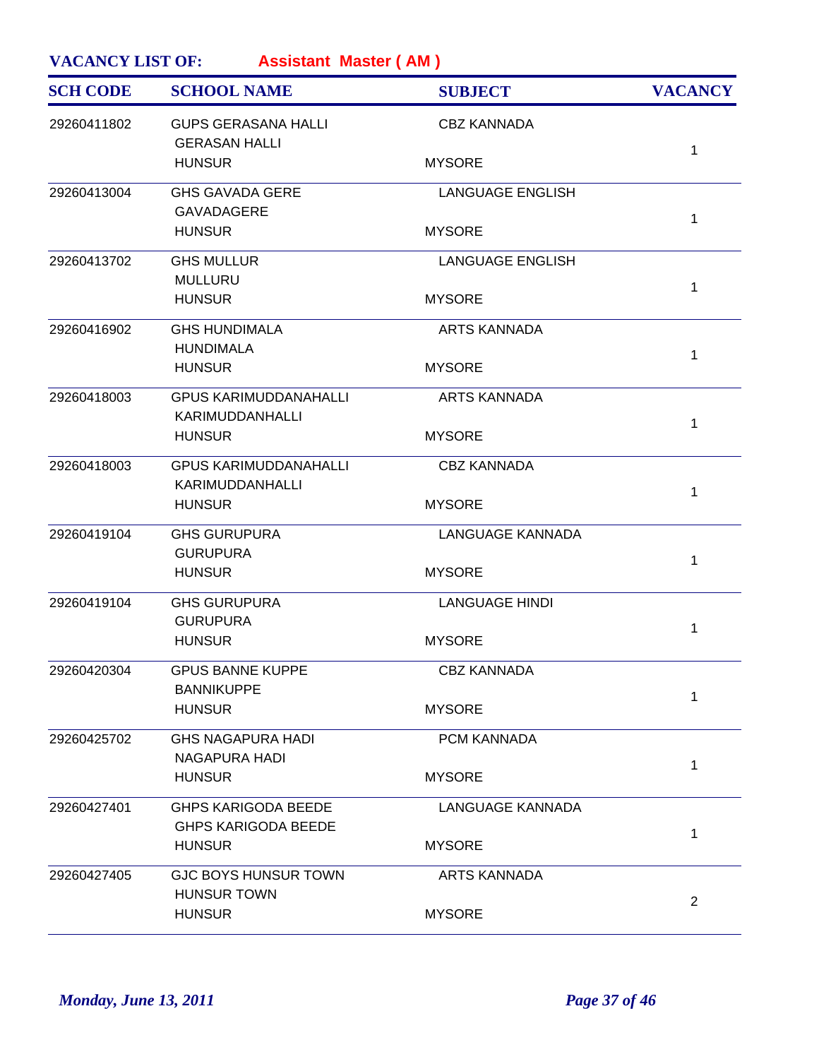| <b>SCH CODE</b> | <b>SCHOOL NAME</b>                                       | <b>SUBJECT</b>          | <b>VACANCY</b> |
|-----------------|----------------------------------------------------------|-------------------------|----------------|
| 29260411802     | <b>GUPS GERASANA HALLI</b><br><b>GERASAN HALLI</b>       | <b>CBZ KANNADA</b>      |                |
|                 | <b>HUNSUR</b>                                            | <b>MYSORE</b>           | 1              |
| 29260413004     | <b>GHS GAVADA GERE</b>                                   | <b>LANGUAGE ENGLISH</b> |                |
|                 | <b>GAVADAGERE</b><br><b>HUNSUR</b>                       | <b>MYSORE</b>           | 1              |
| 29260413702     | <b>GHS MULLUR</b>                                        | <b>LANGUAGE ENGLISH</b> |                |
|                 | <b>MULLURU</b>                                           |                         | 1              |
|                 | <b>HUNSUR</b>                                            | <b>MYSORE</b>           |                |
| 29260416902     | <b>GHS HUNDIMALA</b>                                     | <b>ARTS KANNADA</b>     |                |
|                 | <b>HUNDIMALA</b><br><b>HUNSUR</b>                        | <b>MYSORE</b>           | 1              |
|                 |                                                          |                         |                |
| 29260418003     | <b>GPUS KARIMUDDANAHALLI</b>                             | <b>ARTS KANNADA</b>     |                |
|                 | KARIMUDDANHALLI<br><b>HUNSUR</b>                         | <b>MYSORE</b>           | 1              |
|                 |                                                          |                         |                |
| 29260418003     | <b>GPUS KARIMUDDANAHALLI</b>                             | <b>CBZ KANNADA</b>      |                |
|                 | KARIMUDDANHALLI<br><b>HUNSUR</b>                         | <b>MYSORE</b>           | 1              |
|                 |                                                          |                         |                |
| 29260419104     | <b>GHS GURUPURA</b>                                      | <b>LANGUAGE KANNADA</b> |                |
|                 | <b>GURUPURA</b><br><b>HUNSUR</b>                         | <b>MYSORE</b>           | 1              |
|                 |                                                          |                         |                |
| 29260419104     | <b>GHS GURUPURA</b><br><b>GURUPURA</b>                   | <b>LANGUAGE HINDI</b>   |                |
|                 | <b>HUNSUR</b>                                            | <b>MYSORE</b>           | 1              |
|                 |                                                          |                         |                |
| 29260420304     | <b>GPUS BANNE KUPPE</b>                                  | <b>CBZ KANNADA</b>      |                |
|                 | <b>BANNIKUPPE</b><br><b>HUNSUR</b>                       | <b>MYSORE</b>           | 1              |
|                 |                                                          |                         |                |
| 29260425702     | <b>GHS NAGAPURA HADI</b><br><b>NAGAPURA HADI</b>         | PCM KANNADA             |                |
|                 | <b>HUNSUR</b>                                            | <b>MYSORE</b>           | 1              |
|                 |                                                          |                         |                |
| 29260427401     | <b>GHPS KARIGODA BEEDE</b><br><b>GHPS KARIGODA BEEDE</b> | <b>LANGUAGE KANNADA</b> |                |
|                 | <b>HUNSUR</b>                                            | <b>MYSORE</b>           | 1              |
|                 |                                                          |                         |                |
| 29260427405     | <b>GJC BOYS HUNSUR TOWN</b><br><b>HUNSUR TOWN</b>        | <b>ARTS KANNADA</b>     |                |
|                 | <b>HUNSUR</b>                                            | <b>MYSORE</b>           | 2              |
|                 |                                                          |                         |                |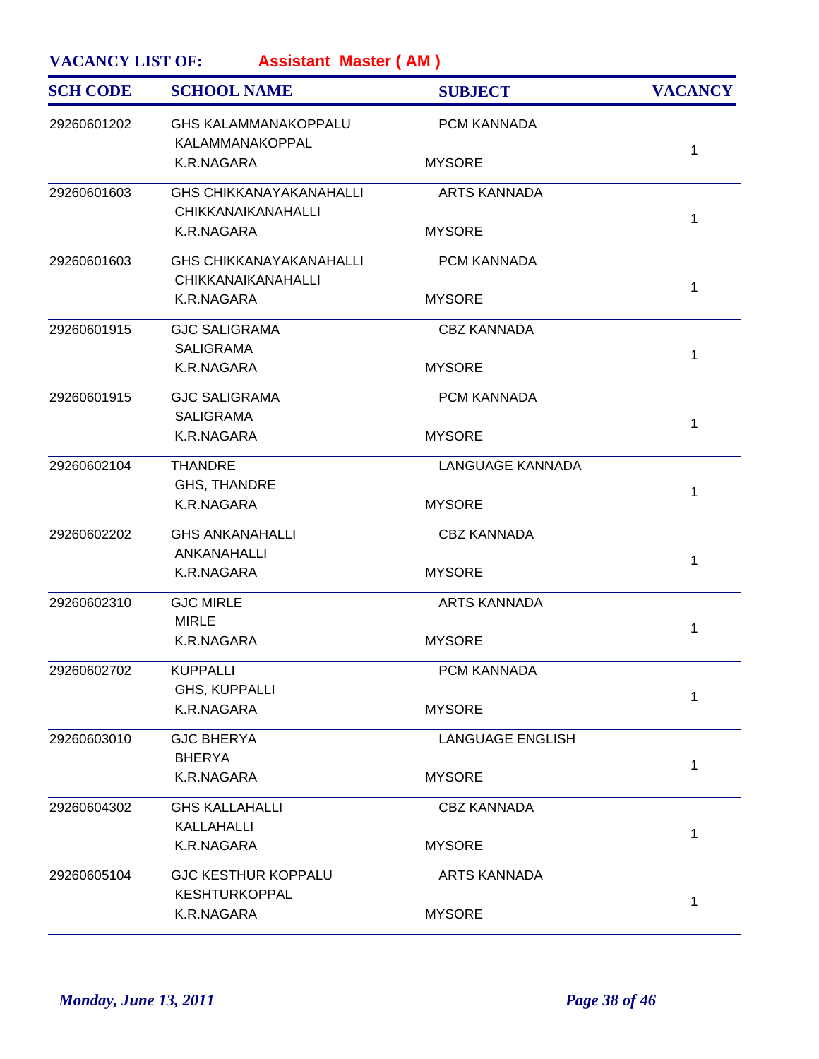| <b>SCH CODE</b> | <b>SCHOOL NAME</b>                                          | <b>SUBJECT</b>          | <b>VACANCY</b> |
|-----------------|-------------------------------------------------------------|-------------------------|----------------|
| 29260601202     | <b>GHS KALAMMANAKOPPALU</b><br>KALAMMANAKOPPAL              | PCM KANNADA             |                |
|                 | K.R.NAGARA                                                  | <b>MYSORE</b>           | $\mathbf{1}$   |
| 29260601603     | <b>GHS CHIKKANAYAKANAHALLI</b><br><b>CHIKKANAIKANAHALLI</b> | <b>ARTS KANNADA</b>     |                |
|                 | K.R.NAGARA                                                  | <b>MYSORE</b>           | $\mathbf{1}$   |
| 29260601603     | <b>GHS CHIKKANAYAKANAHALLI</b><br><b>CHIKKANAIKANAHALLI</b> | PCM KANNADA             | $\mathbf{1}$   |
|                 | K.R.NAGARA                                                  | <b>MYSORE</b>           |                |
| 29260601915     | <b>GJC SALIGRAMA</b><br><b>SALIGRAMA</b>                    | <b>CBZ KANNADA</b>      | $\mathbf{1}$   |
|                 | K.R.NAGARA                                                  | <b>MYSORE</b>           |                |
| 29260601915     | <b>GJC SALIGRAMA</b><br><b>SALIGRAMA</b>                    | PCM KANNADA             | $\mathbf{1}$   |
|                 | K.R.NAGARA                                                  | <b>MYSORE</b>           |                |
| 29260602104     | <b>THANDRE</b><br><b>GHS, THANDRE</b>                       | <b>LANGUAGE KANNADA</b> | $\mathbf{1}$   |
|                 | K.R.NAGARA                                                  | <b>MYSORE</b>           |                |
| 29260602202     | <b>GHS ANKANAHALLI</b><br>ANKANAHALLI                       | <b>CBZ KANNADA</b>      | $\mathbf{1}$   |
|                 | K.R.NAGARA                                                  | <b>MYSORE</b>           |                |
| 29260602310     | <b>GJC MIRLE</b><br><b>MIRLE</b>                            | <b>ARTS KANNADA</b>     | 1              |
|                 | K.R.NAGARA                                                  | <b>MYSORE</b>           |                |
| 29260602702     | <b>KUPPALLI</b><br>GHS, KUPPALLI                            | PCM KANNADA             | $\mathbf{1}$   |
|                 | K.R.NAGARA                                                  | <b>MYSORE</b>           |                |
| 29260603010     | <b>GJC BHERYA</b><br><b>BHERYA</b>                          | <b>LANGUAGE ENGLISH</b> | $\mathbf{1}$   |
|                 | K.R.NAGARA                                                  | <b>MYSORE</b>           |                |
| 29260604302     | <b>GHS KALLAHALLI</b><br>KALLAHALLI                         | <b>CBZ KANNADA</b>      |                |
|                 | K.R.NAGARA                                                  | <b>MYSORE</b>           | $\mathbf{1}$   |
| 29260605104     | <b>GJC KESTHUR KOPPALU</b><br><b>KESHTURKOPPAL</b>          | <b>ARTS KANNADA</b>     |                |
|                 | K.R.NAGARA                                                  | <b>MYSORE</b>           | 1              |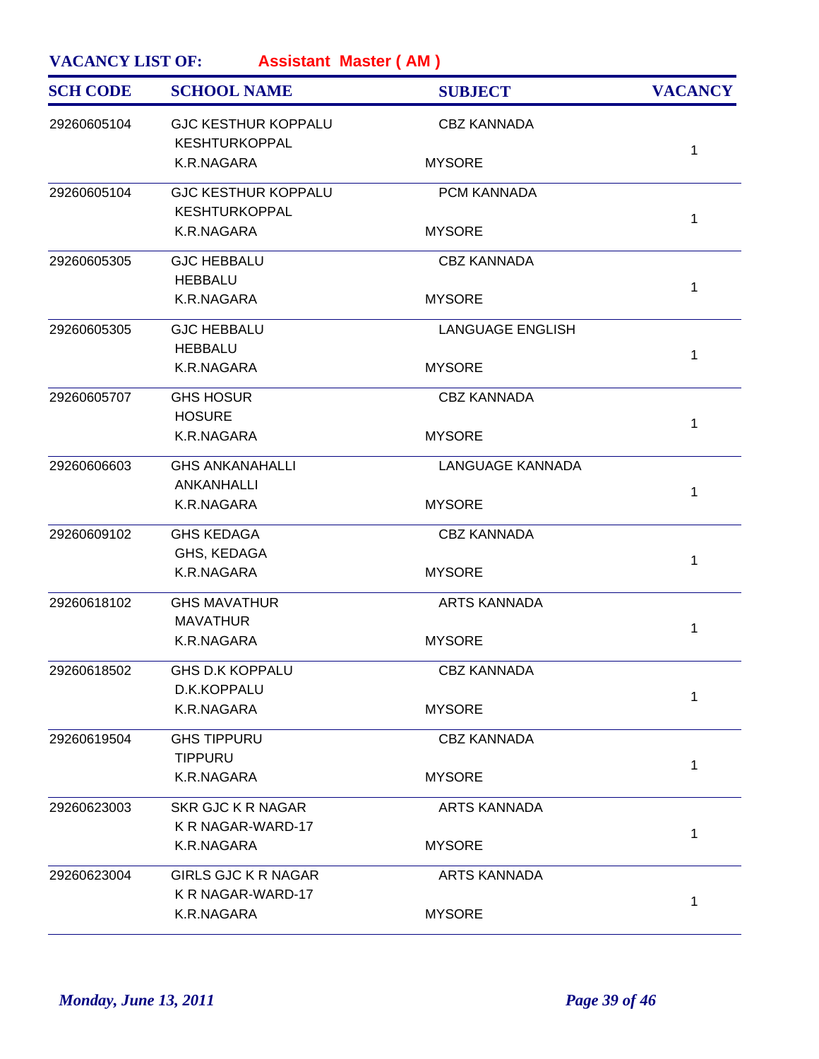| <b>SCH CODE</b> | <b>SCHOOL NAME</b>                                 | <b>SUBJECT</b>          | <b>VACANCY</b> |
|-----------------|----------------------------------------------------|-------------------------|----------------|
| 29260605104     | <b>GJC KESTHUR KOPPALU</b><br><b>KESHTURKOPPAL</b> | <b>CBZ KANNADA</b>      |                |
|                 | K.R.NAGARA                                         | <b>MYSORE</b>           | $\mathbf{1}$   |
| 29260605104     | <b>GJC KESTHUR KOPPALU</b><br><b>KESHTURKOPPAL</b> | PCM KANNADA             | $\mathbf{1}$   |
|                 | K.R.NAGARA                                         | <b>MYSORE</b>           |                |
| 29260605305     | <b>GJC HEBBALU</b><br><b>HEBBALU</b>               | <b>CBZ KANNADA</b>      | $\mathbf{1}$   |
|                 | K.R.NAGARA                                         | <b>MYSORE</b>           |                |
| 29260605305     | <b>GJC HEBBALU</b><br><b>HEBBALU</b>               | <b>LANGUAGE ENGLISH</b> | $\mathbf{1}$   |
|                 | K.R.NAGARA                                         | <b>MYSORE</b>           |                |
| 29260605707     | <b>GHS HOSUR</b><br><b>HOSURE</b>                  | <b>CBZ KANNADA</b>      | $\mathbf 1$    |
|                 | K.R.NAGARA                                         | <b>MYSORE</b>           |                |
| 29260606603     | <b>GHS ANKANAHALLI</b><br>ANKANHALLI               | <b>LANGUAGE KANNADA</b> | 1              |
|                 | K.R.NAGARA                                         | <b>MYSORE</b>           |                |
| 29260609102     | <b>GHS KEDAGA</b><br>GHS, KEDAGA                   | <b>CBZ KANNADA</b>      | $\mathbf{1}$   |
|                 | K.R.NAGARA                                         | <b>MYSORE</b>           |                |
| 29260618102     | <b>GHS MAVATHUR</b><br><b>MAVATHUR</b>             | <b>ARTS KANNADA</b>     | 1              |
|                 | K.R.NAGARA                                         | <b>MYSORE</b>           |                |
| 29260618502     | <b>GHS D.K KOPPALU</b><br>D.K.KOPPALU              | <b>CBZ KANNADA</b>      |                |
|                 | K.R.NAGARA                                         | <b>MYSORE</b>           | 1              |
| 29260619504     | <b>GHS TIPPURU</b><br><b>TIPPURU</b>               | <b>CBZ KANNADA</b>      |                |
|                 | K.R.NAGARA                                         | <b>MYSORE</b>           | $\mathbf{1}$   |
| 29260623003     | <b>SKR GJC K R NAGAR</b><br>K R NAGAR-WARD-17      | <b>ARTS KANNADA</b>     |                |
|                 | K.R.NAGARA                                         | <b>MYSORE</b>           | $\mathbf{1}$   |
| 29260623004     | <b>GIRLS GJC K R NAGAR</b><br>K R NAGAR-WARD-17    | <b>ARTS KANNADA</b>     |                |
|                 | K.R.NAGARA                                         | <b>MYSORE</b>           | 1              |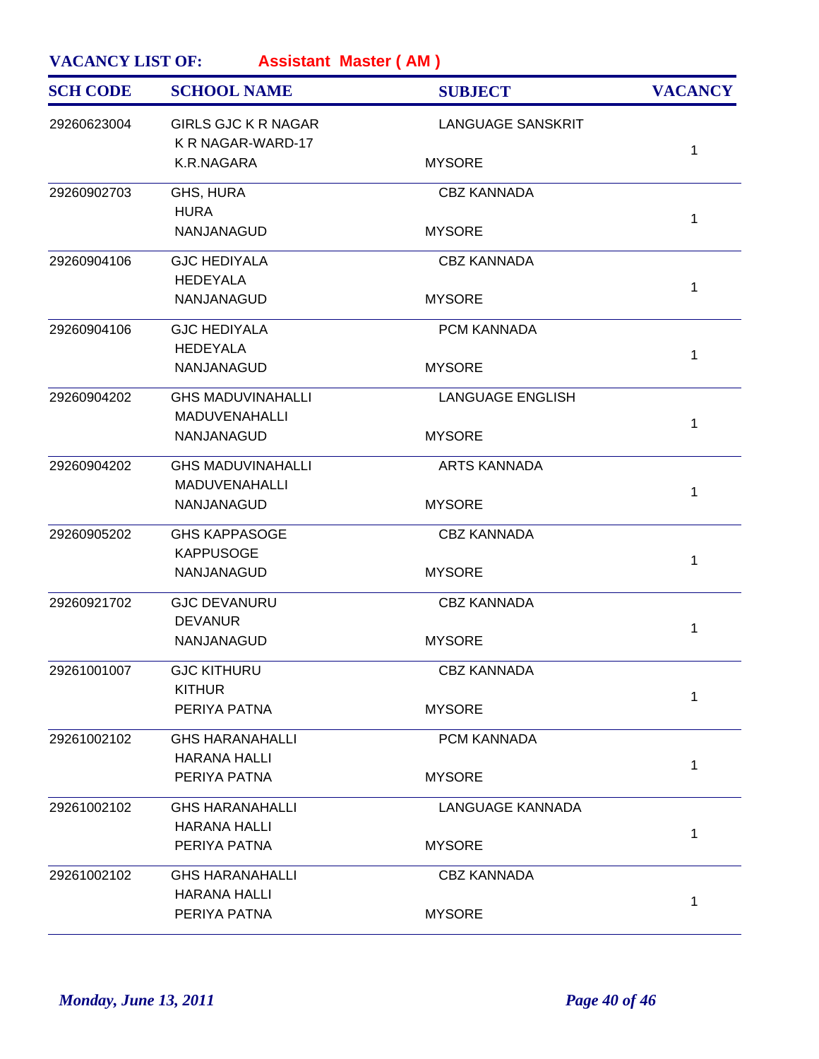| <b>SCH CODE</b> | <b>SCHOOL NAME</b>                              | <b>SUBJECT</b>           | <b>VACANCY</b> |
|-----------------|-------------------------------------------------|--------------------------|----------------|
| 29260623004     | <b>GIRLS GJC K R NAGAR</b><br>K R NAGAR-WARD-17 | <b>LANGUAGE SANSKRIT</b> |                |
|                 | K.R.NAGARA                                      | <b>MYSORE</b>            | $\mathbf 1$    |
| 29260902703     | GHS, HURA<br><b>HURA</b>                        | <b>CBZ KANNADA</b>       |                |
|                 | NANJANAGUD                                      | <b>MYSORE</b>            | $\mathbf 1$    |
| 29260904106     | <b>GJC HEDIYALA</b><br><b>HEDEYALA</b>          | <b>CBZ KANNADA</b>       |                |
|                 | NANJANAGUD                                      | <b>MYSORE</b>            | $\mathbf 1$    |
| 29260904106     | <b>GJC HEDIYALA</b>                             | PCM KANNADA              |                |
|                 | <b>HEDEYALA</b><br>NANJANAGUD                   | <b>MYSORE</b>            | $\mathbf 1$    |
| 29260904202     | <b>GHS MADUVINAHALLI</b>                        | <b>LANGUAGE ENGLISH</b>  |                |
|                 | MADUVENAHALLI<br>NANJANAGUD                     | <b>MYSORE</b>            | $\mathbf 1$    |
| 29260904202     | <b>GHS MADUVINAHALLI</b>                        | <b>ARTS KANNADA</b>      |                |
|                 | <b>MADUVENAHALLI</b><br>NANJANAGUD              | <b>MYSORE</b>            | $\mathbf 1$    |
| 29260905202     | <b>GHS KAPPASOGE</b>                            | <b>CBZ KANNADA</b>       |                |
|                 | <b>KAPPUSOGE</b><br>NANJANAGUD                  | <b>MYSORE</b>            | $\mathbf{1}$   |
| 29260921702     | <b>GJC DEVANURU</b><br><b>DEVANUR</b>           | <b>CBZ KANNADA</b>       |                |
|                 | NANJANAGUD                                      | <b>MYSORE</b>            | 1              |
| 29261001007     | <b>GJC KITHURU</b><br><b>KITHUR</b>             | <b>CBZ KANNADA</b>       |                |
|                 | PERIYA PATNA                                    | <b>MYSORE</b>            | 1              |
| 29261002102     | <b>GHS HARANAHALLI</b>                          | PCM KANNADA              |                |
|                 | <b>HARANA HALLI</b><br>PERIYA PATNA             | <b>MYSORE</b>            | $\mathbf 1$    |
| 29261002102     | <b>GHS HARANAHALLI</b>                          | <b>LANGUAGE KANNADA</b>  |                |
|                 | <b>HARANA HALLI</b><br>PERIYA PATNA             | <b>MYSORE</b>            | $\mathbf{1}$   |
| 29261002102     | <b>GHS HARANAHALLI</b>                          | <b>CBZ KANNADA</b>       |                |
|                 | <b>HARANA HALLI</b><br>PERIYA PATNA             | <b>MYSORE</b>            | 1              |
|                 |                                                 |                          |                |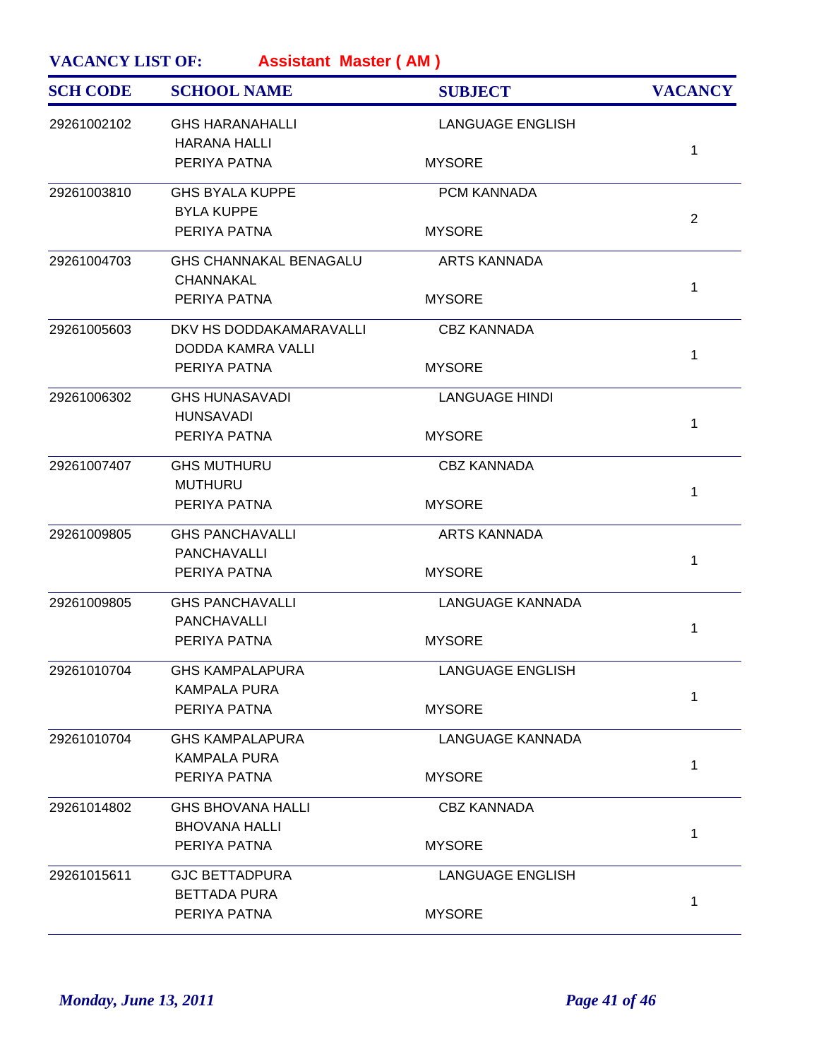| <b>SCH CODE</b> | <b>SCHOOL NAME</b>            | <b>SUBJECT</b>          | <b>VACANCY</b> |
|-----------------|-------------------------------|-------------------------|----------------|
| 29261002102     | <b>GHS HARANAHALLI</b>        | <b>LANGUAGE ENGLISH</b> |                |
|                 | <b>HARANA HALLI</b>           |                         | 1              |
|                 | PERIYA PATNA                  | <b>MYSORE</b>           |                |
| 29261003810     | <b>GHS BYALA KUPPE</b>        | PCM KANNADA             |                |
|                 | <b>BYLA KUPPE</b>             |                         | 2              |
|                 | PERIYA PATNA                  | <b>MYSORE</b>           |                |
| 29261004703     | <b>GHS CHANNAKAL BENAGALU</b> | <b>ARTS KANNADA</b>     |                |
|                 | CHANNAKAL                     |                         | 1              |
|                 | PERIYA PATNA                  | <b>MYSORE</b>           |                |
| 29261005603     | DKV HS DODDAKAMARAVALLI       | <b>CBZ KANNADA</b>      |                |
|                 | DODDA KAMRA VALLI             |                         | 1              |
|                 | PERIYA PATNA                  | <b>MYSORE</b>           |                |
| 29261006302     | <b>GHS HUNASAVADI</b>         | <b>LANGUAGE HINDI</b>   |                |
|                 | <b>HUNSAVADI</b>              |                         | 1              |
|                 | PERIYA PATNA                  | <b>MYSORE</b>           |                |
| 29261007407     | <b>GHS MUTHURU</b>            | <b>CBZ KANNADA</b>      |                |
|                 | <b>MUTHURU</b>                |                         | 1              |
|                 | PERIYA PATNA                  | <b>MYSORE</b>           |                |
| 29261009805     | <b>GHS PANCHAVALLI</b>        | <b>ARTS KANNADA</b>     |                |
|                 | <b>PANCHAVALLI</b>            |                         | 1              |
|                 | PERIYA PATNA                  | <b>MYSORE</b>           |                |
| 29261009805     | <b>GHS PANCHAVALLI</b>        | <b>LANGUAGE KANNADA</b> |                |
|                 | <b>PANCHAVALLI</b>            |                         | 1              |
|                 | PERIYA PATNA                  | <b>MYSORE</b>           |                |
| 29261010704     | <b>GHS KAMPALAPURA</b>        | <b>LANGUAGE ENGLISH</b> |                |
|                 | <b>KAMPALA PURA</b>           |                         | 1              |
|                 | PERIYA PATNA                  | <b>MYSORE</b>           |                |
| 29261010704     | <b>GHS KAMPALAPURA</b>        | <b>LANGUAGE KANNADA</b> |                |
|                 | <b>KAMPALA PURA</b>           |                         | 1              |
|                 | PERIYA PATNA                  | <b>MYSORE</b>           |                |
| 29261014802     | <b>GHS BHOVANA HALLI</b>      | <b>CBZ KANNADA</b>      |                |
|                 | <b>BHOVANA HALLI</b>          |                         | 1              |
|                 | PERIYA PATNA                  | <b>MYSORE</b>           |                |
| 29261015611     | <b>GJC BETTADPURA</b>         | <b>LANGUAGE ENGLISH</b> |                |
|                 | <b>BETTADA PURA</b>           |                         | 1              |
|                 | PERIYA PATNA                  | <b>MYSORE</b>           |                |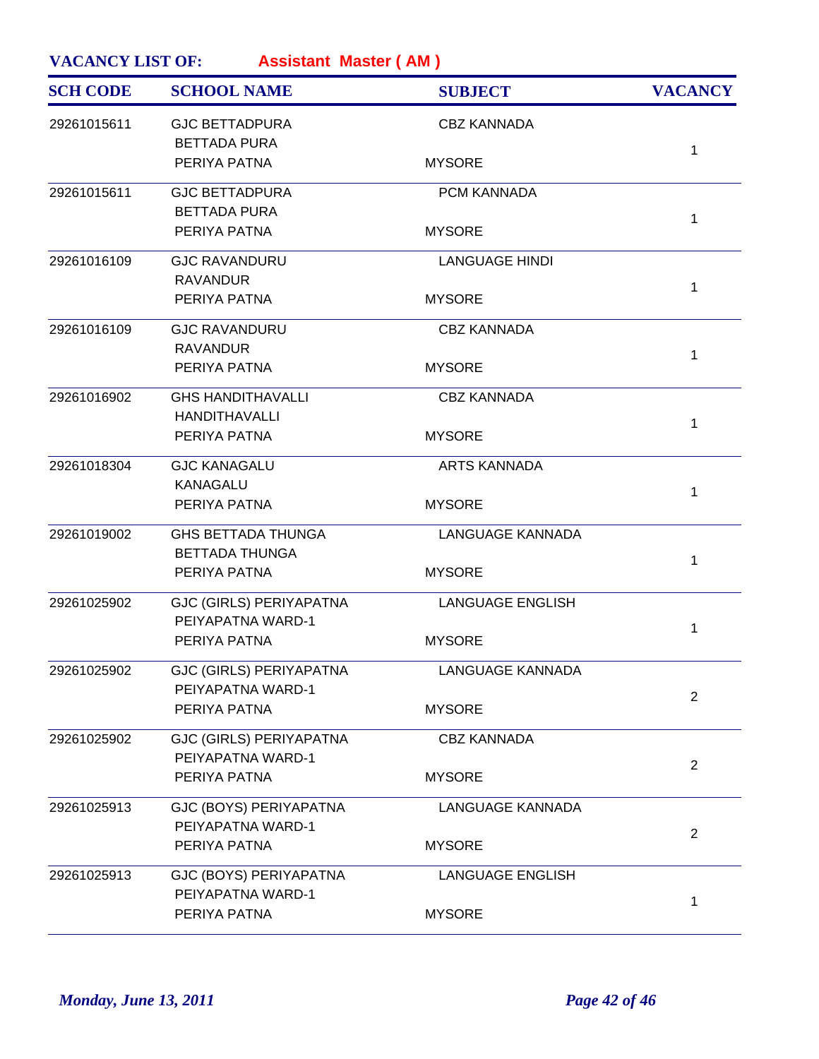| <b>SCH CODE</b> | <b>SCHOOL NAME</b>                                  | <b>SUBJECT</b>          | <b>VACANCY</b> |
|-----------------|-----------------------------------------------------|-------------------------|----------------|
| 29261015611     | <b>GJC BETTADPURA</b><br><b>BETTADA PURA</b>        | <b>CBZ KANNADA</b>      |                |
|                 | PERIYA PATNA                                        | <b>MYSORE</b>           | $\mathbf{1}$   |
| 29261015611     | <b>GJC BETTADPURA</b><br><b>BETTADA PURA</b>        | PCM KANNADA             |                |
|                 | PERIYA PATNA                                        | <b>MYSORE</b>           | $\mathbf{1}$   |
| 29261016109     | <b>GJC RAVANDURU</b><br><b>RAVANDUR</b>             | <b>LANGUAGE HINDI</b>   | $\mathbf{1}$   |
|                 | PERIYA PATNA                                        | <b>MYSORE</b>           |                |
| 29261016109     | <b>GJC RAVANDURU</b><br><b>RAVANDUR</b>             | <b>CBZ KANNADA</b>      | $\mathbf 1$    |
|                 | PERIYA PATNA                                        | <b>MYSORE</b>           |                |
| 29261016902     | <b>GHS HANDITHAVALLI</b><br><b>HANDITHAVALLI</b>    | <b>CBZ KANNADA</b>      |                |
|                 | PERIYA PATNA                                        | <b>MYSORE</b>           | $\mathbf{1}$   |
| 29261018304     | <b>GJC KANAGALU</b><br><b>KANAGALU</b>              | <b>ARTS KANNADA</b>     |                |
|                 | PERIYA PATNA                                        | <b>MYSORE</b>           | $\mathbf{1}$   |
| 29261019002     | <b>GHS BETTADA THUNGA</b><br><b>BETTADA THUNGA</b>  | <b>LANGUAGE KANNADA</b> |                |
|                 | PERIYA PATNA                                        | <b>MYSORE</b>           | $\mathbf{1}$   |
| 29261025902     | <b>GJC (GIRLS) PERIYAPATNA</b><br>PEIYAPATNA WARD-1 | <b>LANGUAGE ENGLISH</b> | $\mathbf{1}$   |
|                 | PERIYA PATNA                                        | <b>MYSORE</b>           |                |
| 29261025902     | GJC (GIRLS) PERIYAPATNA<br>PEIYAPATNA WARD-1        | <b>LANGUAGE KANNADA</b> | $\overline{2}$ |
|                 | PERIYA PATNA                                        | <b>MYSORE</b>           |                |
| 29261025902     | <b>GJC (GIRLS) PERIYAPATNA</b><br>PEIYAPATNA WARD-1 | <b>CBZ KANNADA</b>      |                |
|                 | PERIYA PATNA                                        | <b>MYSORE</b>           | $\overline{2}$ |
| 29261025913     | GJC (BOYS) PERIYAPATNA<br>PEIYAPATNA WARD-1         | <b>LANGUAGE KANNADA</b> |                |
|                 | PERIYA PATNA                                        | <b>MYSORE</b>           | 2              |
| 29261025913     | GJC (BOYS) PERIYAPATNA<br>PEIYAPATNA WARD-1         | <b>LANGUAGE ENGLISH</b> |                |
|                 | PERIYA PATNA                                        | <b>MYSORE</b>           | 1              |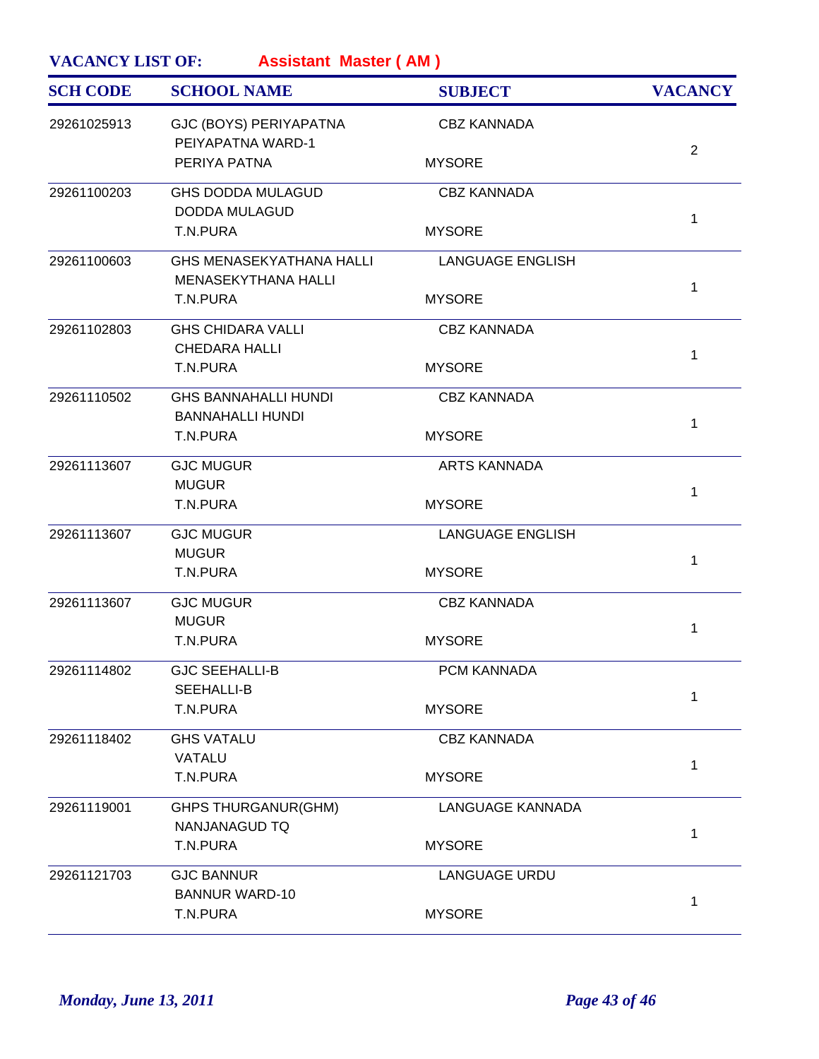| <b>VACANCY LIST OF:</b><br><b>Assistant Master (AM)</b> |                                                               |                         |                |  |
|---------------------------------------------------------|---------------------------------------------------------------|-------------------------|----------------|--|
| <b>SCH CODE</b>                                         | <b>SCHOOL NAME</b>                                            | <b>SUBJECT</b>          | <b>VACANCY</b> |  |
| 29261025913                                             | GJC (BOYS) PERIYAPATNA<br>PEIYAPATNA WARD-1                   | <b>CBZ KANNADA</b>      | $\overline{2}$ |  |
|                                                         | PERIYA PATNA                                                  | <b>MYSORE</b>           |                |  |
| 29261100203                                             | <b>GHS DODDA MULAGUD</b><br><b>DODDA MULAGUD</b>              | <b>CBZ KANNADA</b>      | 1              |  |
|                                                         | T.N.PURA                                                      | <b>MYSORE</b>           |                |  |
| 29261100603                                             | <b>GHS MENASEKYATHANA HALLI</b><br><b>MENASEKYTHANA HALLI</b> | <b>LANGUAGE ENGLISH</b> | 1              |  |
|                                                         | T.N.PURA                                                      | <b>MYSORE</b>           |                |  |
| 29261102803                                             | <b>GHS CHIDARA VALLI</b><br><b>CHEDARA HALLI</b>              | <b>CBZ KANNADA</b>      | 1              |  |
|                                                         | T.N.PURA                                                      | <b>MYSORE</b>           |                |  |
| 29261110502                                             | <b>GHS BANNAHALLI HUNDI</b><br><b>BANNAHALLI HUNDI</b>        | <b>CBZ KANNADA</b>      | 1              |  |
|                                                         | T.N.PURA                                                      | <b>MYSORE</b>           |                |  |
| 29261113607                                             | <b>GJC MUGUR</b><br><b>MUGUR</b>                              | <b>ARTS KANNADA</b>     | $\mathbf{1}$   |  |
|                                                         | T.N.PURA                                                      | <b>MYSORE</b>           |                |  |
| 29261113607                                             | <b>GJC MUGUR</b><br><b>MUGUR</b>                              | <b>LANGUAGE ENGLISH</b> | $\mathbf{1}$   |  |
|                                                         | T.N.PURA                                                      | <b>MYSORE</b>           |                |  |
| 29261113607                                             | <b>GJC MUGUR</b><br><b>MUGUR</b>                              | <b>CBZ KANNADA</b>      | 1              |  |
|                                                         | T.N.PURA                                                      | <b>MYSORE</b>           |                |  |
| 29261114802                                             | <b>GJC SEEHALLI-B</b><br>SEEHALLI-B                           | <b>PCM KANNADA</b>      | 1              |  |
|                                                         | T.N.PURA                                                      | <b>MYSORE</b>           |                |  |
| 29261118402                                             | <b>GHS VATALU</b><br>VATALU                                   | <b>CBZ KANNADA</b>      |                |  |
|                                                         | T.N.PURA                                                      | <b>MYSORE</b>           | 1              |  |
| 29261119001                                             | <b>GHPS THURGANUR(GHM)</b><br>NANJANAGUD TQ                   | <b>LANGUAGE KANNADA</b> |                |  |
|                                                         | T.N.PURA                                                      | <b>MYSORE</b>           | 1              |  |
| 29261121703                                             | <b>GJC BANNUR</b><br><b>BANNUR WARD-10</b>                    | <b>LANGUAGE URDU</b>    |                |  |
|                                                         | T.N.PURA                                                      | <b>MYSORE</b>           | 1              |  |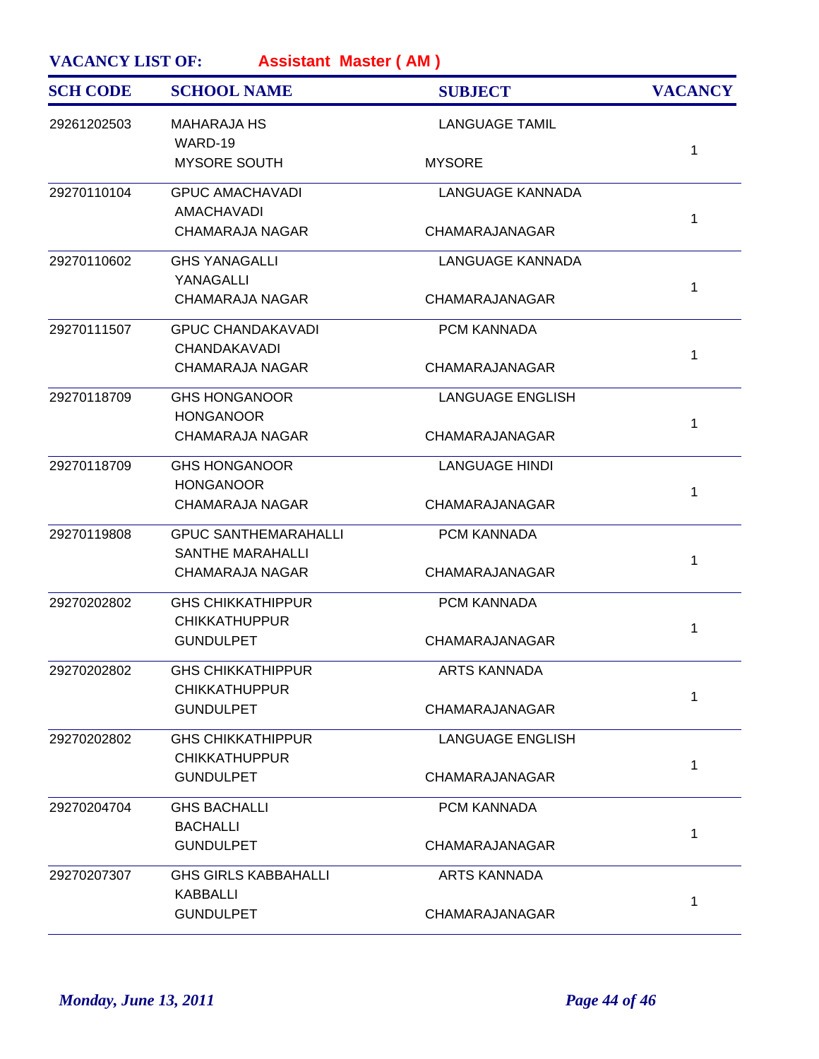| <b>SCH CODE</b> | <b>SCHOOL NAME</b>                                     | <b>SUBJECT</b>          | <b>VACANCY</b> |
|-----------------|--------------------------------------------------------|-------------------------|----------------|
| 29261202503     | <b>MAHARAJA HS</b><br>WARD-19                          | <b>LANGUAGE TAMIL</b>   |                |
|                 | <b>MYSORE SOUTH</b>                                    | <b>MYSORE</b>           | $\mathbf{1}$   |
| 29270110104     | <b>GPUC AMACHAVADI</b><br>AMACHAVADI                   | LANGUAGE KANNADA        |                |
|                 | <b>CHAMARAJA NAGAR</b>                                 | CHAMARAJANAGAR          | 1              |
| 29270110602     | <b>GHS YANAGALLI</b><br>YANAGALLI                      | <b>LANGUAGE KANNADA</b> |                |
|                 | <b>CHAMARAJA NAGAR</b>                                 | CHAMARAJANAGAR          | 1              |
| 29270111507     | <b>GPUC CHANDAKAVADI</b><br><b>CHANDAKAVADI</b>        | PCM KANNADA             |                |
|                 | <b>CHAMARAJA NAGAR</b>                                 | CHAMARAJANAGAR          | 1              |
| 29270118709     | <b>GHS HONGANOOR</b>                                   | <b>LANGUAGE ENGLISH</b> |                |
|                 | <b>HONGANOOR</b><br><b>CHAMARAJA NAGAR</b>             | CHAMARAJANAGAR          | $\mathbf{1}$   |
| 29270118709     | <b>GHS HONGANOOR</b>                                   | <b>LANGUAGE HINDI</b>   |                |
|                 | <b>HONGANOOR</b><br><b>CHAMARAJA NAGAR</b>             | CHAMARAJANAGAR          | 1              |
| 29270119808     | <b>GPUC SANTHEMARAHALLI</b><br><b>SANTHE MARAHALLI</b> | PCM KANNADA             |                |
|                 | <b>CHAMARAJA NAGAR</b>                                 | CHAMARAJANAGAR          | $\mathbf{1}$   |
| 29270202802     | <b>GHS CHIKKATHIPPUR</b><br><b>CHIKKATHUPPUR</b>       | PCM KANNADA             |                |
|                 | <b>GUNDULPET</b>                                       | CHAMARAJANAGAR          | $\mathbf{1}$   |
| 29270202802     | <b>GHS CHIKKATHIPPUR</b>                               | ARTS KANNADA            |                |
|                 | <b>CHIKKATHUPPUR</b><br><b>GUNDULPET</b>               | CHAMARAJANAGAR          | $\mathbf{1}$   |
| 29270202802     | <b>GHS CHIKKATHIPPUR</b>                               | <b>LANGUAGE ENGLISH</b> |                |
|                 | <b>CHIKKATHUPPUR</b><br><b>GUNDULPET</b>               | CHAMARAJANAGAR          | 1              |
| 29270204704     | <b>GHS BACHALLI</b>                                    | PCM KANNADA             |                |
|                 | <b>BACHALLI</b><br><b>GUNDULPET</b>                    | CHAMARAJANAGAR          | 1              |
| 29270207307     | <b>GHS GIRLS KABBAHALLI</b>                            | <b>ARTS KANNADA</b>     |                |
|                 | <b>KABBALLI</b><br><b>GUNDULPET</b>                    | CHAMARAJANAGAR          | 1              |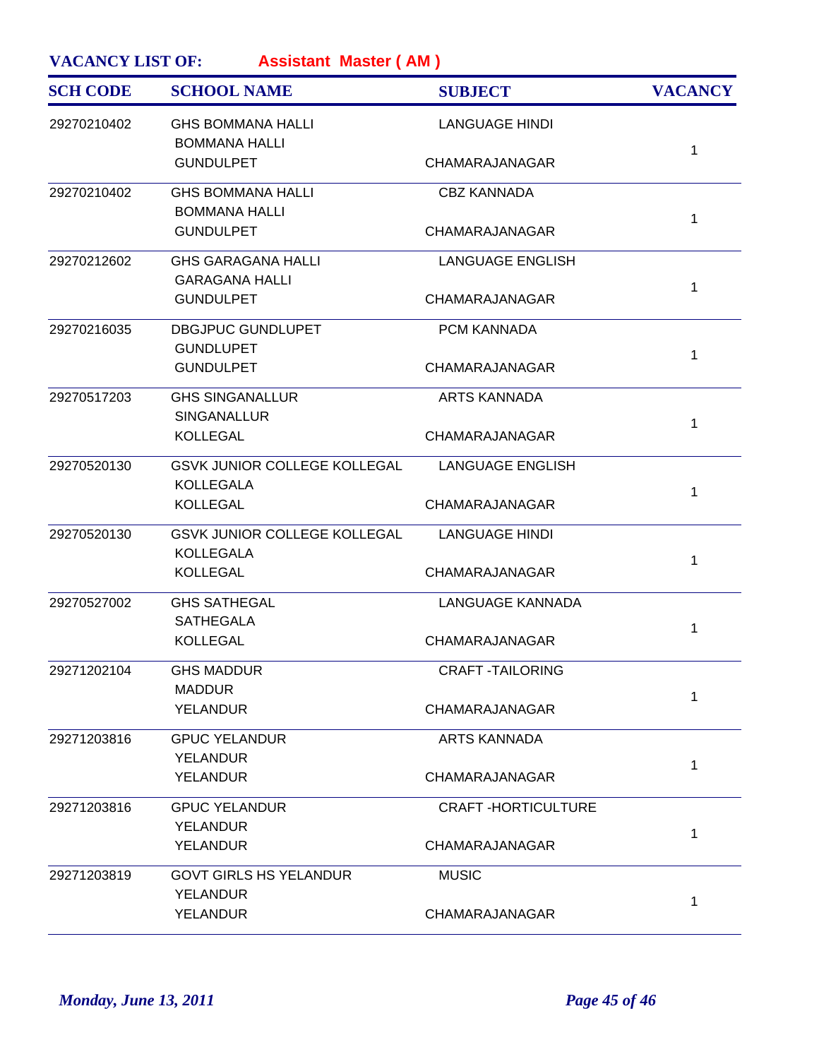| <b>SCH CODE</b> | <b>SCHOOL NAME</b>                                 | <b>SUBJECT</b>            | <b>VACANCY</b> |
|-----------------|----------------------------------------------------|---------------------------|----------------|
| 29270210402     | <b>GHS BOMMANA HALLI</b><br><b>BOMMANA HALLI</b>   | <b>LANGUAGE HINDI</b>     |                |
|                 | <b>GUNDULPET</b>                                   | CHAMARAJANAGAR            | 1              |
| 29270210402     | <b>GHS BOMMANA HALLI</b><br><b>BOMMANA HALLI</b>   | <b>CBZ KANNADA</b>        |                |
|                 | <b>GUNDULPET</b>                                   | CHAMARAJANAGAR            | 1              |
| 29270212602     | <b>GHS GARAGANA HALLI</b><br><b>GARAGANA HALLI</b> | <b>LANGUAGE ENGLISH</b>   |                |
|                 | <b>GUNDULPET</b>                                   | CHAMARAJANAGAR            | $\mathbf{1}$   |
| 29270216035     | <b>DBGJPUC GUNDLUPET</b><br><b>GUNDLUPET</b>       | PCM KANNADA               |                |
|                 | <b>GUNDULPET</b>                                   | CHAMARAJANAGAR            | $\mathbf{1}$   |
| 29270517203     | <b>GHS SINGANALLUR</b><br><b>SINGANALLUR</b>       | <b>ARTS KANNADA</b>       |                |
|                 | <b>KOLLEGAL</b>                                    | CHAMARAJANAGAR            | 1              |
| 29270520130     | GSVK JUNIOR COLLEGE KOLLEGAL<br><b>KOLLEGALA</b>   | LANGUAGE ENGLISH          |                |
|                 | <b>KOLLEGAL</b>                                    | CHAMARAJANAGAR            | 1              |
| 29270520130     | GSVK JUNIOR COLLEGE KOLLEGAL<br><b>KOLLEGALA</b>   | <b>LANGUAGE HINDI</b>     |                |
|                 | <b>KOLLEGAL</b>                                    | CHAMARAJANAGAR            | $\mathbf{1}$   |
| 29270527002     | <b>GHS SATHEGAL</b><br><b>SATHEGALA</b>            | LANGUAGE KANNADA          |                |
|                 | <b>KOLLEGAL</b>                                    | CHAMARAJANAGAR            | 1              |
| 29271202104     | <b>GHS MADDUR</b><br><b>MADDUR</b>                 | <b>CRAFT-TAILORING</b>    |                |
|                 | <b>YELANDUR</b>                                    | CHAMARAJANAGAR            | $\mathbf{1}$   |
| 29271203816     | <b>GPUC YELANDUR</b>                               | <b>ARTS KANNADA</b>       |                |
|                 | <b>YELANDUR</b><br><b>YELANDUR</b>                 | CHAMARAJANAGAR            | $\mathbf{1}$   |
| 29271203816     | <b>GPUC YELANDUR</b>                               | <b>CRAFT-HORTICULTURE</b> |                |
|                 | <b>YELANDUR</b><br><b>YELANDUR</b>                 | CHAMARAJANAGAR            | $\mathbf{1}$   |
| 29271203819     | <b>GOVT GIRLS HS YELANDUR</b>                      | <b>MUSIC</b>              |                |
|                 | <b>YELANDUR</b><br><b>YELANDUR</b>                 | CHAMARAJANAGAR            | 1              |
|                 |                                                    |                           |                |